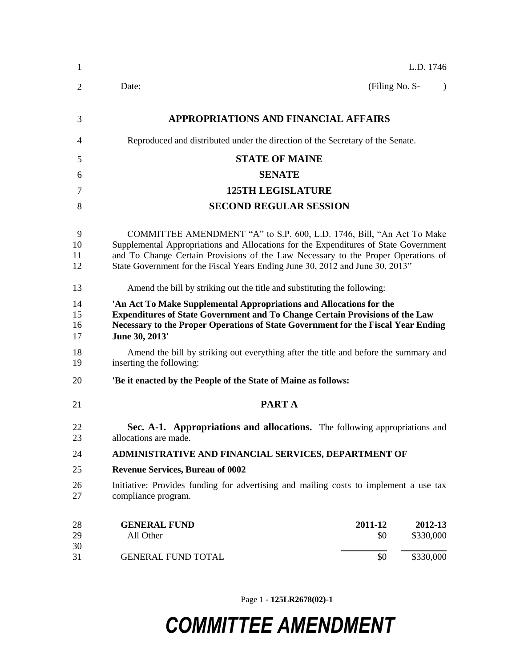|                                                                                                                  |                                                                          | L.D. 1746                                                                                                                                                                                                                                                                                                                                                                                                                                                                                                                                                                                                                                                                                                                                                                                                                                                                                                                                              |
|------------------------------------------------------------------------------------------------------------------|--------------------------------------------------------------------------|--------------------------------------------------------------------------------------------------------------------------------------------------------------------------------------------------------------------------------------------------------------------------------------------------------------------------------------------------------------------------------------------------------------------------------------------------------------------------------------------------------------------------------------------------------------------------------------------------------------------------------------------------------------------------------------------------------------------------------------------------------------------------------------------------------------------------------------------------------------------------------------------------------------------------------------------------------|
| Date:                                                                                                            | (Filing No. S-                                                           | $\lambda$                                                                                                                                                                                                                                                                                                                                                                                                                                                                                                                                                                                                                                                                                                                                                                                                                                                                                                                                              |
|                                                                                                                  |                                                                          |                                                                                                                                                                                                                                                                                                                                                                                                                                                                                                                                                                                                                                                                                                                                                                                                                                                                                                                                                        |
|                                                                                                                  |                                                                          |                                                                                                                                                                                                                                                                                                                                                                                                                                                                                                                                                                                                                                                                                                                                                                                                                                                                                                                                                        |
| <b>STATE OF MAINE</b>                                                                                            |                                                                          |                                                                                                                                                                                                                                                                                                                                                                                                                                                                                                                                                                                                                                                                                                                                                                                                                                                                                                                                                        |
| <b>SENATE</b>                                                                                                    |                                                                          |                                                                                                                                                                                                                                                                                                                                                                                                                                                                                                                                                                                                                                                                                                                                                                                                                                                                                                                                                        |
| <b>125TH LEGISLATURE</b>                                                                                         |                                                                          |                                                                                                                                                                                                                                                                                                                                                                                                                                                                                                                                                                                                                                                                                                                                                                                                                                                                                                                                                        |
| <b>SECOND REGULAR SESSION</b>                                                                                    |                                                                          |                                                                                                                                                                                                                                                                                                                                                                                                                                                                                                                                                                                                                                                                                                                                                                                                                                                                                                                                                        |
|                                                                                                                  |                                                                          |                                                                                                                                                                                                                                                                                                                                                                                                                                                                                                                                                                                                                                                                                                                                                                                                                                                                                                                                                        |
|                                                                                                                  | Amend the bill by striking out the title and substituting the following: |                                                                                                                                                                                                                                                                                                                                                                                                                                                                                                                                                                                                                                                                                                                                                                                                                                                                                                                                                        |
| June 30, 2013'                                                                                                   |                                                                          |                                                                                                                                                                                                                                                                                                                                                                                                                                                                                                                                                                                                                                                                                                                                                                                                                                                                                                                                                        |
| Amend the bill by striking out everything after the title and before the summary and<br>inserting the following: |                                                                          |                                                                                                                                                                                                                                                                                                                                                                                                                                                                                                                                                                                                                                                                                                                                                                                                                                                                                                                                                        |
| 'Be it enacted by the People of the State of Maine as follows:                                                   |                                                                          |                                                                                                                                                                                                                                                                                                                                                                                                                                                                                                                                                                                                                                                                                                                                                                                                                                                                                                                                                        |
| PART A                                                                                                           |                                                                          |                                                                                                                                                                                                                                                                                                                                                                                                                                                                                                                                                                                                                                                                                                                                                                                                                                                                                                                                                        |
| allocations are made.                                                                                            |                                                                          |                                                                                                                                                                                                                                                                                                                                                                                                                                                                                                                                                                                                                                                                                                                                                                                                                                                                                                                                                        |
|                                                                                                                  |                                                                          |                                                                                                                                                                                                                                                                                                                                                                                                                                                                                                                                                                                                                                                                                                                                                                                                                                                                                                                                                        |
| <b>Revenue Services, Bureau of 0002</b>                                                                          |                                                                          |                                                                                                                                                                                                                                                                                                                                                                                                                                                                                                                                                                                                                                                                                                                                                                                                                                                                                                                                                        |
| compliance program.                                                                                              |                                                                          |                                                                                                                                                                                                                                                                                                                                                                                                                                                                                                                                                                                                                                                                                                                                                                                                                                                                                                                                                        |
| <b>GENERAL FUND</b><br>All Other                                                                                 | 2011-12<br>\$0                                                           | 2012-13<br>\$330,000                                                                                                                                                                                                                                                                                                                                                                                                                                                                                                                                                                                                                                                                                                                                                                                                                                                                                                                                   |
| <b>GENERAL FUND TOTAL</b>                                                                                        | \$0                                                                      | \$330,000                                                                                                                                                                                                                                                                                                                                                                                                                                                                                                                                                                                                                                                                                                                                                                                                                                                                                                                                              |
|                                                                                                                  |                                                                          | <b>APPROPRIATIONS AND FINANCIAL AFFAIRS</b><br>Reproduced and distributed under the direction of the Secretary of the Senate.<br>COMMITTEE AMENDMENT "A" to S.P. 600, L.D. 1746, Bill, "An Act To Make<br>Supplemental Appropriations and Allocations for the Expenditures of State Government<br>and To Change Certain Provisions of the Law Necessary to the Proper Operations of<br>State Government for the Fiscal Years Ending June 30, 2012 and June 30, 2013"<br>'An Act To Make Supplemental Appropriations and Allocations for the<br><b>Expenditures of State Government and To Change Certain Provisions of the Law</b><br>Necessary to the Proper Operations of State Government for the Fiscal Year Ending<br>Sec. A-1. Appropriations and allocations. The following appropriations and<br>ADMINISTRATIVE AND FINANCIAL SERVICES, DEPARTMENT OF<br>Initiative: Provides funding for advertising and mailing costs to implement a use tax |

Page 1 **- 125LR2678(02)-1**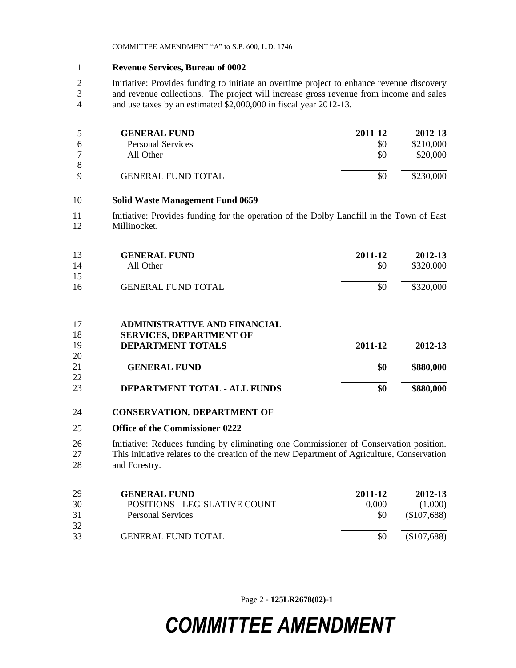#### 1 **Revenue Services, Bureau of 0002**

2 Initiative: Provides funding to initiate an overtime project to enhance revenue discovery 3 and revenue collections. The project will increase gross revenue from income and sales 4 and use taxes by an estimated \$2,000,000 in fiscal year 2012-13.

|          | <b>GENERAL FUND</b>       | 2011-12 | 2012-13   |
|----------|---------------------------|---------|-----------|
| 6        | <b>Personal Services</b>  | \$0     | \$210,000 |
|          | All Other                 | \$0     | \$20,000  |
| 8        |                           |         |           |
| $\Omega$ | <b>GENERAL FUND TOTAL</b> |         | \$230,000 |

#### 10 **Solid Waste Management Fund 0659**

11 Initiative: Provides funding for the operation of the Dolby Landfill in the Town of East 12 Millinocket.

| 13<br>14 | <b>GENERAL FUND</b><br>All Other    | 2011-12<br>\$0 | 2012-13<br>\$320,000 |
|----------|-------------------------------------|----------------|----------------------|
| 15       |                                     |                |                      |
| 16       | <b>GENERAL FUND TOTAL</b>           | \$0            | \$320,000            |
| 17       | <b>ADMINISTRATIVE AND FINANCIAL</b> |                |                      |
| 18       | <b>SERVICES, DEPARTMENT OF</b>      |                |                      |
| 19       | <b>DEPARTMENT TOTALS</b>            | 2011-12        | 2012-13              |
| 20       |                                     |                |                      |
| 21       | <b>GENERAL FUND</b>                 | \$0            | \$880,000            |

22 23 **DEPARTMENT TOTAL - ALL FUNDS \$0 \$880,000**

#### 24 **CONSERVATION, DEPARTMENT OF**

#### 25 **Office of the Commissioner 0222**

26 Initiative: Reduces funding by eliminating one Commissioner of Conservation position. 27 This initiative relates to the creation of the new Department of Agriculture, Conservation 28 and Forestry.

| 29<br>30 | <b>GENERAL FUND</b><br>POSITIONS - LEGISLATIVE COUNT | 2011-12<br>0.000 | 2012-13<br>(1.000) |
|----------|------------------------------------------------------|------------------|--------------------|
| 31       | <b>Personal Services</b>                             | \$0              | (\$107,688)        |
| 32<br>33 | <b>GENERAL FUND TOTAL</b>                            |                  | (\$107,688)        |

Page 2 **- 125LR2678(02)-1**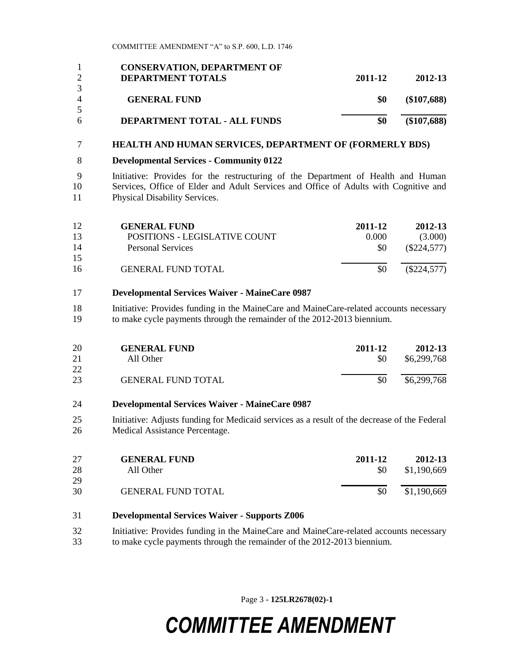|                | <b>CONSERVATION, DEPARTMENT OF</b> |         |               |
|----------------|------------------------------------|---------|---------------|
|                | <b>DEPARTMENT TOTALS</b>           | 2011-12 | 2012-13       |
|                |                                    |         |               |
| $\overline{4}$ | <b>GENERAL FUND</b>                | \$0     | $(\$107,688)$ |
|                |                                    |         |               |
| 6              | DEPARTMENT TOTAL - ALL FUNDS       | \$0     | $(\$107,688)$ |

#### **HEALTH AND HUMAN SERVICES, DEPARTMENT OF (FORMERLY BDS)**

**Developmental Services - Community 0122**

 Initiative: Provides for the restructuring of the Department of Health and Human Services, Office of Elder and Adult Services and Office of Adults with Cognitive and Physical Disability Services.

| 12 | <b>GENERAL FUND</b>           | 2011-12 | 2012-13       |
|----|-------------------------------|---------|---------------|
| 13 | POSITIONS - LEGISLATIVE COUNT | 0.000   | (3.000)       |
| 14 | Personal Services             | \$0     | $(\$224,577)$ |
| 15 |                               |         |               |
| 16 | <b>GENERAL FUND TOTAL</b>     | \$0     | $(\$224,577)$ |

#### **Developmental Services Waiver - MaineCare 0987**

18 Initiative: Provides funding in the MaineCare and MaineCare-related accounts necessary to make cycle payments through the remainder of the 2012-2013 biennium.

| <b>20</b> | <b>GENERAL FUND</b>       | 2011-12 | 2012-13     |
|-----------|---------------------------|---------|-------------|
| 21        | All Other                 | \$0     | \$6,299,768 |
| 22        |                           |         |             |
| 23        | <b>GENERAL FUND TOTAL</b> | \$0     | \$6,299,768 |

#### **Developmental Services Waiver - MaineCare 0987**

 Initiative: Adjusts funding for Medicaid services as a result of the decrease of the Federal Medical Assistance Percentage.

| 27 | <b>GENERAL FUND</b>       | 2011-12 | 2012-13     |
|----|---------------------------|---------|-------------|
| 28 | All Other                 | \$0     | \$1,190,669 |
| 29 |                           |         |             |
| 30 | <b>GENERAL FUND TOTAL</b> | \$0     | \$1,190,669 |

#### **Developmental Services Waiver - Supports Z006**

 Initiative: Provides funding in the MaineCare and MaineCare-related accounts necessary to make cycle payments through the remainder of the 2012-2013 biennium.

Page 3 **- 125LR2678(02)-1**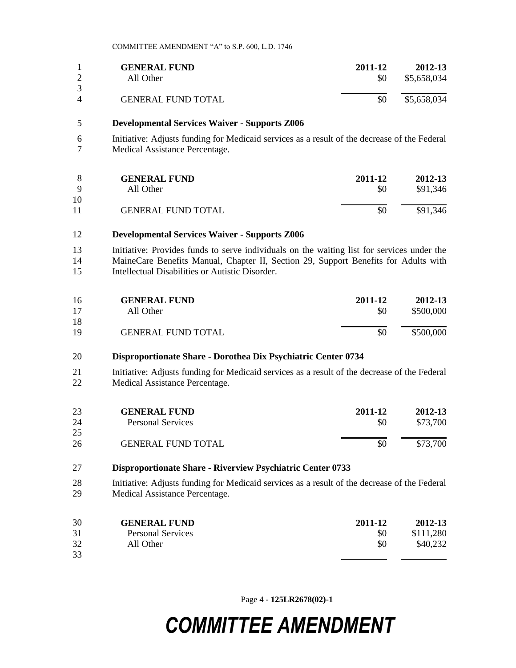|               | <b>GENERAL FUND</b>       | 2011-12 | 2012-13     |
|---------------|---------------------------|---------|-------------|
|               | All Other                 | \$0     | \$5,658,034 |
| 3<br>$\Delta$ | <b>GENERAL FUND TOTAL</b> | \$0     | \$5,658,034 |

#### **Developmental Services Waiver - Supports Z006**

 Initiative: Adjusts funding for Medicaid services as a result of the decrease of the Federal Medical Assistance Percentage.

|    | <b>GENERAL FUND</b>       | 2011-12 | 2012-13  |
|----|---------------------------|---------|----------|
| Q  | All Other                 | \$0     | \$91,346 |
| 10 |                           |         |          |
| 11 | <b>GENERAL FUND TOTAL</b> | \$0     | \$91,346 |

#### **Developmental Services Waiver - Supports Z006**

 Initiative: Provides funds to serve individuals on the waiting list for services under the MaineCare Benefits Manual, Chapter II, Section 29, Support Benefits for Adults with Intellectual Disabilities or Autistic Disorder.

| 16 | <b>GENERAL FUND</b>       | 2011-12 | 2012-13   |
|----|---------------------------|---------|-----------|
| 17 | All Other                 | \$0     | \$500,000 |
| 18 |                           |         |           |
| 19 | <b>GENERAL FUND TOTAL</b> | \$0     | \$500,000 |

#### **Disproportionate Share - Dorothea Dix Psychiatric Center 0734**

 Initiative: Adjusts funding for Medicaid services as a result of the decrease of the Federal Medical Assistance Percentage.

| 23 | <b>GENERAL FUND</b>       | 2011-12 | 2012-13  |
|----|---------------------------|---------|----------|
| 24 | Personal Services         | \$0     | \$73,700 |
| 25 |                           |         |          |
| 26 | <b>GENERAL FUND TOTAL</b> | \$0     | \$73,700 |

#### **Disproportionate Share - Riverview Psychiatric Center 0733**

 Initiative: Adjusts funding for Medicaid services as a result of the decrease of the Federal Medical Assistance Percentage.

| 30 | <b>GENERAL FUND</b>      | 2011-12 | 2012-13   |
|----|--------------------------|---------|-----------|
| 31 | <b>Personal Services</b> | \$0     | \$111,280 |
| 32 | All Other                | \$0     | \$40,232  |
| 33 |                          |         |           |

Page 4 **- 125LR2678(02)-1**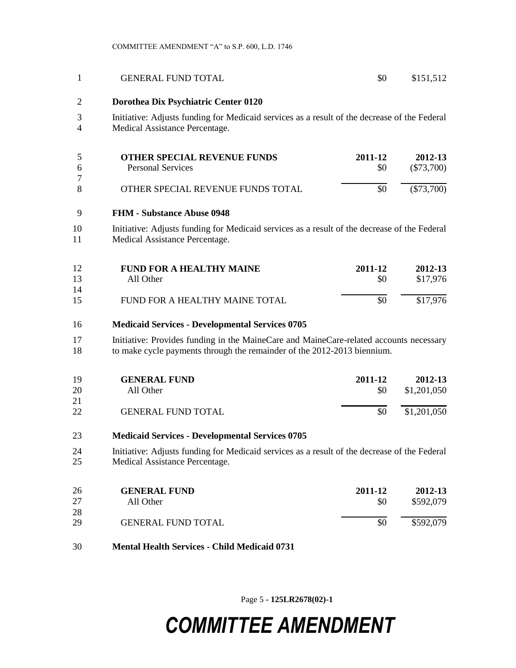| 1              | <b>GENERAL FUND TOTAL</b>                                                                                                                                         | \$0            | \$151,512               |
|----------------|-------------------------------------------------------------------------------------------------------------------------------------------------------------------|----------------|-------------------------|
| $\overline{2}$ | Dorothea Dix Psychiatric Center 0120                                                                                                                              |                |                         |
| 3<br>4         | Initiative: Adjusts funding for Medicaid services as a result of the decrease of the Federal<br>Medical Assistance Percentage.                                    |                |                         |
| 5<br>6<br>7    | <b>OTHER SPECIAL REVENUE FUNDS</b><br><b>Personal Services</b>                                                                                                    | 2011-12<br>\$0 | 2012-13<br>$(\$73,700)$ |
| 8              | OTHER SPECIAL REVENUE FUNDS TOTAL                                                                                                                                 | \$0            | $(\$73,700)$            |
| 9              | <b>FHM - Substance Abuse 0948</b>                                                                                                                                 |                |                         |
| 10<br>11       | Initiative: Adjusts funding for Medicaid services as a result of the decrease of the Federal<br>Medical Assistance Percentage.                                    |                |                         |
| 12<br>13<br>14 | <b>FUND FOR A HEALTHY MAINE</b><br>All Other                                                                                                                      | 2011-12<br>\$0 | 2012-13<br>\$17,976     |
| 15             | FUND FOR A HEALTHY MAINE TOTAL                                                                                                                                    | \$0            | \$17,976                |
| 16             | <b>Medicaid Services - Developmental Services 0705</b>                                                                                                            |                |                         |
| 17<br>18       | Initiative: Provides funding in the MaineCare and MaineCare-related accounts necessary<br>to make cycle payments through the remainder of the 2012-2013 biennium. |                |                         |
| 19<br>20<br>21 | <b>GENERAL FUND</b><br>All Other                                                                                                                                  | 2011-12<br>\$0 | 2012-13<br>\$1,201,050  |
| 22             | <b>GENERAL FUND TOTAL</b>                                                                                                                                         | \$0            | \$1,201,050             |
| 23             | <b>Medicaid Services - Developmental Services 0705</b>                                                                                                            |                |                         |
| 24<br>25       | Initiative: Adjusts funding for Medicaid services as a result of the decrease of the Federal<br>Medical Assistance Percentage.                                    |                |                         |
| 26<br>27<br>28 | <b>GENERAL FUND</b><br>All Other                                                                                                                                  | 2011-12<br>\$0 | 2012-13<br>\$592,079    |
| 29             | <b>GENERAL FUND TOTAL</b>                                                                                                                                         | \$0            | \$592,079               |
| 30             | <b>Mental Health Services - Child Medicaid 0731</b>                                                                                                               |                |                         |

Page 5 **- 125LR2678(02)-1**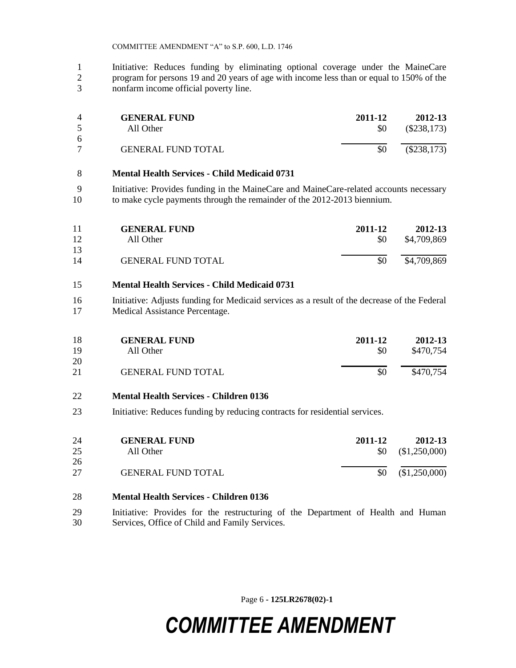Initiative: Reduces funding by eliminating optional coverage under the MaineCare program for persons 19 and 20 years of age with income less than or equal to 150% of the nonfarm income official poverty line.

|    | <b>GENERAL FUND</b>       | 2011-12 | 2012-13       |
|----|---------------------------|---------|---------------|
|    | All Other                 | \$0     | $(\$238,173)$ |
| -6 |                           |         |               |
|    | <b>GENERAL FUND TOTAL</b> |         | $(\$238,173)$ |

#### **Mental Health Services - Child Medicaid 0731**

 Initiative: Provides funding in the MaineCare and MaineCare-related accounts necessary to make cycle payments through the remainder of the 2012-2013 biennium.

| 11 | <b>GENERAL FUND</b>       | 2011-12 | 2012-13     |
|----|---------------------------|---------|-------------|
| 12 | All Other                 | \$0     | \$4,709,869 |
| 13 |                           |         |             |
| 14 | <b>GENERAL FUND TOTAL</b> | \$0     | \$4,709,869 |

#### **Mental Health Services - Child Medicaid 0731**

 Initiative: Adjusts funding for Medicaid services as a result of the decrease of the Federal Medical Assistance Percentage.

| 18 | <b>GENERAL FUND</b>       | 2011-12 | 2012-13   |
|----|---------------------------|---------|-----------|
| 19 | All Other                 | \$0     | \$470,754 |
| 20 |                           |         |           |
| 21 | <b>GENERAL FUND TOTAL</b> | \$0     | \$470,754 |

### **Mental Health Services - Children 0136**

Initiative: Reduces funding by reducing contracts for residential services.

| 24 | <b>GENERAL FUND</b>       | 2011-12   | 2012-13     |
|----|---------------------------|-----------|-------------|
| 25 | All Other                 | <b>SO</b> | \$1,250,000 |
| 26 |                           |           |             |
| 27 | <b>GENERAL FUND TOTAL</b> | \$0       | \$1,250,000 |

### **Mental Health Services - Children 0136**

 Initiative: Provides for the restructuring of the Department of Health and Human Services, Office of Child and Family Services.

Page 6 **- 125LR2678(02)-1**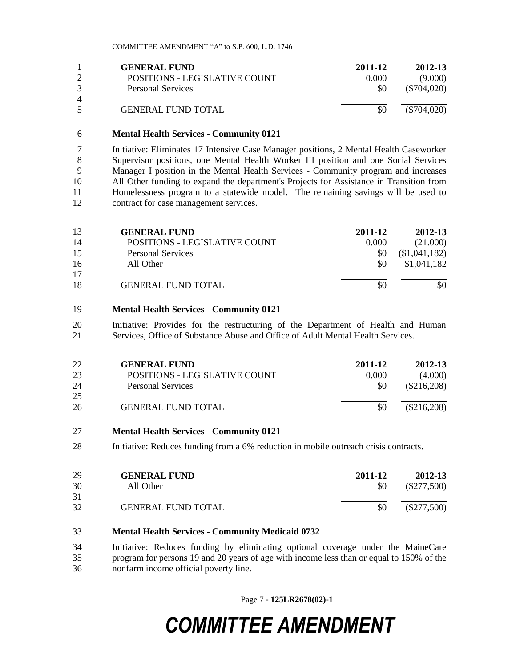|   | <b>GENERAL FUND</b><br>POSITIONS - LEGISLATIVE COUNT | 2011-12<br>0.000 | 2012-13<br>(9.000) |
|---|------------------------------------------------------|------------------|--------------------|
| 4 | <b>Personal Services</b>                             | <b>SO</b>        | $(\$704,020)$      |
|   | <b>GENERAL FUND TOTAL</b>                            | \$0              | $(\$704,020)$      |

#### **Mental Health Services - Community 0121**

 Initiative: Eliminates 17 Intensive Case Manager positions, 2 Mental Health Caseworker Supervisor positions, one Mental Health Worker III position and one Social Services Manager I position in the Mental Health Services - Community program and increases All Other funding to expand the department's Projects for Assistance in Transition from Homelessness program to a statewide model. The remaining savings will be used to 12 contract for case management services.

| <b>GENERAL FUND</b>           | 2011-12 | 2012-13       |
|-------------------------------|---------|---------------|
| POSITIONS - LEGISLATIVE COUNT | 0.000   | (21.000)      |
| <b>Personal Services</b>      | \$0     | (\$1,041,182) |
| All Other                     | \$0     | \$1,041,182   |
|                               |         |               |
| <b>GENERAL FUND TOTAL</b>     | \$0     | \$0           |
|                               |         |               |

#### **Mental Health Services - Community 0121**

 Initiative: Provides for the restructuring of the Department of Health and Human Services, Office of Substance Abuse and Office of Adult Mental Health Services.

| 22 | <b>GENERAL FUND</b>           | 2011-12 | 2012-13       |
|----|-------------------------------|---------|---------------|
| 23 | POSITIONS - LEGISLATIVE COUNT | 0.000   | (4.000)       |
| 24 | <b>Personal Services</b>      | \$0     | $(\$216,208)$ |
| 25 |                               |         |               |
| 26 | <b>GENERAL FUND TOTAL</b>     | \$0     | $(\$216,208)$ |

#### **Mental Health Services - Community 0121**

Initiative: Reduces funding from a 6% reduction in mobile outreach crisis contracts.

| 29 | <b>GENERAL FUND</b>       | 2011-12 | 2012-13       |
|----|---------------------------|---------|---------------|
| 30 | All Other                 | \$0     | $(\$277,500)$ |
| 31 |                           |         |               |
| 32 | <b>GENERAL FUND TOTAL</b> | \$0     | $(\$277,500)$ |

#### **Mental Health Services - Community Medicaid 0732**

 Initiative: Reduces funding by eliminating optional coverage under the MaineCare program for persons 19 and 20 years of age with income less than or equal to 150% of the nonfarm income official poverty line.

Page 7 **- 125LR2678(02)-1**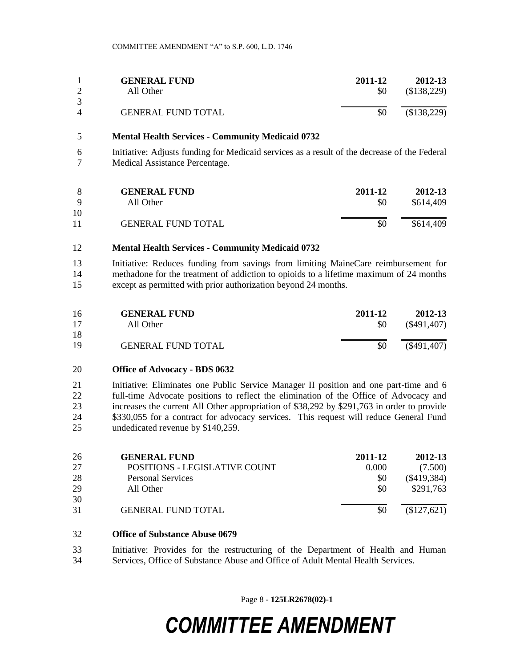|   | <b>GENERAL FUND</b>       | 2011-12 | 2012-13   |
|---|---------------------------|---------|-----------|
|   | All Other                 | \$0     | \$138,229 |
| 4 | <b>GENERAL FUND TOTAL</b> | \$0     | \$138,229 |

#### **Mental Health Services - Community Medicaid 0732**

 Initiative: Adjusts funding for Medicaid services as a result of the decrease of the Federal Medical Assistance Percentage.

| Q        | <b>GENERAL FUND</b>       | 2011-12 | 2012-13   |
|----------|---------------------------|---------|-----------|
|          | All Other                 | \$0     | \$614,409 |
| 10<br>11 | <b>GENERAL FUND TOTAL</b> | \$0     | \$614,409 |

#### **Mental Health Services - Community Medicaid 0732**

 Initiative: Reduces funding from savings from limiting MaineCare reimbursement for methadone for the treatment of addiction to opioids to a lifetime maximum of 24 months except as permitted with prior authorization beyond 24 months.

| 16 | <b>GENERAL FUND</b>       | 2011-12 | 2012-13       |
|----|---------------------------|---------|---------------|
| 17 | All Other                 | \$0     | $(\$491,407)$ |
| 18 |                           |         |               |
| 19 | <b>GENERAL FUND TOTAL</b> | \$0     | $(\$491,407)$ |

#### **Office of Advocacy - BDS 0632**

21 Initiative: Eliminates one Public Service Manager II position and one part-time and 6 full-time Advocate positions to reflect the elimination of the Office of Advocacy and increases the current All Other appropriation of \$38,292 by \$291,763 in order to provide \$330,055 for a contract for advocacy services. This request will reduce General Fund undedicated revenue by \$140,259.

| 26 | <b>GENERAL FUND</b>           | 2011-12 | 2012-13       |
|----|-------------------------------|---------|---------------|
| 27 | POSITIONS - LEGISLATIVE COUNT | 0.000   | (7.500)       |
| 28 | <b>Personal Services</b>      | \$0     | $(\$419,384)$ |
| 29 | All Other                     | \$0     | \$291,763     |
| 30 |                               |         |               |
| 31 | <b>GENERAL FUND TOTAL</b>     | \$0     | (\$127,621)   |

#### **Office of Substance Abuse 0679**

 Initiative: Provides for the restructuring of the Department of Health and Human Services, Office of Substance Abuse and Office of Adult Mental Health Services.

Page 8 **- 125LR2678(02)-1**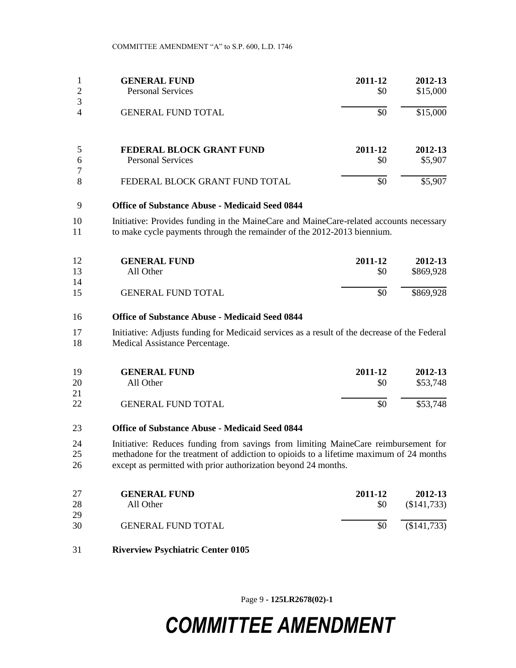| $\overline{2}$      | <b>GENERAL FUND</b><br><b>Personal Services</b> | 2011-12<br>\$0 | 2012-13<br>\$15,000 |
|---------------------|-------------------------------------------------|----------------|---------------------|
| 3<br>$\overline{4}$ | <b>GENERAL FUND TOTAL</b>                       | \$0            | \$15,000            |
| 5                   | FEDERAL BLOCK GRANT FUND                        | 2011-12        | 2012-13             |
| 6<br>7              | <b>Personal Services</b>                        | \$0            | \$5,907             |
| 8                   | FEDERAL BLOCK GRANT FUND TOTAL                  | \$0            | \$5,907             |

#### **Office of Substance Abuse - Medicaid Seed 0844**

10 Initiative: Provides funding in the MaineCare and MaineCare-related accounts necessary to make cycle payments through the remainder of the 2012-2013 biennium.

| 12 | <b>GENERAL FUND</b>       | 2011-12 | 2012-13   |
|----|---------------------------|---------|-----------|
| 13 | All Other                 | \$0     | \$869,928 |
| 14 |                           |         |           |
| 15 | <b>GENERAL FUND TOTAL</b> | \$0     | \$869,928 |

#### **Office of Substance Abuse - Medicaid Seed 0844**

 Initiative: Adjusts funding for Medicaid services as a result of the decrease of the Federal Medical Assistance Percentage.

| 19<br>20 | <b>GENERAL FUND</b>       | 2011-12<br>\$0 | 2012-13<br>\$53,748 |
|----------|---------------------------|----------------|---------------------|
| 21       | All Other                 |                |                     |
| 22       | <b>GENERAL FUND TOTAL</b> | \$0            | \$53,748            |

#### **Office of Substance Abuse - Medicaid Seed 0844**

 Initiative: Reduces funding from savings from limiting MaineCare reimbursement for methadone for the treatment of addiction to opioids to a lifetime maximum of 24 months except as permitted with prior authorization beyond 24 months.

| 27       | <b>GENERAL FUND</b>       | 2011-12 | 2012-13     |
|----------|---------------------------|---------|-------------|
| 28       | All Other                 | \$0     | (\$141,733) |
| 29<br>30 | <b>GENERAL FUND TOTAL</b> | \$0     | (\$141,733) |

**Riverview Psychiatric Center 0105**

Page 9 **- 125LR2678(02)-1**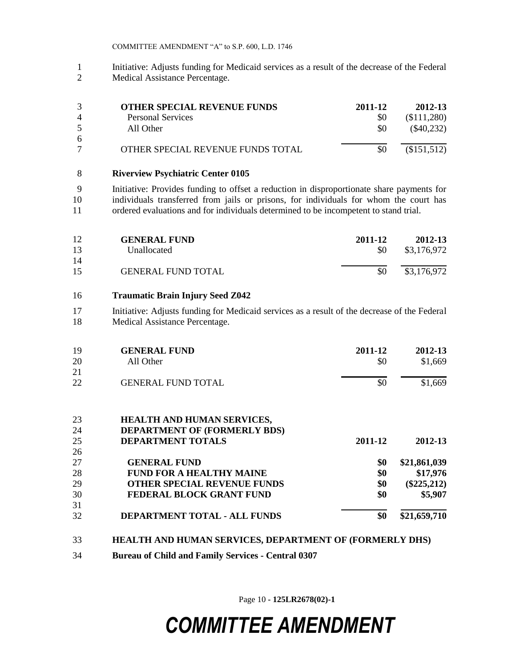Initiative: Adjusts funding for Medicaid services as a result of the decrease of the Federal Medical Assistance Percentage.

|                | <b>OTHER SPECIAL REVENUE FUNDS</b> | 2011-12 | 2012-13      |
|----------------|------------------------------------|---------|--------------|
| $\overline{4}$ | Personal Services                  | \$0     | (\$111,280)  |
| -5             | All Other                          | \$0     | $(\$40,232)$ |
| 6              |                                    |         |              |
|                | OTHER SPECIAL REVENUE FUNDS TOTAL  |         | (\$151,512)  |

#### **Riverview Psychiatric Center 0105**

 Initiative: Provides funding to offset a reduction in disproportionate share payments for individuals transferred from jails or prisons, for individuals for whom the court has ordered evaluations and for individuals determined to be incompetent to stand trial.

| 12 | <b>GENERAL FUND</b>       | 2011-12 | 2012-13     |
|----|---------------------------|---------|-------------|
| 13 | Unallocated               | \$0     | \$3,176,972 |
| 14 |                           |         |             |
| 15 | <b>GENERAL FUND TOTAL</b> | \$0     | \$3,176,972 |

#### **Traumatic Brain Injury Seed Z042**

 Initiative: Adjusts funding for Medicaid services as a result of the decrease of the Federal Medical Assistance Percentage.

| 19 | <b>GENERAL FUND</b>                 | 2011-12 | 2012-13       |
|----|-------------------------------------|---------|---------------|
| 20 | All Other                           | \$0     | \$1,669       |
| 21 |                                     |         |               |
| 22 | <b>GENERAL FUND TOTAL</b>           | \$0     | \$1,669       |
| 23 | <b>HEALTH AND HUMAN SERVICES,</b>   |         |               |
| 24 | <b>DEPARTMENT OF (FORMERLY BDS)</b> |         |               |
| 25 | <b>DEPARTMENT TOTALS</b>            | 2011-12 | 2012-13       |
| 26 |                                     |         |               |
| 27 | <b>GENERAL FUND</b>                 | \$0     | \$21,861,039  |
| 28 | <b>FUND FOR A HEALTHY MAINE</b>     | \$0     | \$17,976      |
| 29 | <b>OTHER SPECIAL REVENUE FUNDS</b>  | \$0     | $(\$225,212)$ |
| 30 | FEDERAL BLOCK GRANT FUND            | \$0     | \$5,907       |
| 31 |                                     |         |               |
| 32 | DEPARTMENT TOTAL - ALL FUNDS        | \$0     | \$21,659,710  |
|    |                                     |         |               |

#### **HEALTH AND HUMAN SERVICES, DEPARTMENT OF (FORMERLY DHS)**

**Bureau of Child and Family Services - Central 0307**

Page 10 **- 125LR2678(02)-1**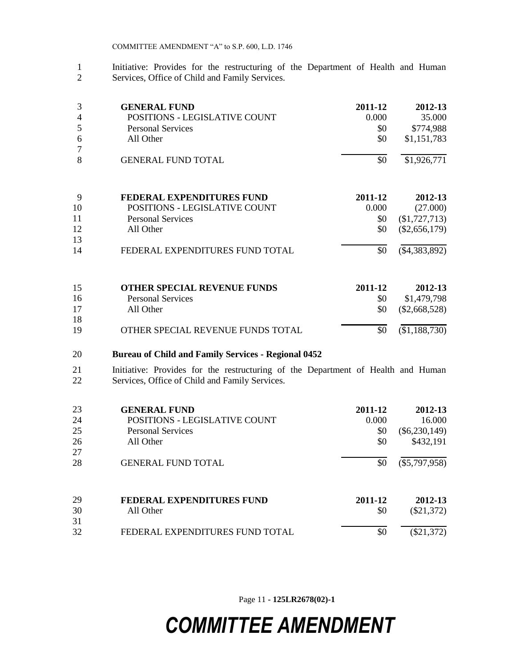1 Initiative: Provides for the restructuring of the Department of Health and Human 2 Services. Office of Child and Family Services. Services, Office of Child and Family Services.

| 3<br>4<br>5<br>6<br>7 | <b>GENERAL FUND</b><br>POSITIONS - LEGISLATIVE COUNT<br><b>Personal Services</b><br>All Other | 2011-12<br>0.000<br>\$0<br>\$0 | 2012-13<br>35.000<br>\$774,988<br>\$1,151,783 |
|-----------------------|-----------------------------------------------------------------------------------------------|--------------------------------|-----------------------------------------------|
| 8                     | <b>GENERAL FUND TOTAL</b>                                                                     | \$0                            | \$1,926,771                                   |
| 9                     | <b>FEDERAL EXPENDITURES FUND</b>                                                              | 2011-12                        | 2012-13                                       |
| 10                    | POSITIONS - LEGISLATIVE COUNT                                                                 | 0.000                          | (27.000)                                      |
| 11                    | <b>Personal Services</b>                                                                      | \$0                            | (\$1,727,713)                                 |
| 12                    | All Other                                                                                     | \$0                            | $(\$2,656,179)$                               |
| 13                    |                                                                                               |                                |                                               |
| 14                    | FEDERAL EXPENDITURES FUND TOTAL                                                               | \$0                            | $(\$4,383,892)$                               |
| 15                    | <b>OTHER SPECIAL REVENUE FUNDS</b>                                                            | 2011-12                        | 2012-13                                       |
| 16                    | <b>Personal Services</b>                                                                      | \$0                            | \$1,479,798                                   |
| 17                    | All Other                                                                                     | \$0                            | $(\$2,668,528)$                               |
| 18                    |                                                                                               |                                |                                               |
| 19                    | OTHER SPECIAL REVENUE FUNDS TOTAL                                                             | \$0                            | (\$1,188,730)                                 |

#### 20 **Bureau of Child and Family Services - Regional 0452**

21 Initiative: Provides for the restructuring of the Department of Health and Human 22 Services, Office of Child and Family Services.

| 23 | <b>GENERAL FUND</b>                  | 2011-12 | 2012-13         |
|----|--------------------------------------|---------|-----------------|
| 24 | <b>POSITIONS - LEGISLATIVE COUNT</b> | 0.000   | 16.000          |
| 25 | <b>Personal Services</b>             | \$0     | $(\$6,230,149)$ |
| 26 | All Other                            | \$0     | \$432,191       |
| 27 |                                      |         |                 |
| 28 | <b>GENERAL FUND TOTAL</b>            | \$0     | $(\$5,797,958)$ |
| 29 | <b>FEDERAL EXPENDITURES FUND</b>     | 2011-12 | 2012-13         |
| 30 | All Other                            | \$0     | $(\$21,372)$    |
| 31 |                                      |         |                 |
| 32 | FEDERAL EXPENDITURES FUND TOTAL      | \$0     | $(\$21,372)$    |

Page 11 **- 125LR2678(02)-1**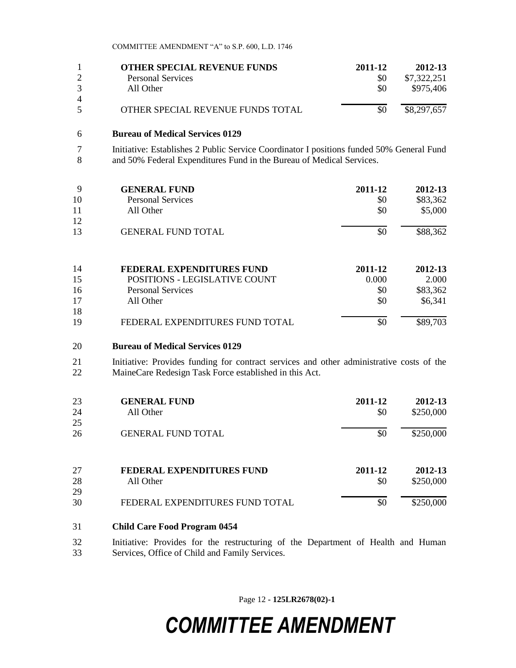| <b>OTHER SPECIAL REVENUE FUNDS</b> | 2011-12 | 2012-13     |
|------------------------------------|---------|-------------|
| <b>Personal Services</b>           |         | \$7,322,251 |
| All Other                          | \$0     | \$975,406   |
|                                    |         |             |
| OTHER SPECIAL REVENUE FUNDS TOTAL  |         | \$8,297,657 |

#### 6 **Bureau of Medical Services 0129**

7 Initiative: Establishes 2 Public Service Coordinator I positions funded 50% General Fund<br>8 and 50% Federal Expenditures Fund in the Bureau of Medical Services. and 50% Federal Expenditures Fund in the Bureau of Medical Services.

| 9<br>10<br>11 | <b>GENERAL FUND</b><br><b>Personal Services</b><br>All Other | 2011-12<br>\$0<br>\$0 | 2012-13<br>\$83,362<br>\$5,000 |
|---------------|--------------------------------------------------------------|-----------------------|--------------------------------|
| 12<br>13      | <b>GENERAL FUND TOTAL</b>                                    | \$0                   | \$88,362                       |
| 14            | <b>FEDERAL EXPENDITURES FUND</b>                             | 2011-12               | 2012-13                        |

|    | TEDENAL EATERDITUNES FURD       | 4011-14 | 2012-1 <i>3</i> |
|----|---------------------------------|---------|-----------------|
| 15 | POSITIONS - LEGISLATIVE COUNT   | 0.000   | 2.000           |
| 16 | Personal Services               | \$0     | \$83,362        |
| 17 | All Other                       | \$0     | \$6,341         |
| 18 |                                 |         |                 |
| 19 | FEDERAL EXPENDITURES FUND TOTAL | \$0     | \$89,703        |

#### 20 **Bureau of Medical Services 0129**

21 Initiative: Provides funding for contract services and other administrative costs of the 22 MaineCare Redesign Task Force established in this Act.

| 23<br>24 | <b>GENERAL FUND</b><br>All Other | 2011-12<br>\$0 | 2012-13<br>\$250,000 |
|----------|----------------------------------|----------------|----------------------|
| 25       |                                  |                |                      |
| 26       | <b>GENERAL FUND TOTAL</b>        | \$0            | \$250,000            |
| 27       | <b>FEDERAL EXPENDITURES FUND</b> | 2011-12        | 2012-13              |
| 28<br>29 | All Other                        | \$0            | \$250,000            |
| 30       | FEDERAL EXPENDITURES FUND TOTAL  | \$0            | \$250,000            |

#### 31 **Child Care Food Program 0454**

32 Initiative: Provides for the restructuring of the Department of Health and Human 33 Services, Office of Child and Family Services.

Page 12 **- 125LR2678(02)-1**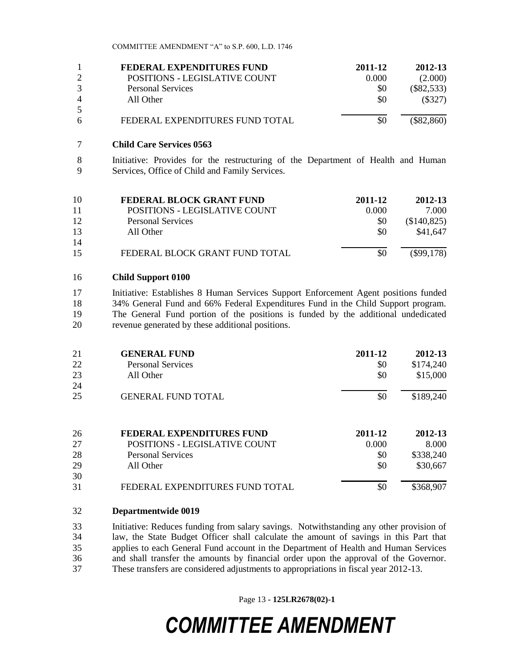|   | FEDERAL EXPENDITURES FUND       | 2011-12 | 2012-13      |
|---|---------------------------------|---------|--------------|
|   | POSITIONS - LEGISLATIVE COUNT   | 0.000   | (2.000)      |
|   | <b>Personal Services</b>        | \$0     | $(\$82,533)$ |
| 4 | All Other                       | \$0     | (\$327)      |
| 5 |                                 |         |              |
| 6 | FEDERAL EXPENDITURES FUND TOTAL | \$0     | $(\$82,860)$ |

#### **Child Care Services 0563**

 Initiative: Provides for the restructuring of the Department of Health and Human Services, Office of Child and Family Services.

| 10 | FEDERAL BLOCK GRANT FUND       | 2011-12 | 2012-13      |
|----|--------------------------------|---------|--------------|
| 11 | POSITIONS - LEGISLATIVE COUNT  | 0.000   | 7.000        |
| 12 | <b>Personal Services</b>       | \$0     | (\$140,825)  |
| 13 | All Other                      | \$0     | \$41,647     |
| 14 |                                |         |              |
| 15 | FEDERAL BLOCK GRANT FUND TOTAL | \$0     | $(\$99,178)$ |

#### **Child Support 0100**

 Initiative: Establishes 8 Human Services Support Enforcement Agent positions funded 34% General Fund and 66% Federal Expenditures Fund in the Child Support program. The General Fund portion of the positions is funded by the additional undedicated revenue generated by these additional positions.

| 21 | <b>GENERAL FUND</b>                  | 2011-12 | 2012-13   |
|----|--------------------------------------|---------|-----------|
| 22 | <b>Personal Services</b>             | \$0     | \$174,240 |
| 23 | All Other                            | \$0     | \$15,000  |
| 24 |                                      |         |           |
| 25 | <b>GENERAL FUND TOTAL</b>            | \$0     | \$189,240 |
| 26 | <b>FEDERAL EXPENDITURES FUND</b>     | 2011-12 | 2012-13   |
| 27 | <b>POSITIONS - LEGISLATIVE COUNT</b> | 0.000   | 8.000     |
| 28 | <b>Personal Services</b>             | \$0     | \$338,240 |
| 29 | All Other                            | \$0     | \$30,667  |
| 30 |                                      |         |           |
| 31 | FEDERAL EXPENDITURES FUND TOTAL      | \$0     | \$368,907 |

#### **Departmentwide 0019**

 Initiative: Reduces funding from salary savings. Notwithstanding any other provision of law, the State Budget Officer shall calculate the amount of savings in this Part that applies to each General Fund account in the Department of Health and Human Services and shall transfer the amounts by financial order upon the approval of the Governor. These transfers are considered adjustments to appropriations in fiscal year 2012-13.

Page 13 **- 125LR2678(02)-1**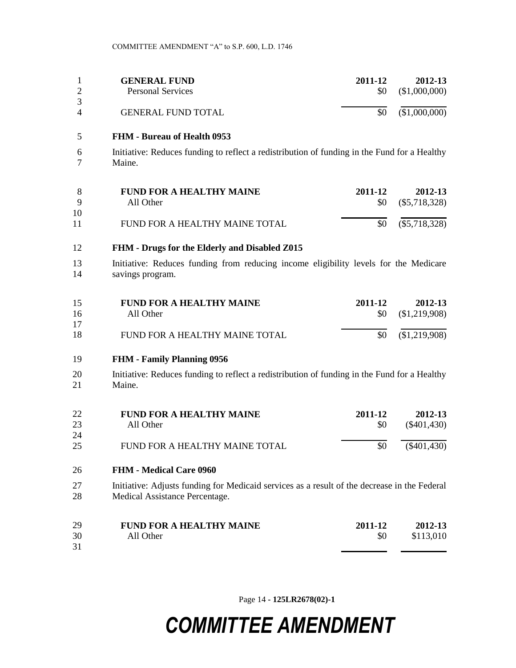|   | <b>GENERAL FUND</b>       | 2011-12 | 2012-13       |
|---|---------------------------|---------|---------------|
|   | <b>Personal Services</b>  | SO.     | (\$1,000,000) |
| Δ | <b>GENERAL FUND TOTAL</b> | \$0     | (\$1,000,000) |

#### **FHM - Bureau of Health 0953**

 Initiative: Reduces funding to reflect a redistribution of funding in the Fund for a Healthy Maine.

|              | <b>FUND FOR A HEALTHY MAINE</b> | 2011-12 | 2012-13                 |
|--------------|---------------------------------|---------|-------------------------|
| $\mathbf{Q}$ | All Other                       |         | $$0 \quad ($5,718,328)$ |
| 10           |                                 |         |                         |
| 11           | FUND FOR A HEALTHY MAINE TOTAL  |         | $$0 \quad ($5,718,328)$ |

#### **FHM - Drugs for the Elderly and Disabled Z015**

 Initiative: Reduces funding from reducing income eligibility levels for the Medicare savings program.

| 15 | <b>FUND FOR A HEALTHY MAINE</b> | 2011-12 | 2012-13                 |
|----|---------------------------------|---------|-------------------------|
| 16 | All Other                       |         | $$0 \quad ($1,219,908)$ |
| 17 |                                 |         |                         |
| 18 | FUND FOR A HEALTHY MAINE TOTAL  |         | $$0 \quad ($1,219,908)$ |

#### **FHM - Family Planning 0956**

 Initiative: Reduces funding to reflect a redistribution of funding in the Fund for a Healthy Maine.

| 22 | <b>FUND FOR A HEALTHY MAINE</b> | 2011-12   | 2012-13       |
|----|---------------------------------|-----------|---------------|
| 23 | All Other                       | <b>SO</b> | $(\$401,430)$ |
| 24 |                                 |           |               |
| 25 | FUND FOR A HEALTHY MAINE TOTAL  | \$0       | $(\$401,430)$ |

#### **FHM - Medical Care 0960**

 Initiative: Adjusts funding for Medicaid services as a result of the decrease in the Federal Medical Assistance Percentage.

| 29 | <b>FUND FOR A HEALTHY MAINE</b> | 2011-12 | 2012-13   |
|----|---------------------------------|---------|-----------|
| 30 | All Other                       | \$0     | \$113,010 |
| 31 |                                 |         |           |

Page 14 **- 125LR2678(02)-1**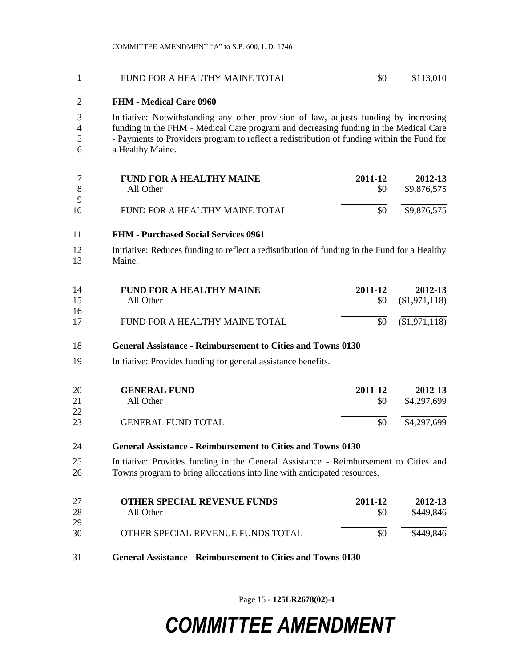#### FUND FOR A HEALTHY MAINE TOTAL \$0 \$113,010

#### **FHM - Medical Care 0960**

 Initiative: Notwithstanding any other provision of law, adjusts funding by increasing funding in the FHM - Medical Care program and decreasing funding in the Medical Care - Payments to Providers program to reflect a redistribution of funding within the Fund for a Healthy Maine.

|              | <b>FUND FOR A HEALTHY MAINE</b> | 2011-12 | 2012-13     |
|--------------|---------------------------------|---------|-------------|
| - 8          | All Other                       | \$0     | \$9,876,575 |
| $\mathbf{Q}$ |                                 |         |             |
| 10           | FUND FOR A HEALTHY MAINE TOTAL  | \$0     | \$9,876,575 |

#### **FHM - Purchased Social Services 0961**

12 Initiative: Reduces funding to reflect a redistribution of funding in the Fund for a Healthy Maine.

| -14 | <b>FUND FOR A HEALTHY MAINE</b> | 2011-12 | 2012-13                 |
|-----|---------------------------------|---------|-------------------------|
| 15  | All Other                       |         | $$0 \quad ($1,971,118)$ |
| 16  |                                 |         |                         |
| 17  | FUND FOR A HEALTHY MAINE TOTAL  |         | $$0 \quad ($1,971,118)$ |

#### **General Assistance - Reimbursement to Cities and Towns 0130**

Initiative: Provides funding for general assistance benefits.

| <b>20</b> | <b>GENERAL FUND</b>       | 2011-12 | 2012-13     |
|-----------|---------------------------|---------|-------------|
| 21        | All Other                 | \$0     | \$4,297,699 |
| 22        |                           |         |             |
| 23        | <b>GENERAL FUND TOTAL</b> | \$0     | \$4,297,699 |

#### **General Assistance - Reimbursement to Cities and Towns 0130**

 Initiative: Provides funding in the General Assistance - Reimbursement to Cities and Towns program to bring allocations into line with anticipated resources.

| 27 | <b>OTHER SPECIAL REVENUE FUNDS</b> | 2011-12 | 2012-13   |
|----|------------------------------------|---------|-----------|
| 28 | All Other                          | \$0     | \$449.846 |
| 29 |                                    |         |           |
| 30 | OTHER SPECIAL REVENUE FUNDS TOTAL  | \$0     | \$449,846 |
|    |                                    |         |           |

**General Assistance - Reimbursement to Cities and Towns 0130**

Page 15 **- 125LR2678(02)-1**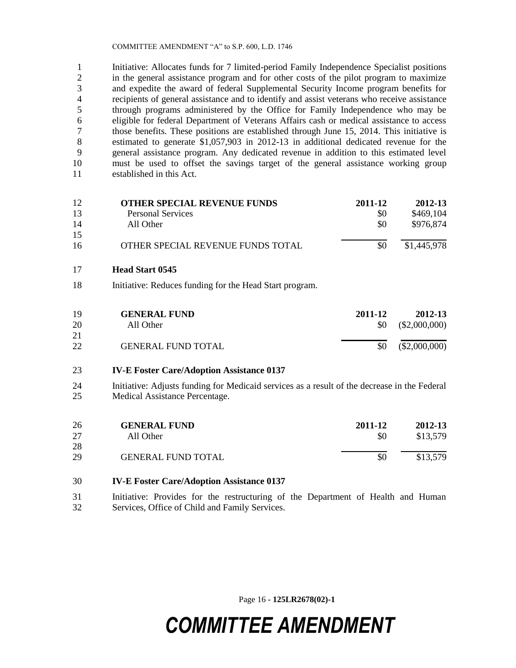Initiative: Allocates funds for 7 limited-period Family Independence Specialist positions in the general assistance program and for other costs of the pilot program to maximize and expedite the award of federal Supplemental Security Income program benefits for recipients of general assistance and to identify and assist veterans who receive assistance through programs administered by the Office for Family Independence who may be eligible for federal Department of Veterans Affairs cash or medical assistance to access those benefits. These positions are established through June 15, 2014. This initiative is estimated to generate \$1,057,903 in 2012-13 in additional dedicated revenue for the general assistance program. Any dedicated revenue in addition to this estimated level must be used to offset the savings target of the general assistance working group established in this Act.

| 12 | <b>OTHER SPECIAL REVENUE FUNDS</b>                      | 2011-12 | 2012-13         |
|----|---------------------------------------------------------|---------|-----------------|
| 13 | <b>Personal Services</b>                                | \$0     | \$469,104       |
| 14 | All Other                                               | \$0     | \$976,874       |
| 15 |                                                         |         |                 |
| 16 | OTHER SPECIAL REVENUE FUNDS TOTAL                       | \$0     | \$1,445,978     |
| 17 | <b>Head Start 0545</b>                                  |         |                 |
| 18 | Initiative: Reduces funding for the Head Start program. |         |                 |
| 19 | <b>GENERAL FUND</b>                                     | 2011-12 | 2012-13         |
| 20 | All Other                                               | \$0     | $(\$2,000,000)$ |
| 21 |                                                         |         |                 |
| 22 | <b>GENERAL FUND TOTAL</b>                               | \$0     | (\$2,000,000)   |
|    |                                                         |         |                 |

#### **IV-E Foster Care/Adoption Assistance 0137**

 Initiative: Adjusts funding for Medicaid services as a result of the decrease in the Federal Medical Assistance Percentage.

| 26 | <b>GENERAL FUND</b>       | 2011-12 | 2012-13  |
|----|---------------------------|---------|----------|
| 27 | All Other                 | \$0     | \$13,579 |
| 28 |                           |         |          |
| 29 | <b>GENERAL FUND TOTAL</b> | \$0     | \$13,579 |

#### **IV-E Foster Care/Adoption Assistance 0137**

 Initiative: Provides for the restructuring of the Department of Health and Human Services, Office of Child and Family Services.

Page 16 **- 125LR2678(02)-1**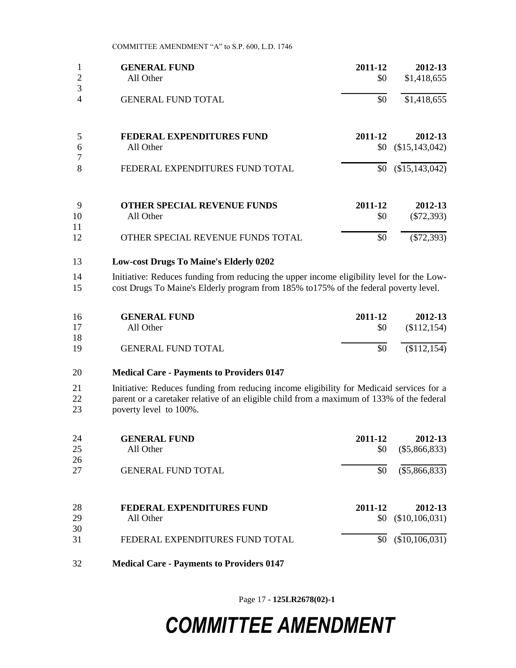| 3<br>\$0<br>4<br><b>GENERAL FUND TOTAL</b><br>5<br>FEDERAL EXPENDITURES FUND<br>2011-12<br>6<br>(\$15,143,042)<br>All Other<br>\$0<br>$\boldsymbol{7}$                                                                            | \$1,418,655     |
|-----------------------------------------------------------------------------------------------------------------------------------------------------------------------------------------------------------------------------------|-----------------|
|                                                                                                                                                                                                                                   |                 |
|                                                                                                                                                                                                                                   | 2012-13         |
|                                                                                                                                                                                                                                   |                 |
| 8<br>\$0<br>FEDERAL EXPENDITURES FUND TOTAL                                                                                                                                                                                       | (\$15,143,042)  |
| 2011-12<br>9<br><b>OTHER SPECIAL REVENUE FUNDS</b>                                                                                                                                                                                | 2012-13         |
| 10<br>All Other<br>\$0                                                                                                                                                                                                            | $(\$72,393)$    |
| 11<br>$\overline{\$0}$<br>12<br>OTHER SPECIAL REVENUE FUNDS TOTAL                                                                                                                                                                 | $(\$72,393)$    |
| <b>Low-cost Drugs To Maine's Elderly 0202</b><br>13                                                                                                                                                                               |                 |
| 14<br>Initiative: Reduces funding from reducing the upper income eligibility level for the Low-<br>cost Drugs To Maine's Elderly program from 185% to175% of the federal poverty level.<br>15                                     |                 |
| 2011-12<br><b>GENERAL FUND</b><br>16                                                                                                                                                                                              | 2012-13         |
| 17<br>All Other<br>\$0                                                                                                                                                                                                            | (\$112, 154)    |
| 18<br>\$0<br>19<br><b>GENERAL FUND TOTAL</b>                                                                                                                                                                                      | (\$112, 154)    |
| <b>Medical Care - Payments to Providers 0147</b><br>20                                                                                                                                                                            |                 |
| 21<br>Initiative: Reduces funding from reducing income eligibility for Medicaid services for a<br>parent or a caretaker relative of an eligible child from a maximum of 133% of the federal<br>22<br>23<br>poverty level to 100%. |                 |
| <b>GENERAL FUND</b><br>2011-12<br>24                                                                                                                                                                                              | 2012-13         |
| 25<br>All Other<br>\$0                                                                                                                                                                                                            | $(\$5,866,833)$ |
| 26<br>\$0<br>27<br><b>GENERAL FUND TOTAL</b>                                                                                                                                                                                      | $(\$5,866,833)$ |

| 28       | FEDERAL EXPENDITURES FUND       | 2011-12 | 2012-13                  |
|----------|---------------------------------|---------|--------------------------|
| 29       | All Other                       |         | $$0 \quad ($10,106,031)$ |
| 30<br>31 | FEDERAL EXPENDITURES FUND TOTAL |         | $$0 \quad ($10,106,031)$ |

**Medical Care - Payments to Providers 0147**

Page 17 **- 125LR2678(02)-1**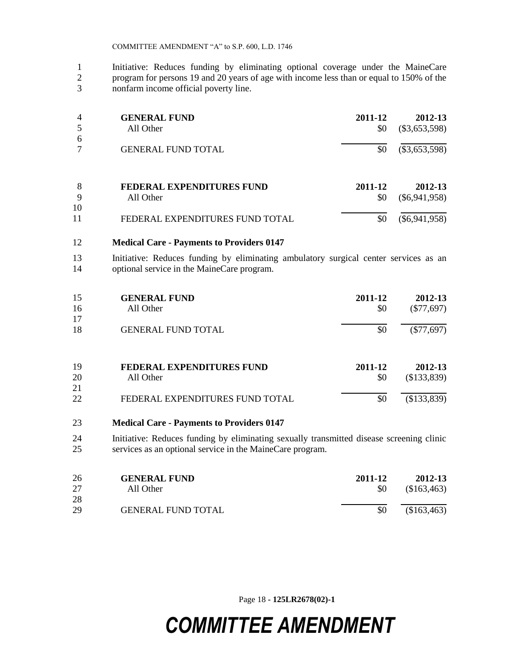Initiative: Reduces funding by eliminating optional coverage under the MaineCare program for persons 19 and 20 years of age with income less than or equal to 150% of the nonfarm income official poverty line.

| $\overline{4}$ | <b>GENERAL FUND</b><br>All Other | 2011-12<br>\$0 | 2012-13<br>$(\$3,653,598)$ |
|----------------|----------------------------------|----------------|----------------------------|
| 6              |                                  |                |                            |
|                | <b>GENERAL FUND TOTAL</b>        | \$0            | $(\$3,653,598)$            |
| 8              | FEDERAL EXPENDITURES FUND        | 2011-12        | 2012-13                    |
| 9              | All Other                        | \$0            | $(\$6,941,958)$            |
| 10             |                                  |                |                            |
| 11             | FEDERAL EXPENDITURES FUND TOTAL  | \$0            | $(\$6,941,958)$            |

#### **Medical Care - Payments to Providers 0147**

 Initiative: Reduces funding by eliminating ambulatory surgical center services as an optional service in the MaineCare program.

| 15  | <b>GENERAL FUND</b>       | 2011-12 | 2012-13      |
|-----|---------------------------|---------|--------------|
| 16  | All Other                 | \$0     | $(\$77,697)$ |
| 17  |                           |         |              |
| -18 | <b>GENERAL FUND TOTAL</b> | \$0     | $(\$77,697)$ |

| 19 | FEDERAL EXPENDITURES FUND       | 2011-12 | 2012-13     |
|----|---------------------------------|---------|-------------|
| 20 | All Other                       | SO.     | (\$133,839) |
| 21 |                                 |         |             |
| 22 | FEDERAL EXPENDITURES FUND TOTAL | \$0     | (\$133,839) |

#### **Medical Care - Payments to Providers 0147**

 Initiative: Reduces funding by eliminating sexually transmitted disease screening clinic services as an optional service in the MaineCare program.

| 26 | <b>GENERAL FUND</b>       | 2011-12 | 2012-13     |
|----|---------------------------|---------|-------------|
| 27 | All Other                 | \$0     | (\$163,463) |
| 28 |                           |         |             |
| 29 | <b>GENERAL FUND TOTAL</b> | \$0     | (\$163,463) |

Page 18 **- 125LR2678(02)-1**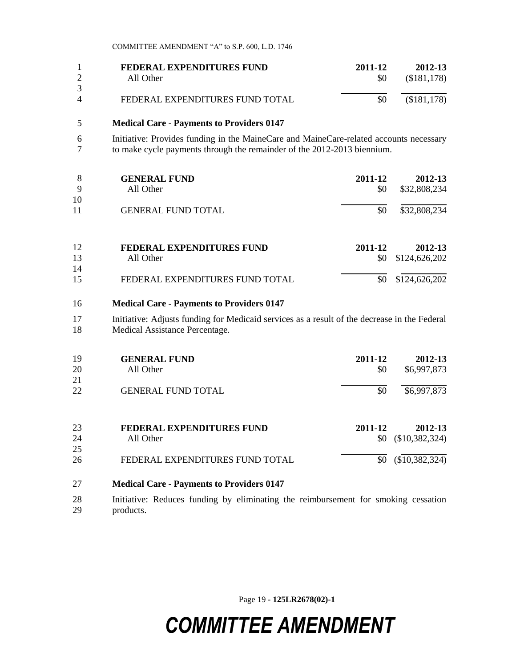|          | FEDERAL EXPENDITURES FUND       | 2011-12 | 2012-13     |
|----------|---------------------------------|---------|-------------|
|          | All Other                       | \$0     | (\$181,178) |
|          |                                 |         |             |
| $\Delta$ | FEDERAL EXPENDITURES FUND TOTAL | \$0     | (\$181,178) |
|          |                                 |         |             |

#### 5 **Medical Care - Payments to Providers 0147**

6 Initiative: Provides funding in the MaineCare and MaineCare-related accounts necessary<br>7 to make cycle payments through the remainder of the 2012-2013 biennium. to make cycle payments through the remainder of the 2012-2013 biennium.

| 8        | <b>GENERAL FUND</b>             | 2011-12 | 2012-13       |
|----------|---------------------------------|---------|---------------|
| 9        | All Other                       | \$0     | \$32,808,234  |
| 10<br>11 | <b>GENERAL FUND TOTAL</b>       | \$0     | \$32,808,234  |
| 12       | FEDERAL EXPENDITURES FUND       | 2011-12 | 2012-13       |
| 13       | All Other                       | \$0     | \$124,626,202 |
| 14<br>15 | FEDERAL EXPENDITURES FUND TOTAL | \$0     | \$124,626,202 |

#### 16 **Medical Care - Payments to Providers 0147**

17 Initiative: Adjusts funding for Medicaid services as a result of the decrease in the Federal 18 Medical Assistance Percentage.

| 19<br><b>20</b><br>21 | <b>GENERAL FUND</b><br>All Other             | 2011-12<br>\$0 | 2012-13<br>\$6,997,873           |
|-----------------------|----------------------------------------------|----------------|----------------------------------|
| 22                    | <b>GENERAL FUND TOTAL</b>                    | \$0            | \$6,997,873                      |
| 23                    | <b>FEDERAL EXPENDITURES FUND</b>             | 2011-12        | 2012-13                          |
| 24<br>25<br>26        | All Other<br>FEDERAL EXPENDITURES FUND TOTAL | \$0<br>\$0     | (\$10,382,324)<br>(\$10,382,324) |

- 27 **Medical Care - Payments to Providers 0147**
- 28 Initiative: Reduces funding by eliminating the reimbursement for smoking cessation 29 products.

Page 19 **- 125LR2678(02)-1**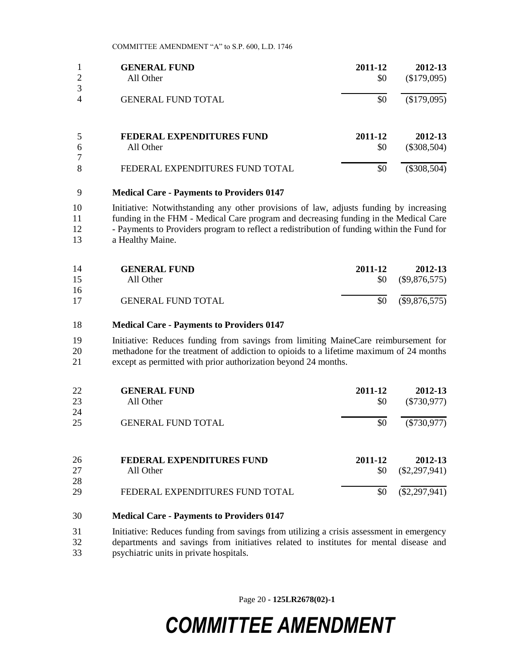|   | <b>GENERAL FUND</b>             | 2011-12 | 2012-13       |
|---|---------------------------------|---------|---------------|
| 2 | All Other                       | \$0     | (\$179,095)   |
| 3 |                                 |         |               |
| 4 | <b>GENERAL FUND TOTAL</b>       | \$0     | (\$179,095)   |
| 5 | FEDERAL EXPENDITURES FUND       | 2011-12 | 2012-13       |
| 6 | All Other                       | \$0     | $(\$308,504)$ |
| 7 |                                 |         |               |
| 8 | FEDERAL EXPENDITURES FUND TOTAL | \$0     | $(\$308,504)$ |

#### **Medical Care - Payments to Providers 0147**

 Initiative: Notwithstanding any other provisions of law, adjusts funding by increasing funding in the FHM - Medical Care program and decreasing funding in the Medical Care - Payments to Providers program to reflect a redistribution of funding within the Fund for a Healthy Maine.

| 14 | <b>GENERAL FUND</b>       | 2011-12   | 2012-13         |
|----|---------------------------|-----------|-----------------|
| 15 | All Other                 | <b>SO</b> | $(\$9,876,575)$ |
| 16 |                           |           |                 |
| 17 | <b>GENERAL FUND TOTAL</b> | \$0       | $(\$9,876,575)$ |

#### **Medical Care - Payments to Providers 0147**

 Initiative: Reduces funding from savings from limiting MaineCare reimbursement for methadone for the treatment of addiction to opioids to a lifetime maximum of 24 months except as permitted with prior authorization beyond 24 months.

| 22 | <b>GENERAL FUND</b>              | 2011-12 | 2012-13         |
|----|----------------------------------|---------|-----------------|
| 23 | All Other                        | \$0     | $(\$730,977)$   |
| 24 |                                  |         |                 |
| 25 | <b>GENERAL FUND TOTAL</b>        | \$0     | $(\$730,977)$   |
| 26 | <b>FEDERAL EXPENDITURES FUND</b> | 2011-12 | 2012-13         |
| 27 | All Other                        | \$0     | $(\$2,297,941)$ |
| 28 |                                  |         |                 |
| 29 | FEDERAL EXPENDITURES FUND TOTAL  | \$0     | $(\$2,297,941)$ |

#### **Medical Care - Payments to Providers 0147**

 Initiative: Reduces funding from savings from utilizing a crisis assessment in emergency departments and savings from initiatives related to institutes for mental disease and psychiatric units in private hospitals.

Page 20 **- 125LR2678(02)-1**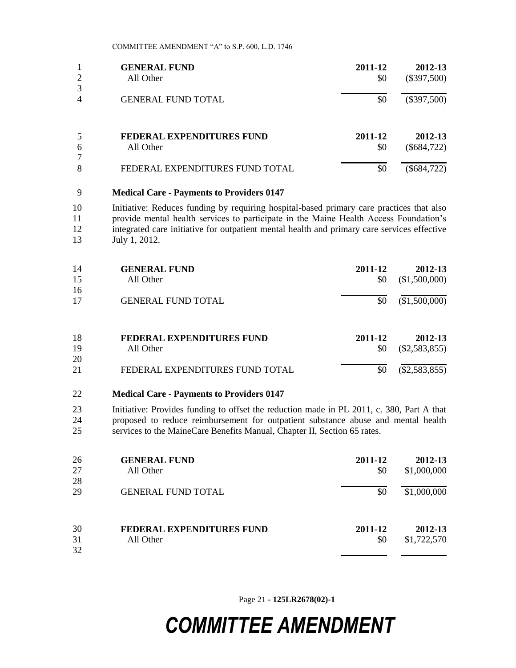|        | <b>GENERAL FUND</b>             | 2011-12 | 2012-13       |
|--------|---------------------------------|---------|---------------|
| 2      | All Other                       | \$0     | $(\$397,500)$ |
| 3      |                                 |         |               |
| 4      | <b>GENERAL FUND TOTAL</b>       | \$0     | $(\$397,500)$ |
|        | FEDERAL EXPENDITURES FUND       | 2011-12 | 2012-13       |
| 6<br>7 | All Other                       | \$0     | $(\$684,722)$ |
| 8      | FEDERAL EXPENDITURES FUND TOTAL | \$0     | $(\$684,722)$ |

#### **Medical Care - Payments to Providers 0147**

 Initiative: Reduces funding by requiring hospital-based primary care practices that also provide mental health services to participate in the Maine Health Access Foundation's integrated care initiative for outpatient mental health and primary care services effective July 1, 2012.

| 14<br>15 | <b>GENERAL FUND</b><br>All Other | 2011-12<br>\$0 | 2012-13<br>(\$1,500,000) |
|----------|----------------------------------|----------------|--------------------------|
| 16       |                                  |                |                          |
| 17       | <b>GENERAL FUND TOTAL</b>        | \$0            | (\$1,500,000)            |
| 18       | FEDERAL EXPENDITURES FUND        | 2011-12        | 2012-13                  |
| 19       | All Other                        | \$0            | $(\$2,583,855)$          |
| 20       |                                  |                |                          |
| 21       | FEDERAL EXPENDITURES FUND TOTAL  | \$0            | $(\$2,583,855)$          |

- **Medical Care - Payments to Providers 0147**
- Initiative: Provides funding to offset the reduction made in PL 2011, c. 380, Part A that proposed to reduce reimbursement for outpatient substance abuse and mental health services to the MaineCare Benefits Manual, Chapter II, Section 65 rates.

| 26<br>27<br>28 | <b>GENERAL FUND</b><br>All Other | 2011-12<br>\$0 | 2012-13<br>\$1,000,000 |
|----------------|----------------------------------|----------------|------------------------|
| 29             | <b>GENERAL FUND TOTAL</b>        | \$0            | \$1,000,000            |
| 30             | <b>FEDERAL EXPENDITURES FUND</b> | 2011-12        | 2012-13                |
| 31             | All Other                        | \$0            | \$1,722,570            |
| 32             |                                  |                |                        |

Page 21 **- 125LR2678(02)-1**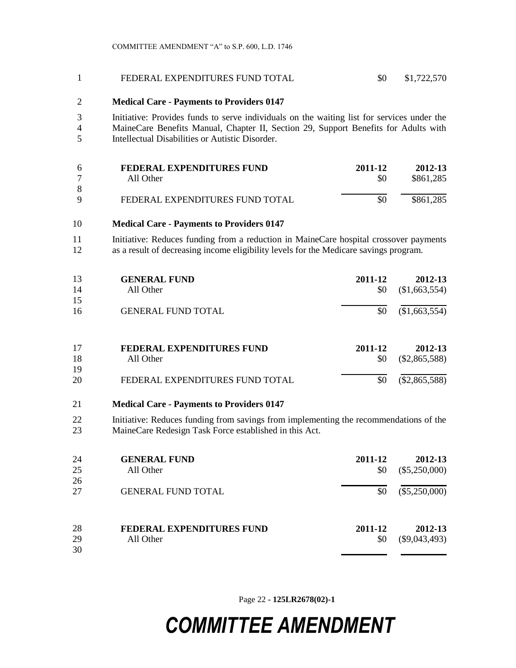#### FEDERAL EXPENDITURES FUND TOTAL \$0 \$1,722,570

#### **Medical Care - Payments to Providers 0147**

 Initiative: Provides funds to serve individuals on the waiting list for services under the MaineCare Benefits Manual, Chapter II, Section 29, Support Benefits for Adults with Intellectual Disabilities or Autistic Disorder.

| -6       | FEDERAL EXPENDITURES FUND       | 2011-12 | 2012-13   |
|----------|---------------------------------|---------|-----------|
|          | All Other                       | \$0     | \$861,285 |
| 8        |                                 |         |           |
| $\Omega$ | FEDERAL EXPENDITURES FUND TOTAL | \$0     | \$861,285 |

#### **Medical Care - Payments to Providers 0147**

11 Initiative: Reduces funding from a reduction in MaineCare hospital crossover payments as a result of decreasing income eligibility levels for the Medicare savings program.

| 13<br>14<br>15 | <b>GENERAL FUND</b><br>All Other              | 2011-12<br>\$0 | 2012-13<br>(\$1,663,554)   |
|----------------|-----------------------------------------------|----------------|----------------------------|
| 16             | <b>GENERAL FUND TOTAL</b>                     | \$0            | (\$1,663,554)              |
| 17<br>18       | <b>FEDERAL EXPENDITURES FUND</b><br>All Other | 2011-12<br>\$0 | 2012-13<br>$(\$2,865,588)$ |

| -20 | FEDERAL EXPENDITURES FUND TOTAL | $$0 \quad ($2,865,588)$ |
|-----|---------------------------------|-------------------------|
|     |                                 |                         |

#### **Medical Care - Payments to Providers 0147**

 Initiative: Reduces funding from savings from implementing the recommendations of the MaineCare Redesign Task Force established in this Act.

| 24 | <b>GENERAL FUND</b>       | 2011-12 | 2012-13         |
|----|---------------------------|---------|-----------------|
| 25 | All Other                 | \$0     | $(\$5,250,000)$ |
| 26 |                           |         |                 |
| 27 | <b>GENERAL FUND TOTAL</b> | \$0     | $(\$5,250,000)$ |
|    |                           |         |                 |
| 28 | FEDERAL EXPENDITURES FUND | 2011-12 | 2012-13         |
| 29 | All Other                 | \$0     | $(\$9,043,493)$ |
| 30 |                           |         |                 |

Page 22 **- 125LR2678(02)-1**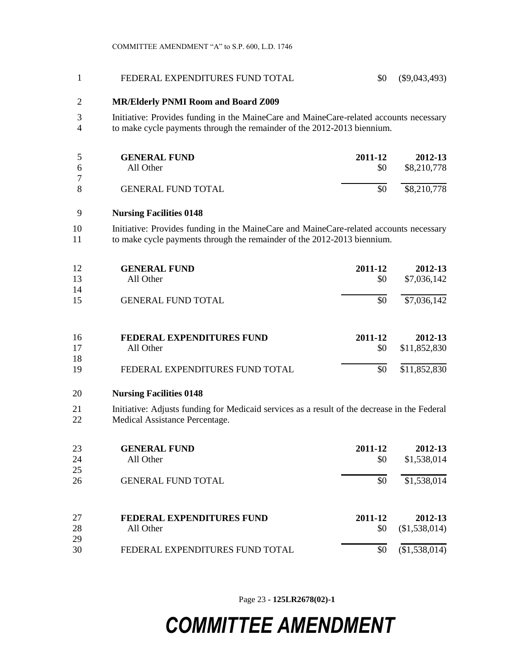| $\mathbf{1}$         | FEDERAL EXPENDITURES FUND TOTAL                                                                                                                                   | \$0                   | $(\$9,043,493)$                         |
|----------------------|-------------------------------------------------------------------------------------------------------------------------------------------------------------------|-----------------------|-----------------------------------------|
| 2                    | <b>MR/Elderly PNMI Room and Board Z009</b>                                                                                                                        |                       |                                         |
| 3<br>4               | Initiative: Provides funding in the MaineCare and MaineCare-related accounts necessary<br>to make cycle payments through the remainder of the 2012-2013 biennium. |                       |                                         |
| 5<br>6               | <b>GENERAL FUND</b><br>All Other                                                                                                                                  | 2011-12<br>\$0        | 2012-13<br>\$8,210,778                  |
| $\tau$<br>8          | <b>GENERAL FUND TOTAL</b>                                                                                                                                         | \$0                   | \$8,210,778                             |
| 9                    | <b>Nursing Facilities 0148</b>                                                                                                                                    |                       |                                         |
| 10<br>11             | Initiative: Provides funding in the MaineCare and MaineCare-related accounts necessary<br>to make cycle payments through the remainder of the 2012-2013 biennium. |                       |                                         |
| 12<br>13             | <b>GENERAL FUND</b><br>All Other                                                                                                                                  | 2011-12<br>\$0        | 2012-13<br>\$7,036,142                  |
| 14<br>15             | <b>GENERAL FUND TOTAL</b>                                                                                                                                         | \$0                   | \$7,036,142                             |
| 16<br>17<br>18<br>19 | <b>FEDERAL EXPENDITURES FUND</b><br>All Other<br>FEDERAL EXPENDITURES FUND TOTAL                                                                                  | 2011-12<br>\$0<br>\$0 | 2012-13<br>\$11,852,830<br>\$11,852,830 |
| 20                   | <b>Nursing Facilities 0148</b>                                                                                                                                    |                       |                                         |
| 21<br>22             | Initiative: Adjusts funding for Medicaid services as a result of the decrease in the Federal<br>Medical Assistance Percentage.                                    |                       |                                         |
| 23<br>24<br>25       | <b>GENERAL FUND</b><br>All Other                                                                                                                                  | 2011-12<br>\$0        | 2012-13<br>\$1,538,014                  |
| 26                   | <b>GENERAL FUND TOTAL</b>                                                                                                                                         | \$0                   | \$1,538,014                             |
| 27<br>28<br>29       | FEDERAL EXPENDITURES FUND<br>All Other                                                                                                                            | 2011-12<br>\$0        | 2012-13<br>(\$1,538,014)                |
| 30                   | FEDERAL EXPENDITURES FUND TOTAL                                                                                                                                   | \$0                   | (\$1,538,014)                           |

Page 23 **- 125LR2678(02)-1**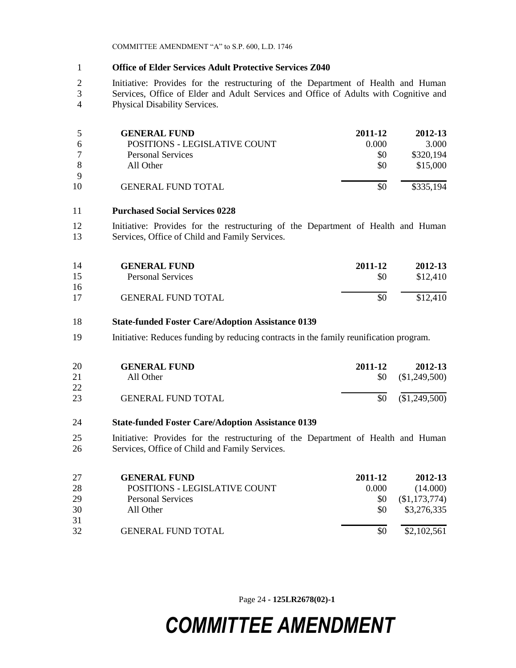#### **Office of Elder Services Adult Protective Services Z040**

 Initiative: Provides for the restructuring of the Department of Health and Human Services, Office of Elder and Adult Services and Office of Adults with Cognitive and Physical Disability Services.

|             | <b>GENERAL FUND</b>           | 2011-12 | 2012-13   |
|-------------|-------------------------------|---------|-----------|
|             | POSITIONS - LEGISLATIVE COUNT | 0.000   | 3.000     |
|             | Personal Services             | \$0     | \$320,194 |
|             | All Other                     | \$0     | \$15,000  |
| $\mathbf Q$ |                               |         |           |
| 10          | <b>GENERAL FUND TOTAL</b>     | \$0     | \$335,194 |

#### **Purchased Social Services 0228**

 Initiative: Provides for the restructuring of the Department of Health and Human Services, Office of Child and Family Services.

| 14 | <b>GENERAL FUND</b>       | 2011-12 | 2012-13  |
|----|---------------------------|---------|----------|
| 15 | <b>Personal Services</b>  | \$0     | \$12,410 |
| 16 |                           |         |          |
| 17 | <b>GENERAL FUND TOTAL</b> | \$0     | \$12,410 |

#### **State-funded Foster Care/Adoption Assistance 0139**

Initiative: Reduces funding by reducing contracts in the family reunification program.

| 20       | <b>GENERAL FUND</b>       | 2011-12 | 2012-13                  |
|----------|---------------------------|---------|--------------------------|
| 21       | All Other                 |         | $$0 \quad (\$1,249,500)$ |
| 22<br>23 | <b>GENERAL FUND TOTAL</b> |         | $$0 \quad ($1,249,500)$  |

#### **State-funded Foster Care/Adoption Assistance 0139**

 Initiative: Provides for the restructuring of the Department of Health and Human Services, Office of Child and Family Services.

| 27 | <b>GENERAL FUND</b>           | 2011-12 | 2012-13       |
|----|-------------------------------|---------|---------------|
| 28 | POSITIONS - LEGISLATIVE COUNT | 0.000   | (14.000)      |
| 29 | <b>Personal Services</b>      | \$0     | (\$1,173,774) |
| 30 | All Other                     | \$0     | \$3,276,335   |
| 31 |                               |         |               |
| 32 | <b>GENERAL FUND TOTAL</b>     | \$0     | \$2,102,561   |

Page 24 **- 125LR2678(02)-1**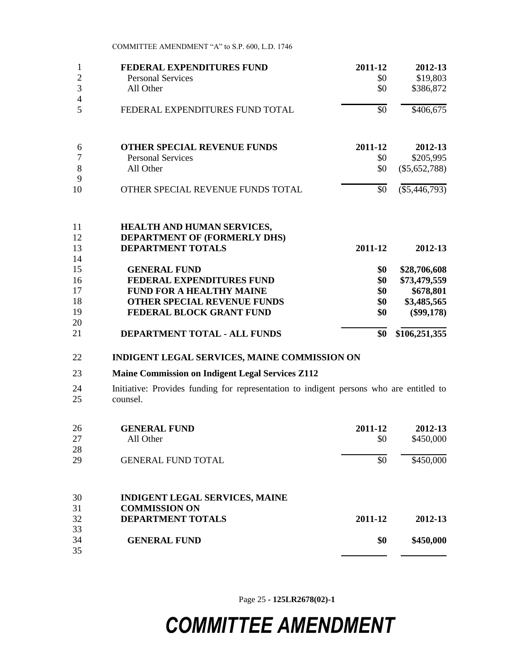| 1              | FEDERAL EXPENDITURES FUND                                                                            | 2011-12 | 2012-13         |
|----------------|------------------------------------------------------------------------------------------------------|---------|-----------------|
| $\overline{2}$ | <b>Personal Services</b>                                                                             | \$0     | \$19,803        |
| 3              | All Other                                                                                            | \$0     | \$386,872       |
| $\overline{4}$ |                                                                                                      |         |                 |
| 5              | FEDERAL EXPENDITURES FUND TOTAL                                                                      | \$0     | \$406,675       |
| 6              | <b>OTHER SPECIAL REVENUE FUNDS</b>                                                                   | 2011-12 | 2012-13         |
| $\overline{7}$ | <b>Personal Services</b>                                                                             | \$0     | \$205,995       |
| 8              | All Other                                                                                            | \$0     | $(\$5,652,788)$ |
| 9              |                                                                                                      |         |                 |
| 10             | OTHER SPECIAL REVENUE FUNDS TOTAL                                                                    | \$0     | $(\$5,446,793)$ |
| 11<br>12<br>13 | <b>HEALTH AND HUMAN SERVICES,</b><br><b>DEPARTMENT OF (FORMERLY DHS)</b><br><b>DEPARTMENT TOTALS</b> | 2011-12 | 2012-13         |
| 14<br>15       | <b>GENERAL FUND</b>                                                                                  | \$0     | \$28,706,608    |
| 16             | FEDERAL EXPENDITURES FUND                                                                            | \$0     | \$73,479,559    |
| 17             | <b>FUND FOR A HEALTHY MAINE</b>                                                                      | \$0     | \$678,801       |
| 18             | <b>OTHER SPECIAL REVENUE FUNDS</b>                                                                   | \$0     | \$3,485,565     |
| 19             | FEDERAL BLOCK GRANT FUND                                                                             | \$0     | $(\$99,178)$    |
| 20             |                                                                                                      |         |                 |
| 21             | DEPARTMENT TOTAL - ALL FUNDS                                                                         | \$0     | \$106,251,355   |
| 22             | <b>INDIGENT LEGAL SERVICES, MAINE COMMISSION ON</b>                                                  |         |                 |
| 23             | <b>Maine Commission on Indigent Legal Services Z112</b>                                              |         |                 |

24 Initiative: Provides funding for representation to indigent persons who are entitled to counsel.

| 26 | <b>GENERAL FUND</b>                   | 2011-12 | 2012-13   |
|----|---------------------------------------|---------|-----------|
| 27 | All Other                             | \$0     | \$450,000 |
| 28 |                                       |         |           |
| 29 | <b>GENERAL FUND TOTAL</b>             | \$0     | \$450,000 |
| 30 | <b>INDIGENT LEGAL SERVICES, MAINE</b> |         |           |
| 31 | <b>COMMISSION ON</b>                  |         |           |
| 32 | <b>DEPARTMENT TOTALS</b>              | 2011-12 | 2012-13   |
| 33 |                                       |         |           |
| 34 | <b>GENERAL FUND</b>                   | \$0     | \$450,000 |
| 35 |                                       |         |           |

Page 25 **- 125LR2678(02)-1**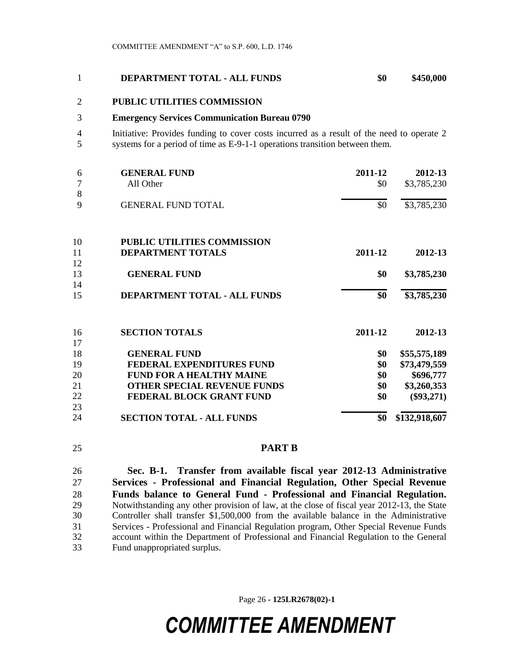#### **DEPARTMENT TOTAL - ALL FUNDS \$0 \$450,000**

### **PUBLIC UTILITIES COMMISSION**

#### **Emergency Services Communication Bureau 0790**

 Initiative: Provides funding to cover costs incurred as a result of the need to operate 2 systems for a period of time as E-9-1-1 operations transition between them.

| 6  | <b>GENERAL FUND</b>                | 2011-12 | 2012-13       |
|----|------------------------------------|---------|---------------|
| 7  | All Other                          | \$0     | \$3,785,230   |
| 8  |                                    |         |               |
| 9  | <b>GENERAL FUND TOTAL</b>          | \$0     | \$3,785,230   |
| 10 | <b>PUBLIC UTILITIES COMMISSION</b> |         |               |
| 11 | <b>DEPARTMENT TOTALS</b>           | 2011-12 | 2012-13       |
| 12 |                                    |         |               |
| 13 | <b>GENERAL FUND</b>                | \$0     | \$3,785,230   |
| 14 |                                    |         |               |
| 15 | DEPARTMENT TOTAL - ALL FUNDS       | \$0     | \$3,785,230   |
| 16 | <b>SECTION TOTALS</b>              | 2011-12 | 2012-13       |
| 17 |                                    |         |               |
| 18 | <b>GENERAL FUND</b>                | \$0     | \$55,575,189  |
| 19 | <b>FEDERAL EXPENDITURES FUND</b>   | \$0     | \$73,479,559  |
| 20 | <b>FUND FOR A HEALTHY MAINE</b>    | \$0     | \$696,777     |
| 21 | <b>OTHER SPECIAL REVENUE FUNDS</b> | \$0     | \$3,260,353   |
| 22 | FEDERAL BLOCK GRANT FUND           | \$0     | $(\$93,271)$  |
| 23 |                                    |         |               |
| 24 | <b>SECTION TOTAL - ALL FUNDS</b>   | \$0     | \$132,918,607 |

### **PART B**

 **Sec. B-1. Transfer from available fiscal year 2012-13 Administrative Services - Professional and Financial Regulation, Other Special Revenue Funds balance to General Fund - Professional and Financial Regulation.**  Notwithstanding any other provision of law, at the close of fiscal year 2012-13, the State Controller shall transfer \$1,500,000 from the available balance in the Administrative Services - Professional and Financial Regulation program, Other Special Revenue Funds account within the Department of Professional and Financial Regulation to the General Fund unappropriated surplus.

Page 26 **- 125LR2678(02)-1**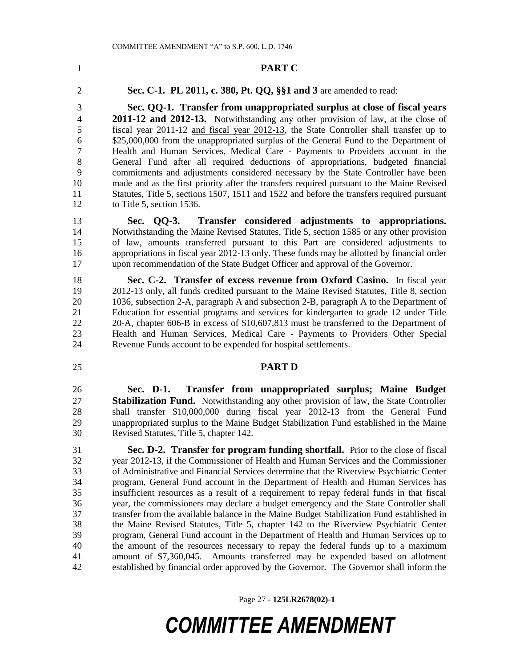#### **PART C**

**Sec. C-1. PL 2011, c. 380, Pt. QQ, §§1 and 3** are amended to read:

 **Sec. QQ-1. Transfer from unappropriated surplus at close of fiscal years 2011-12 and 2012-13.** Notwithstanding any other provision of law, at the close of fiscal year 2011-12 and fiscal year 2012-13, the State Controller shall transfer up to \$25,000,000 from the unappropriated surplus of the General Fund to the Department of Health and Human Services, Medical Care - Payments to Providers account in the General Fund after all required deductions of appropriations, budgeted financial commitments and adjustments considered necessary by the State Controller have been made and as the first priority after the transfers required pursuant to the Maine Revised Statutes, Title 5, sections 1507, 1511 and 1522 and before the transfers required pursuant to Title 5, section 1536.

 **Sec. QQ-3. Transfer considered adjustments to appropriations.** Notwithstanding the Maine Revised Statutes, Title 5, section 1585 or any other provision of law, amounts transferred pursuant to this Part are considered adjustments to 16 appropriations in fiscal year 2012-13 only. These funds may be allotted by financial order upon recommendation of the State Budget Officer and approval of the Governor.

 **Sec. C-2. Transfer of excess revenue from Oxford Casino.** In fiscal year 2012-13 only, all funds credited pursuant to the Maine Revised Statutes, Title 8, section 1036, subsection 2-A, paragraph A and subsection 2-B, paragraph A to the Department of Education for essential programs and services for kindergarten to grade 12 under Title 20-A, chapter 606-B in excess of \$10,607,813 must be transferred to the Department of Health and Human Services, Medical Care - Payments to Providers Other Special Revenue Funds account to be expended for hospital settlements.

#### **PART D**

 **Sec. D-1. Transfer from unappropriated surplus; Maine Budget Stabilization Fund.** Notwithstanding any other provision of law, the State Controller shall transfer \$10,000,000 during fiscal year 2012-13 from the General Fund unappropriated surplus to the Maine Budget Stabilization Fund established in the Maine Revised Statutes, Title 5, chapter 142.

 **Sec. D-2. Transfer for program funding shortfall.** Prior to the close of fiscal year 2012-13, if the Commissioner of Health and Human Services and the Commissioner of Administrative and Financial Services determine that the Riverview Psychiatric Center program, General Fund account in the Department of Health and Human Services has insufficient resources as a result of a requirement to repay federal funds in that fiscal year, the commissioners may declare a budget emergency and the State Controller shall transfer from the available balance in the Maine Budget Stabilization Fund established in the Maine Revised Statutes, Title 5, chapter 142 to the Riverview Psychiatric Center program, General Fund account in the Department of Health and Human Services up to the amount of the resources necessary to repay the federal funds up to a maximum amount of \$7,360,045. Amounts transferred may be expended based on allotment established by financial order approved by the Governor. The Governor shall inform the

Page 27 **- 125LR2678(02)-1**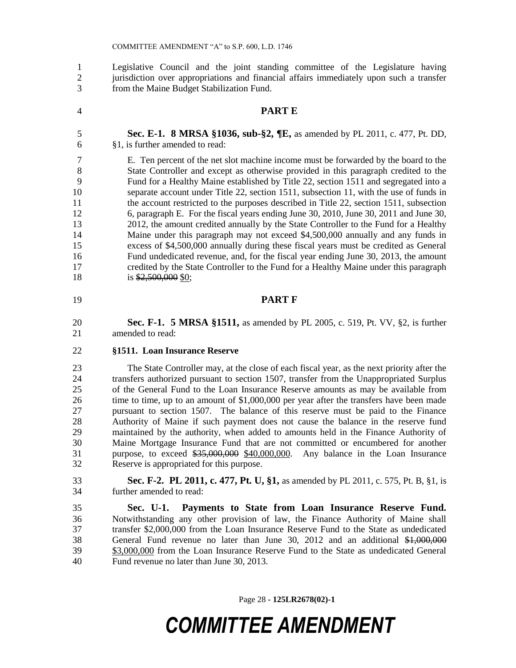Legislative Council and the joint standing committee of the Legislature having jurisdiction over appropriations and financial affairs immediately upon such a transfer from the Maine Budget Stabilization Fund.

- **PART E**
- **Sec. E-1. 8 MRSA §1036, sub-§2, ¶E,** as amended by PL 2011, c. 477, Pt. DD, §1, is further amended to read:

 E. Ten percent of the net slot machine income must be forwarded by the board to the State Controller and except as otherwise provided in this paragraph credited to the Fund for a Healthy Maine established by Title 22, section 1511 and segregated into a separate account under Title 22, section 1511, subsection 11, with the use of funds in 11 the account restricted to the purposes described in Title 22, section 1511, subsection 6, paragraph E. For the fiscal years ending June 30, 2010, June 30, 2011 and June 30, 13 2012, the amount credited annually by the State Controller to the Fund for a Healthy Maine under this paragraph may not exceed \$4,500,000 annually and any funds in excess of \$4,500,000 annually during these fiscal years must be credited as General Fund undedicated revenue, and, for the fiscal year ending June 30, 2013, the amount credited by the State Controller to the Fund for a Healthy Maine under this paragraph 18 is  $\frac{$2,500,000}{$2,500,000 $0;}$ 

#### **PART F**

 **Sec. F-1. 5 MRSA §1511,** as amended by PL 2005, c. 519, Pt. VV, §2, is further amended to read:

#### **§1511. Loan Insurance Reserve**

 The State Controller may, at the close of each fiscal year, as the next priority after the transfers authorized pursuant to section 1507, transfer from the Unappropriated Surplus of the General Fund to the Loan Insurance Reserve amounts as may be available from time to time, up to an amount of \$1,000,000 per year after the transfers have been made pursuant to section 1507. The balance of this reserve must be paid to the Finance Authority of Maine if such payment does not cause the balance in the reserve fund maintained by the authority, when added to amounts held in the Finance Authority of Maine Mortgage Insurance Fund that are not committed or encumbered for another purpose, to exceed \$35,000,000 \$40,000,000. Any balance in the Loan Insurance Reserve is appropriated for this purpose.

 **Sec. F-2. PL 2011, c. 477, Pt. U, §1,** as amended by PL 2011, c. 575, Pt. B, §1, is further amended to read:

 **Sec. U-1. Payments to State from Loan Insurance Reserve Fund.**  Notwithstanding any other provision of law, the Finance Authority of Maine shall transfer \$2,000,000 from the Loan Insurance Reserve Fund to the State as undedicated General Fund revenue no later than June 30, 2012 and an additional \$1,000,000 \$3,000,000 from the Loan Insurance Reserve Fund to the State as undedicated General Fund revenue no later than June 30, 2013.

Page 28 **- 125LR2678(02)-1**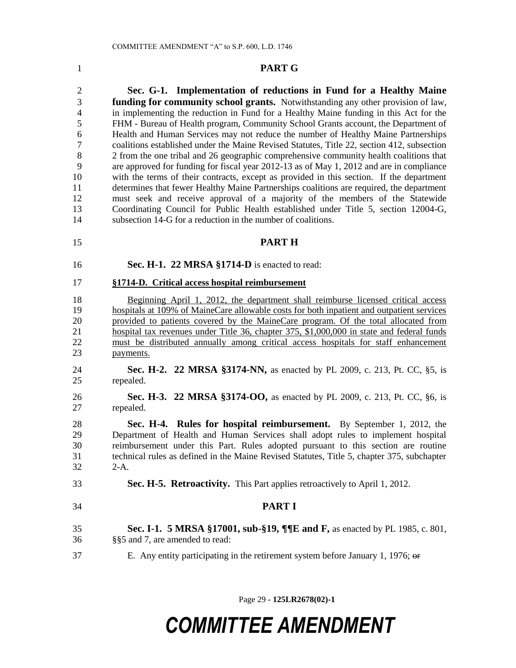#### **PART G**

 **Sec. G-1. Implementation of reductions in Fund for a Healthy Maine funding for community school grants.** Notwithstanding any other provision of law, in implementing the reduction in Fund for a Healthy Maine funding in this Act for the FHM - Bureau of Health program, Community School Grants account, the Department of Health and Human Services may not reduce the number of Healthy Maine Partnerships coalitions established under the Maine Revised Statutes, Title 22, section 412, subsection 2 from the one tribal and 26 geographic comprehensive community health coalitions that are approved for funding for fiscal year 2012-13 as of May 1, 2012 and are in compliance with the terms of their contracts, except as provided in this section. If the department determines that fewer Healthy Maine Partnerships coalitions are required, the department must seek and receive approval of a majority of the members of the Statewide Coordinating Council for Public Health established under Title 5, section 12004-G, subsection 14-G for a reduction in the number of coalitions.

- **PART H**
- 

**Sec. H-1. 22 MRSA §1714-D** is enacted to read:

#### **§1714-D. Critical access hospital reimbursement**

 Beginning April 1, 2012, the department shall reimburse licensed critical access hospitals at 109% of MaineCare allowable costs for both inpatient and outpatient services provided to patients covered by the MaineCare program. Of the total allocated from 21 hospital tax revenues under Title 36, chapter 375, \$1,000,000 in state and federal funds must be distributed annually among critical access hospitals for staff enhancement payments.

- **Sec. H-2. 22 MRSA §3174-NN,** as enacted by PL 2009, c. 213, Pt. CC, §5, is repealed.
- **Sec. H-3. 22 MRSA §3174-OO,** as enacted by PL 2009, c. 213, Pt. CC, §6, is repealed.

 **Sec. H-4. Rules for hospital reimbursement.** By September 1, 2012, the Department of Health and Human Services shall adopt rules to implement hospital reimbursement under this Part. Rules adopted pursuant to this section are routine technical rules as defined in the Maine Revised Statutes, Title 5, chapter 375, subchapter 2-A.

**Sec. H-5. Retroactivity.** This Part applies retroactively to April 1, 2012.

- **PART I**
- **Sec. I-1. 5 MRSA §17001, sub-§19, ¶¶E and F,** as enacted by PL 1985, c. 801, §§5 and 7, are amended to read:
- E. Any entity participating in the retirement system before January 1, 1976; or

Page 29 **- 125LR2678(02)-1**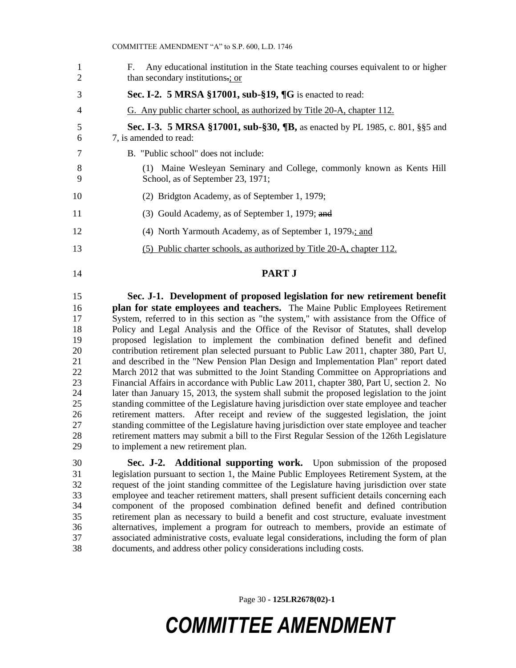F. Any educational institution in the State teaching courses equivalent to or higher 2 than secondary institutions.; or **Sec. I-2. 5 MRSA §17001, sub-§19, ¶G** is enacted to read: G. Any public charter school, as authorized by Title 20-A, chapter 112. **Sec. I-3. 5 MRSA §17001, sub-§30, ¶B,** as enacted by PL 1985, c. 801, §§5 and 7, is amended to read: B. "Public school" does not include: (1) Maine Wesleyan Seminary and College, commonly known as Kents Hill School, as of September 23, 1971; (2) Bridgton Academy, as of September 1, 1979; (3) Gould Academy, as of September 1, 1979; and (4) North Yarmouth Academy, as of September 1, 1979.; and (5) Public charter schools, as authorized by Title 20-A, chapter 112. **PART J**

 **Sec. J-1. Development of proposed legislation for new retirement benefit plan for state employees and teachers.** The Maine Public Employees Retirement System, referred to in this section as "the system," with assistance from the Office of Policy and Legal Analysis and the Office of the Revisor of Statutes, shall develop proposed legislation to implement the combination defined benefit and defined contribution retirement plan selected pursuant to Public Law 2011, chapter 380, Part U, and described in the "New Pension Plan Design and Implementation Plan" report dated 22 March 2012 that was submitted to the Joint Standing Committee on Appropriations and Financial Affairs in accordance with Public Law 2011, chapter 380, Part U, section 2. No later than January 15, 2013, the system shall submit the proposed legislation to the joint standing committee of the Legislature having jurisdiction over state employee and teacher retirement matters. After receipt and review of the suggested legislation, the joint standing committee of the Legislature having jurisdiction over state employee and teacher retirement matters may submit a bill to the First Regular Session of the 126th Legislature to implement a new retirement plan.

 **Sec. J-2. Additional supporting work.** Upon submission of the proposed legislation pursuant to section 1, the Maine Public Employees Retirement System, at the request of the joint standing committee of the Legislature having jurisdiction over state employee and teacher retirement matters, shall present sufficient details concerning each component of the proposed combination defined benefit and defined contribution retirement plan as necessary to build a benefit and cost structure, evaluate investment alternatives, implement a program for outreach to members, provide an estimate of associated administrative costs, evaluate legal considerations, including the form of plan documents, and address other policy considerations including costs.

Page 30 **- 125LR2678(02)-1**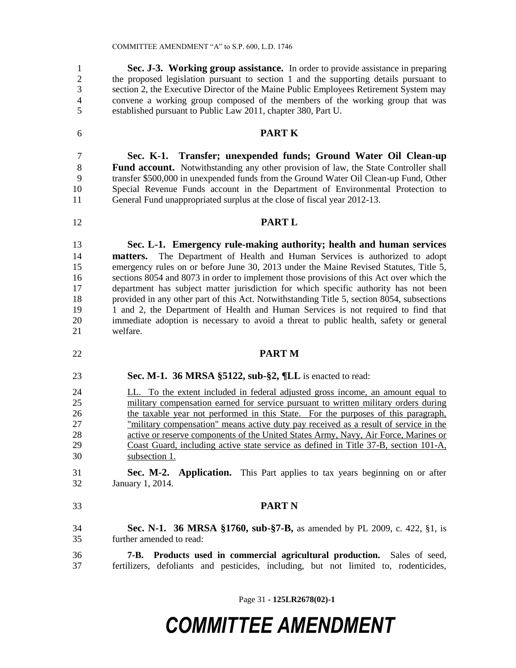**Sec. J-3. Working group assistance.** In order to provide assistance in preparing the proposed legislation pursuant to section 1 and the supporting details pursuant to section 2, the Executive Director of the Maine Public Employees Retirement System may convene a working group composed of the members of the working group that was established pursuant to Public Law 2011, chapter 380, Part U.

### **PART K**

 **Sec. K-1. Transfer; unexpended funds; Ground Water Oil Clean-up Fund account.** Notwithstanding any other provision of law, the State Controller shall transfer \$500,000 in unexpended funds from the Ground Water Oil Clean-up Fund, Other Special Revenue Funds account in the Department of Environmental Protection to General Fund unappropriated surplus at the close of fiscal year 2012-13.

### **PART L**

 **Sec. L-1. Emergency rule-making authority; health and human services matters.** The Department of Health and Human Services is authorized to adopt 15 emergency rules on or before June 30, 2013 under the Maine Revised Statutes, Title 5, sections 8054 and 8073 in order to implement those provisions of this Act over which the department has subject matter jurisdiction for which specific authority has not been provided in any other part of this Act. Notwithstanding Title 5, section 8054, subsections 1 and 2, the Department of Health and Human Services is not required to find that immediate adoption is necessary to avoid a threat to public health, safety or general welfare.

- **PART M**
- **Sec. M-1. 36 MRSA §5122, sub-§2, ¶LL** is enacted to read:
- LL. To the extent included in federal adjusted gross income, an amount equal to military compensation earned for service pursuant to written military orders during the taxable year not performed in this State. For the purposes of this paragraph, "military compensation" means active duty pay received as a result of service in the 28 active or reserve components of the United States Army, Navy, Air Force, Marines or Coast Guard, including active state service as defined in Title 37-B, section 101-A, subsection 1.
- **Sec. M-2. Application.** This Part applies to tax years beginning on or after January 1, 2014.
- **PART N**
- **Sec. N-1. 36 MRSA §1760, sub-§7-B,** as amended by PL 2009, c. 422, §1, is further amended to read:

 **7-B. Products used in commercial agricultural production.** Sales of seed, fertilizers, defoliants and pesticides, including, but not limited to, rodenticides,

Page 31 **- 125LR2678(02)-1**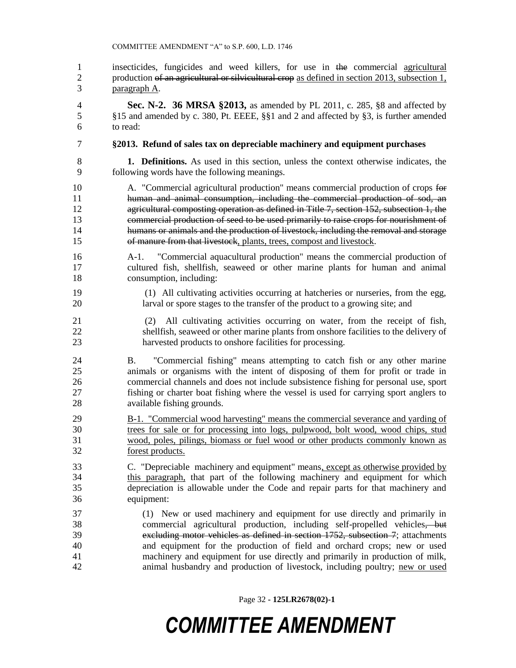insecticides, fungicides and weed killers, for use in the commercial agricultural 2 production of an agricultural or silvicultural crop as defined in section 2013, subsection 1, paragraph A.

 **Sec. N-2. 36 MRSA §2013,** as amended by PL 2011, c. 285, §8 and affected by §15 and amended by c. 380, Pt. EEEE, §§1 and 2 and affected by §3, is further amended to read:

### **§2013. Refund of sales tax on depreciable machinery and equipment purchases**

 **1. Definitions.** As used in this section, unless the context otherwise indicates, the following words have the following meanings.

 A. "Commercial agricultural production" means commercial production of crops for human and animal consumption, including the commercial production of sod, an 12 agricultural composting operation as defined in Title 7, section 152, subsection 1, the commercial production of seed to be used primarily to raise crops for nourishment of humans or animals and the production of livestock, including the removal and storage of manure from that livestock, plants, trees, compost and livestock.

- A-1. "Commercial aquacultural production" means the commercial production of cultured fish, shellfish, seaweed or other marine plants for human and animal consumption, including:
- (1) All cultivating activities occurring at hatcheries or nurseries, from the egg, larval or spore stages to the transfer of the product to a growing site; and

 (2) All cultivating activities occurring on water, from the receipt of fish, shellfish, seaweed or other marine plants from onshore facilities to the delivery of harvested products to onshore facilities for processing.

 B. "Commercial fishing" means attempting to catch fish or any other marine animals or organisms with the intent of disposing of them for profit or trade in commercial channels and does not include subsistence fishing for personal use, sport fishing or charter boat fishing where the vessel is used for carrying sport anglers to available fishing grounds.

 B-1. "Commercial wood harvesting" means the commercial severance and yarding of trees for sale or for processing into logs, pulpwood, bolt wood, wood chips, stud wood, poles, pilings, biomass or fuel wood or other products commonly known as forest products.

 C. "Depreciable machinery and equipment" means, except as otherwise provided by 34 this paragraph, that part of the following machinery and equipment for which depreciation is allowable under the Code and repair parts for that machinery and equipment:

 (1) New or used machinery and equipment for use directly and primarily in commercial agricultural production, including self-propelled vehicles, but excluding motor vehicles as defined in section 1752, subsection 7; attachments and equipment for the production of field and orchard crops; new or used machinery and equipment for use directly and primarily in production of milk, animal husbandry and production of livestock, including poultry; new or used

Page 32 **- 125LR2678(02)-1**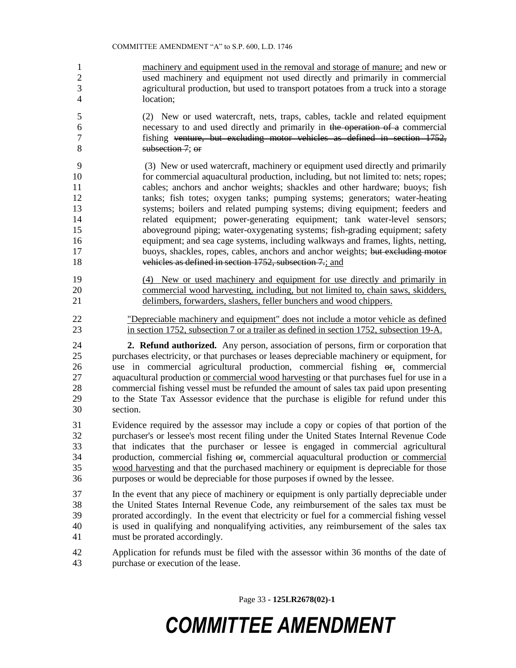- machinery and equipment used in the removal and storage of manure; and new or used machinery and equipment not used directly and primarily in commercial agricultural production, but used to transport potatoes from a truck into a storage location;
- (2) New or used watercraft, nets, traps, cables, tackle and related equipment necessary to and used directly and primarily in the operation of a commercial fishing venture, but excluding motor vehicles as defined in section 1752, subsection 7; or
- (3) New or used watercraft, machinery or equipment used directly and primarily for commercial aquacultural production, including, but not limited to: nets; ropes; cables; anchors and anchor weights; shackles and other hardware; buoys; fish tanks; fish totes; oxygen tanks; pumping systems; generators; water-heating systems; boilers and related pumping systems; diving equipment; feeders and related equipment; power-generating equipment; tank water-level sensors; aboveground piping; water-oxygenating systems; fish-grading equipment; safety equipment; and sea cage systems, including walkways and frames, lights, netting, 17 buoys, shackles, ropes, cables, anchors and anchor weights; but excluding motor 18 vehicles as defined in section 1752, subsection 7.; and
- (4) New or used machinery and equipment for use directly and primarily in commercial wood harvesting, including, but not limited to, chain saws, skidders, delimbers, forwarders, slashers, feller bunchers and wood chippers.
- "Depreciable machinery and equipment" does not include a motor vehicle as defined in section 1752, subsection 7 or a trailer as defined in section 1752, subsection 19-A.
- **2. Refund authorized.** Any person, association of persons, firm or corporation that purchases electricity, or that purchases or leases depreciable machinery or equipment, for use in commercial agricultural production, commercial fishing or, commercial aquacultural production or commercial wood harvesting or that purchases fuel for use in a commercial fishing vessel must be refunded the amount of sales tax paid upon presenting to the State Tax Assessor evidence that the purchase is eligible for refund under this section.
- Evidence required by the assessor may include a copy or copies of that portion of the purchaser's or lessee's most recent filing under the United States Internal Revenue Code that indicates that the purchaser or lessee is engaged in commercial agricultural 34 production, commercial fishing  $\theta$ <sub>1</sub> commercial aquacultural production <u>or commercial</u><br>35 wood harvesting and that the purchased machinery or equipment is depreciable for those wood harvesting and that the purchased machinery or equipment is depreciable for those purposes or would be depreciable for those purposes if owned by the lessee.
- In the event that any piece of machinery or equipment is only partially depreciable under the United States Internal Revenue Code, any reimbursement of the sales tax must be prorated accordingly. In the event that electricity or fuel for a commercial fishing vessel is used in qualifying and nonqualifying activities, any reimbursement of the sales tax must be prorated accordingly.
- Application for refunds must be filed with the assessor within 36 months of the date of purchase or execution of the lease.

Page 33 **- 125LR2678(02)-1**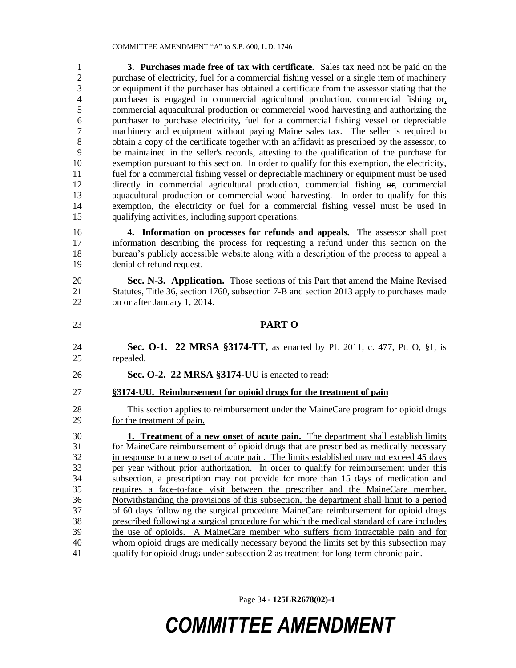**3. Purchases made free of tax with certificate.** Sales tax need not be paid on the purchase of electricity, fuel for a commercial fishing vessel or a single item of machinery or equipment if the purchaser has obtained a certificate from the assessor stating that the 4 purchaser is engaged in commercial agricultural production, commercial fishing  $\Theta$ . commercial aquacultural production or commercial wood harvesting and authorizing the purchaser to purchase electricity, fuel for a commercial fishing vessel or depreciable machinery and equipment without paying Maine sales tax. The seller is required to obtain a copy of the certificate together with an affidavit as prescribed by the assessor, to be maintained in the seller's records, attesting to the qualification of the purchase for exemption pursuant to this section. In order to qualify for this exemption, the electricity, fuel for a commercial fishing vessel or depreciable machinery or equipment must be used directly in commercial agricultural production, commercial fishing or, commercial aquacultural production or commercial wood harvesting. In order to qualify for this exemption, the electricity or fuel for a commercial fishing vessel must be used in qualifying activities, including support operations.

 **4. Information on processes for refunds and appeals.** The assessor shall post information describing the process for requesting a refund under this section on the bureau's publicly accessible website along with a description of the process to appeal a denial of refund request.

 **Sec. N-3. Application.** Those sections of this Part that amend the Maine Revised Statutes, Title 36, section 1760, subsection 7-B and section 2013 apply to purchases made on or after January 1, 2014.

**PART O**

 **Sec. O-1. 22 MRSA §3174-TT,** as enacted by PL 2011, c. 477, Pt. O, §1, is repealed.

- **Sec. O-2. 22 MRSA §3174-UU** is enacted to read:
- **§3174-UU. Reimbursement for opioid drugs for the treatment of pain**

 This section applies to reimbursement under the MaineCare program for opioid drugs for the treatment of pain.

 **1. Treatment of a new onset of acute pain.** The department shall establish limits for MaineCare reimbursement of opioid drugs that are prescribed as medically necessary in response to a new onset of acute pain. The limits established may not exceed 45 days per year without prior authorization. In order to qualify for reimbursement under this subsection, a prescription may not provide for more than 15 days of medication and requires a face-to-face visit between the prescriber and the MaineCare member. Notwithstanding the provisions of this subsection, the department shall limit to a period of 60 days following the surgical procedure MaineCare reimbursement for opioid drugs prescribed following a surgical procedure for which the medical standard of care includes the use of opioids. A MaineCare member who suffers from intractable pain and for 40 whom opioid drugs are medically necessary beyond the limits set by this subsection may qualify for opioid drugs under subsection 2 as treatment for long-term chronic pain.

Page 34 **- 125LR2678(02)-1**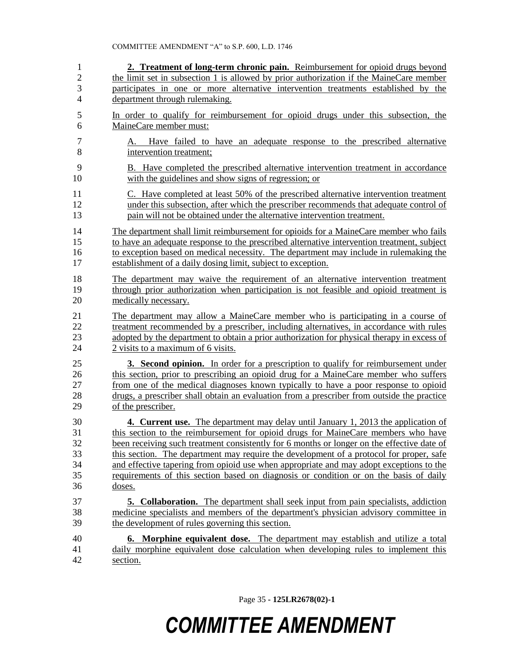| $\mathbf{1}$             | 2. Treatment of long-term chronic pain. Reimbursement for opioid drugs beyond               |
|--------------------------|---------------------------------------------------------------------------------------------|
| $\sqrt{2}$               | the limit set in subsection 1 is allowed by prior authorization if the MaineCare member     |
| 3                        | participates in one or more alternative intervention treatments established by the          |
| $\overline{\mathcal{L}}$ | department through rulemaking.                                                              |
| 5                        | In order to qualify for reimbursement for opioid drugs under this subsection, the           |
| 6                        | MaineCare member must:                                                                      |
|                          |                                                                                             |
| 7                        | A. Have failed to have an adequate response to the prescribed alternative                   |
| 8                        | intervention treatment;                                                                     |
| 9                        | B. Have completed the prescribed alternative intervention treatment in accordance           |
| 10                       | with the guidelines and show signs of regression; or                                        |
| 11                       | C. Have completed at least 50% of the prescribed alternative intervention treatment         |
| 12                       | under this subsection, after which the prescriber recommends that adequate control of       |
| 13                       | pain will not be obtained under the alternative intervention treatment.                     |
| 14                       | The department shall limit reimbursement for opioids for a MaineCare member who fails       |
| 15                       | to have an adequate response to the prescribed alternative intervention treatment, subject  |
| 16                       | to exception based on medical necessity. The department may include in rulemaking the       |
| 17                       | establishment of a daily dosing limit, subject to exception.                                |
| 18                       | The department may waive the requirement of an alternative intervention treatment           |
| 19                       | through prior authorization when participation is not feasible and opioid treatment is      |
| 20                       | medically necessary.                                                                        |
| 21                       | The department may allow a MaineCare member who is participating in a course of             |
| 22                       | treatment recommended by a prescriber, including alternatives, in accordance with rules     |
| 23                       | adopted by the department to obtain a prior authorization for physical therapy in excess of |
| 24                       | 2 visits to a maximum of 6 visits.                                                          |
| 25                       | <b>3. Second opinion.</b> In order for a prescription to qualify for reimbursement under    |
| 26                       | this section, prior to prescribing an opioid drug for a MaineCare member who suffers        |
| 27                       | from one of the medical diagnoses known typically to have a poor response to opioid         |
| 28                       | drugs, a prescriber shall obtain an evaluation from a prescriber from outside the practice  |
| 29                       | of the prescriber.                                                                          |
| 30                       | 4. Current use. The department may delay until January 1, 2013 the application of           |
| 31                       | this section to the reimbursement for opioid drugs for MaineCare members who have           |
| 32                       | been receiving such treatment consistently for 6 months or longer on the effective date of  |
| 33                       | this section. The department may require the development of a protocol for proper, safe     |
| 34                       | and effective tapering from opioid use when appropriate and may adopt exceptions to the     |
| 35                       | requirements of this section based on diagnosis or condition or on the basis of daily       |
| 36                       | doses.                                                                                      |
| 37                       | <b>5. Collaboration.</b> The department shall seek input from pain specialists, addiction   |
| 38                       | medicine specialists and members of the department's physician advisory committee in        |
| 39                       | the development of rules governing this section.                                            |
| 40                       | <b>6. Morphine equivalent dose.</b> The department may establish and utilize a total        |
| 41                       | daily morphine equivalent dose calculation when developing rules to implement this          |
| 42                       | section.                                                                                    |
|                          |                                                                                             |

Page 35 **- 125LR2678(02)-1**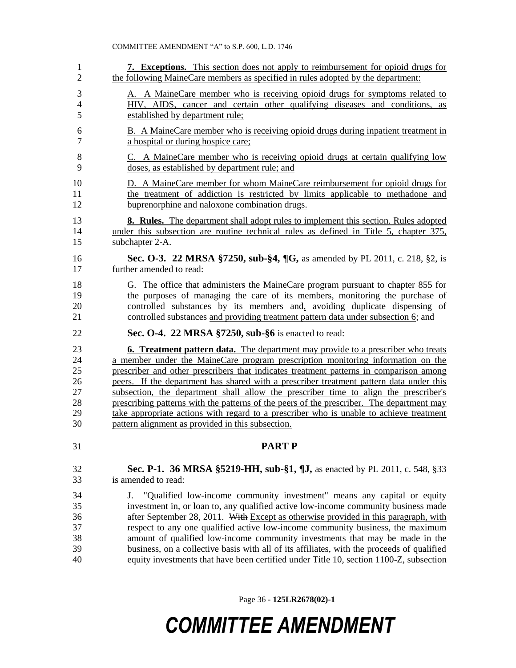| 7. Exceptions. This section does not apply to reimbursement for opioid drugs for<br>the following MaineCare members as specified in rules adopted by the department:                                                                                                                                                                                                                                                                                                                                                                                                                                                                                                                                 |
|------------------------------------------------------------------------------------------------------------------------------------------------------------------------------------------------------------------------------------------------------------------------------------------------------------------------------------------------------------------------------------------------------------------------------------------------------------------------------------------------------------------------------------------------------------------------------------------------------------------------------------------------------------------------------------------------------|
| A. A MaineCare member who is receiving opioid drugs for symptoms related to<br>HIV, AIDS, cancer and certain other qualifying diseases and conditions, as<br>established by department rule;                                                                                                                                                                                                                                                                                                                                                                                                                                                                                                         |
| B. A MaineCare member who is receiving opioid drugs during inpatient treatment in<br>a hospital or during hospice care;                                                                                                                                                                                                                                                                                                                                                                                                                                                                                                                                                                              |
| C. A MaineCare member who is receiving opioid drugs at certain qualifying low<br>doses, as established by department rule; and                                                                                                                                                                                                                                                                                                                                                                                                                                                                                                                                                                       |
| D. A MaineCare member for whom MaineCare reimbursement for opioid drugs for<br>the treatment of addiction is restricted by limits applicable to methadone and<br>buprenorphine and naloxone combination drugs.                                                                                                                                                                                                                                                                                                                                                                                                                                                                                       |
| <b>8. Rules.</b> The department shall adopt rules to implement this section. Rules adopted<br>under this subsection are routine technical rules as defined in Title 5, chapter 375,<br>subchapter 2-A.                                                                                                                                                                                                                                                                                                                                                                                                                                                                                               |
| Sec. O-3. 22 MRSA §7250, sub-§4, ¶G, as amended by PL 2011, c. 218, §2, is<br>further amended to read:                                                                                                                                                                                                                                                                                                                                                                                                                                                                                                                                                                                               |
| G. The office that administers the MaineCare program pursuant to chapter 855 for<br>the purposes of managing the care of its members, monitoring the purchase of<br>controlled substances by its members and, avoiding duplicate dispensing of<br>controlled substances and providing treatment pattern data under subsection 6; and                                                                                                                                                                                                                                                                                                                                                                 |
| Sec. O-4. 22 MRSA §7250, sub-§6 is enacted to read:                                                                                                                                                                                                                                                                                                                                                                                                                                                                                                                                                                                                                                                  |
| <b>6. Treatment pattern data.</b> The department may provide to a prescriber who treats<br>a member under the MaineCare program prescription monitoring information on the<br>prescriber and other prescribers that indicates treatment patterns in comparison among<br>peers. If the department has shared with a prescriber treatment pattern data under this<br>subsection, the department shall allow the prescriber time to align the prescriber's<br>prescribing patterns with the patterns of the peers of the prescriber. The department may<br>take appropriate actions with regard to a prescriber who is unable to achieve treatment<br>pattern alignment as provided in this subsection. |
| <b>PART P</b>                                                                                                                                                                                                                                                                                                                                                                                                                                                                                                                                                                                                                                                                                        |
| Sec. P-1. 36 MRSA §5219-HH, sub-§1, ¶J, as enacted by PL 2011, c. 548, §33<br>is amended to read:                                                                                                                                                                                                                                                                                                                                                                                                                                                                                                                                                                                                    |
| "Qualified low-income community investment" means any capital or equity<br>J.<br>investment in, or loan to, any qualified active low-income community business made<br>after September 28, 2011. With Except as otherwise provided in this paragraph, with<br>respect to any one qualified active low-income community business, the maximum<br>amount of qualified low-income community investments that may be made in the<br>business, on a collective basis with all of its affiliates, with the proceeds of qualified                                                                                                                                                                           |
|                                                                                                                                                                                                                                                                                                                                                                                                                                                                                                                                                                                                                                                                                                      |

Page 36 **- 125LR2678(02)-1**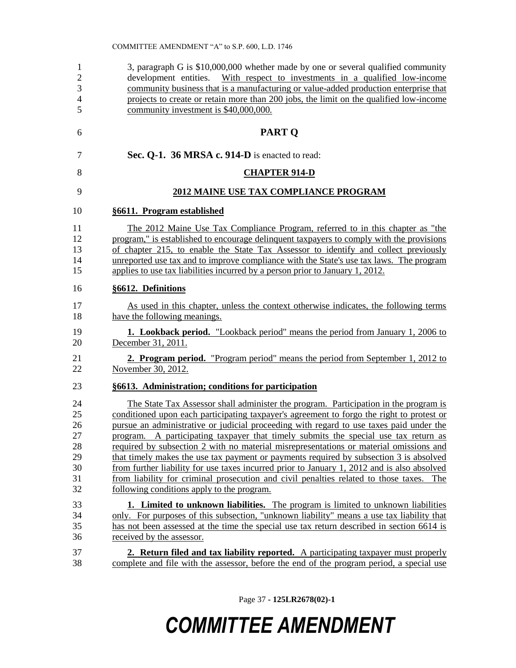| 1              | 3, paragraph G is \$10,000,000 whether made by one or several qualified community           |
|----------------|---------------------------------------------------------------------------------------------|
| $\overline{2}$ | development entities.<br>With respect to investments in a qualified low-income              |
| 3              | community business that is a manufacturing or value-added production enterprise that        |
| $\overline{4}$ | projects to create or retain more than 200 jobs, the limit on the qualified low-income      |
| 5              | community investment is \$40,000,000.                                                       |
| 6              | <b>PART Q</b>                                                                               |
| 7              | Sec. Q-1. 36 MRSA c. 914-D is enacted to read:                                              |
| 8              | <b>CHAPTER 914-D</b>                                                                        |
| 9              | <b>2012 MAINE USE TAX COMPLIANCE PROGRAM</b>                                                |
| 10             | §6611. Program established                                                                  |
| 11             | The 2012 Maine Use Tax Compliance Program, referred to in this chapter as "the              |
| 12             | program," is established to encourage delinquent taxpayers to comply with the provisions    |
| 13             | of chapter 215, to enable the State Tax Assessor to identify and collect previously         |
| 14             | unreported use tax and to improve compliance with the State's use tax laws. The program     |
| 15             | applies to use tax liabilities incurred by a person prior to January 1, 2012.               |
| 16             | §6612. Definitions                                                                          |
| 17             | As used in this chapter, unless the context otherwise indicates, the following terms        |
| 18             | have the following meanings.                                                                |
| 19             | <b>1. Lookback period.</b> "Lookback period" means the period from January 1, 2006 to       |
| 20             | December 31, 2011.                                                                          |
| 21             | 2. Program period. "Program period" means the period from September 1, 2012 to              |
| 22             | November 30, 2012.                                                                          |
| 23             | §6613. Administration; conditions for participation                                         |
| 24             | The State Tax Assessor shall administer the program. Participation in the program is        |
| 25             | conditioned upon each participating taxpayer's agreement to forgo the right to protest or   |
| 26             | pursue an administrative or judicial proceeding with regard to use taxes paid under the     |
| 27             | program. A participating taxpayer that timely submits the special use tax return as         |
| 28             | required by subsection 2 with no material misrepresentations or material omissions and      |
| 29             | that timely makes the use tax payment or payments required by subsection 3 is absolved      |
| 30             | from further liability for use taxes incurred prior to January 1, 2012 and is also absolved |
| 31             | from liability for criminal prosecution and civil penalties related to those taxes. The     |
| 32             | following conditions apply to the program.                                                  |
| 33             | 1. Limited to unknown liabilities. The program is limited to unknown liabilities            |
| 34             | only. For purposes of this subsection, "unknown liability" means a use tax liability that   |
| 35             | has not been assessed at the time the special use tax return described in section 6614 is   |
| 36             | received by the assessor.                                                                   |
| 37             | 2. Return filed and tax liability reported. A participating taxpayer must properly          |
| 38             | complete and file with the assessor, before the end of the program period, a special use    |

Page 37 **- 125LR2678(02)-1**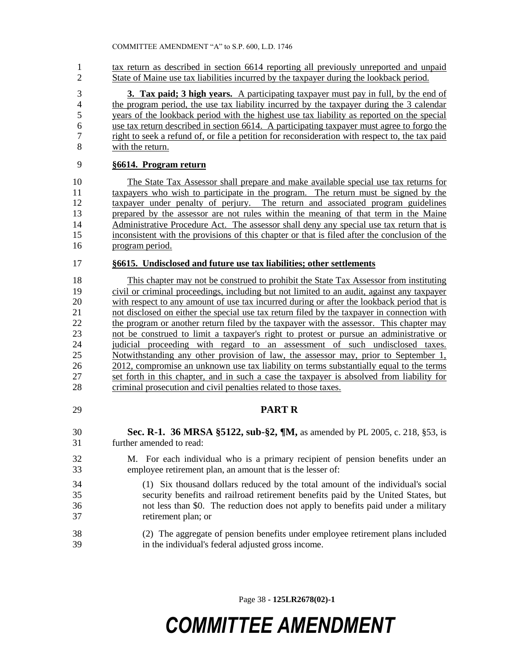1 tax return as described in section 6614 reporting all previously unreported and unpaid State of Maine use tax liabilities incurred by the taxpayer during the lookback period.

 **3. Tax paid; 3 high years.** A participating taxpayer must pay in full, by the end of the program period, the use tax liability incurred by the taxpayer during the 3 calendar years of the lookback period with the highest use tax liability as reported on the special use tax return described in section 6614. A participating taxpayer must agree to forgo the right to seek a refund of, or file a petition for reconsideration with respect to, the tax paid with the return.

### **§6614. Program return**

 The State Tax Assessor shall prepare and make available special use tax returns for taxpayers who wish to participate in the program. The return must be signed by the taxpayer under penalty of perjury. The return and associated program guidelines prepared by the assessor are not rules within the meaning of that term in the Maine Administrative Procedure Act. The assessor shall deny any special use tax return that is inconsistent with the provisions of this chapter or that is filed after the conclusion of the program period.

#### **§6615. Undisclosed and future use tax liabilities; other settlements**

 This chapter may not be construed to prohibit the State Tax Assessor from instituting civil or criminal proceedings, including but not limited to an audit, against any taxpayer with respect to any amount of use tax incurred during or after the lookback period that is 21 not disclosed on either the special use tax return filed by the taxpayer in connection with 22 the program or another return filed by the taxpayer with the assessor. This chapter may not be construed to limit a taxpayer's right to protest or pursue an administrative or judicial proceeding with regard to an assessment of such undisclosed taxes. Notwithstanding any other provision of law, the assessor may, prior to September 1, 26 2012, compromise an unknown use tax liability on terms substantially equal to the terms set forth in this chapter, and in such a case the taxpayer is absolved from liability for criminal prosecution and civil penalties related to those taxes.

### **PART R**

- **Sec. R-1. 36 MRSA §5122, sub-§2, ¶M,** as amended by PL 2005, c. 218, §53, is further amended to read:
- M. For each individual who is a primary recipient of pension benefits under an employee retirement plan, an amount that is the lesser of:
- (1) Six thousand dollars reduced by the total amount of the individual's social security benefits and railroad retirement benefits paid by the United States, but not less than \$0. The reduction does not apply to benefits paid under a military retirement plan; or
- (2) The aggregate of pension benefits under employee retirement plans included in the individual's federal adjusted gross income.

Page 38 **- 125LR2678(02)-1**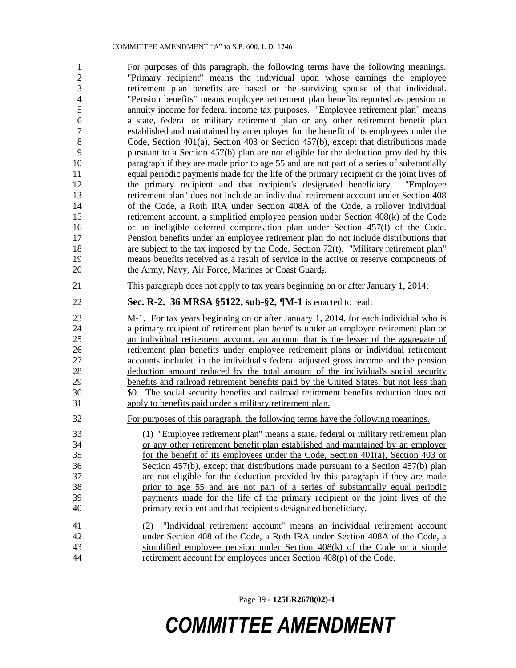For purposes of this paragraph, the following terms have the following meanings. "Primary recipient" means the individual upon whose earnings the employee retirement plan benefits are based or the surviving spouse of that individual. "Pension benefits" means employee retirement plan benefits reported as pension or annuity income for federal income tax purposes. "Employee retirement plan" means a state, federal or military retirement plan or any other retirement benefit plan established and maintained by an employer for the benefit of its employees under the Code, Section 401(a), Section 403 or Section 457(b), except that distributions made pursuant to a Section 457(b) plan are not eligible for the deduction provided by this paragraph if they are made prior to age 55 and are not part of a series of substantially equal periodic payments made for the life of the primary recipient or the joint lives of the primary recipient and that recipient's designated beneficiary. "Employee retirement plan" does not include an individual retirement account under Section 408 of the Code, a Roth IRA under Section 408A of the Code, a rollover individual retirement account, a simplified employee pension under Section 408(k) of the Code or an ineligible deferred compensation plan under Section 457(f) of the Code. Pension benefits under an employee retirement plan do not include distributions that 18 are subject to the tax imposed by the Code, Section 72(t). "Military retirement plan" means benefits received as a result of service in the active or reserve components of 20 the Army, Navy, Air Force, Marines or Coast Guard;

This paragraph does not apply to tax years beginning on or after January 1, 2014;

### **Sec. R-2. 36 MRSA §5122, sub-§2, ¶M-1** is enacted to read:

 M-1. For tax years beginning on or after January 1, 2014, for each individual who is a primary recipient of retirement plan benefits under an employee retirement plan or an individual retirement account, an amount that is the lesser of the aggregate of retirement plan benefits under employee retirement plans or individual retirement accounts included in the individual's federal adjusted gross income and the pension deduction amount reduced by the total amount of the individual's social security benefits and railroad retirement benefits paid by the United States, but not less than \$0. The social security benefits and railroad retirement benefits reduction does not apply to benefits paid under a military retirement plan.

For purposes of this paragraph, the following terms have the following meanings.

 (1) "Employee retirement plan" means a state, federal or military retirement plan or any other retirement benefit plan established and maintained by an employer for the benefit of its employees under the Code, Section 401(a), Section 403 or Section 457(b), except that distributions made pursuant to a Section 457(b) plan are not eligible for the deduction provided by this paragraph if they are made prior to age 55 and are not part of a series of substantially equal periodic payments made for the life of the primary recipient or the joint lives of the primary recipient and that recipient's designated beneficiary.

 (2) "Individual retirement account" means an individual retirement account under Section 408 of the Code, a Roth IRA under Section 408A of the Code, a simplified employee pension under Section 408(k) of the Code or a simple retirement account for employees under Section 408(p) of the Code.

Page 39 **- 125LR2678(02)-1**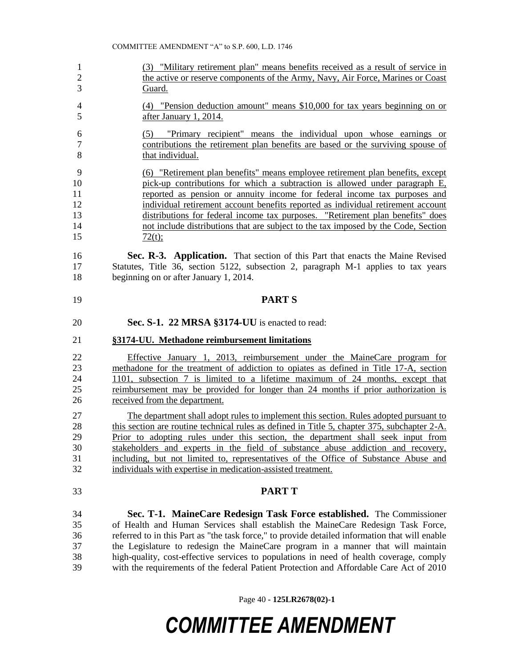(3) "Military retirement plan" means benefits received as a result of service in the active or reserve components of the Army, Navy, Air Force, Marines or Coast Guard. (4) "Pension deduction amount" means \$10,000 for tax years beginning on or after January 1, 2014. (5) "Primary recipient" means the individual upon whose earnings or contributions the retirement plan benefits are based or the surviving spouse of 8 that individual. (6) "Retirement plan benefits" means employee retirement plan benefits, except pick-up contributions for which a subtraction is allowed under paragraph E, reported as pension or annuity income for federal income tax purposes and individual retirement account benefits reported as individual retirement account distributions for federal income tax purposes. "Retirement plan benefits" does not include distributions that are subject to the tax imposed by the Code, Section  $\frac{72(t)}{t}$  **Sec. R-3. Application.** That section of this Part that enacts the Maine Revised Statutes, Title 36, section 5122, subsection 2, paragraph M-1 applies to tax years beginning on or after January 1, 2014. **PART S Sec. S-1. 22 MRSA §3174-UU** is enacted to read: **§3174-UU. Methadone reimbursement limitations** Effective January 1, 2013, reimbursement under the MaineCare program for methadone for the treatment of addiction to opiates as defined in Title 17-A, section 1101, subsection 7 is limited to a lifetime maximum of 24 months, except that reimbursement may be provided for longer than 24 months if prior authorization is received from the department. The department shall adopt rules to implement this section. Rules adopted pursuant to 28 this section are routine technical rules as defined in Title 5, chapter 375, subchapter 2-A. Prior to adopting rules under this section, the department shall seek input from stakeholders and experts in the field of substance abuse addiction and recovery, including, but not limited to, representatives of the Office of Substance Abuse and individuals with expertise in medication-assisted treatment. **PART T Sec. T-1. MaineCare Redesign Task Force established.** The Commissioner of Health and Human Services shall establish the MaineCare Redesign Task Force, referred to in this Part as "the task force," to provide detailed information that will enable the Legislature to redesign the MaineCare program in a manner that will maintain high-quality, cost-effective services to populations in need of health coverage, comply with the requirements of the federal Patient Protection and Affordable Care Act of 2010

Page 40 **- 125LR2678(02)-1**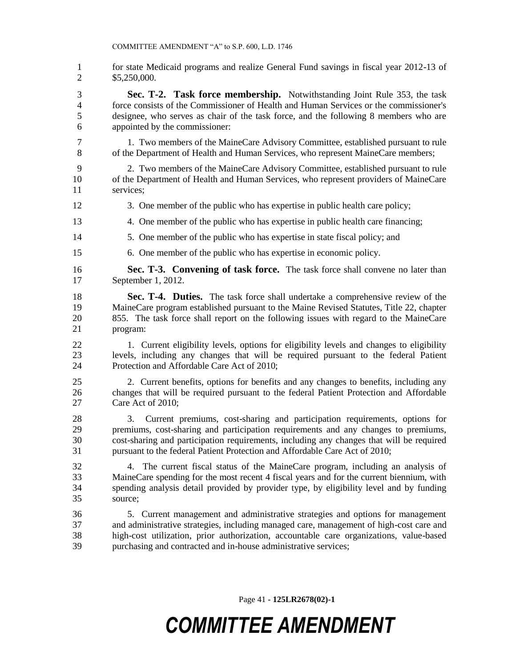1 for state Medicaid programs and realize General Fund savings in fiscal year 2012-13 of \$5,250,000.

 **Sec. T-2. Task force membership.** Notwithstanding Joint Rule 353, the task force consists of the Commissioner of Health and Human Services or the commissioner's designee, who serves as chair of the task force, and the following 8 members who are appointed by the commissioner:

- 1. Two members of the MaineCare Advisory Committee, established pursuant to rule of the Department of Health and Human Services, who represent MaineCare members;
- 2. Two members of the MaineCare Advisory Committee, established pursuant to rule of the Department of Health and Human Services, who represent providers of MaineCare services;
- 3. One member of the public who has expertise in public health care policy;
- 4. One member of the public who has expertise in public health care financing;
- 5. One member of the public who has expertise in state fiscal policy; and
- 6. One member of the public who has expertise in economic policy.
- **Sec. T-3. Convening of task force.** The task force shall convene no later than September 1, 2012.
- **Sec. T-4. Duties.** The task force shall undertake a comprehensive review of the MaineCare program established pursuant to the Maine Revised Statutes, Title 22, chapter 855. The task force shall report on the following issues with regard to the MaineCare program:
- 1. Current eligibility levels, options for eligibility levels and changes to eligibility levels, including any changes that will be required pursuant to the federal Patient Protection and Affordable Care Act of 2010;
- 2. Current benefits, options for benefits and any changes to benefits, including any changes that will be required pursuant to the federal Patient Protection and Affordable Care Act of 2010;
- 3. Current premiums, cost-sharing and participation requirements, options for premiums, cost-sharing and participation requirements and any changes to premiums, cost-sharing and participation requirements, including any changes that will be required pursuant to the federal Patient Protection and Affordable Care Act of 2010;
- 4. The current fiscal status of the MaineCare program, including an analysis of MaineCare spending for the most recent 4 fiscal years and for the current biennium, with spending analysis detail provided by provider type, by eligibility level and by funding source;
- 5. Current management and administrative strategies and options for management and administrative strategies, including managed care, management of high-cost care and high-cost utilization, prior authorization, accountable care organizations, value-based purchasing and contracted and in-house administrative services;

Page 41 **- 125LR2678(02)-1**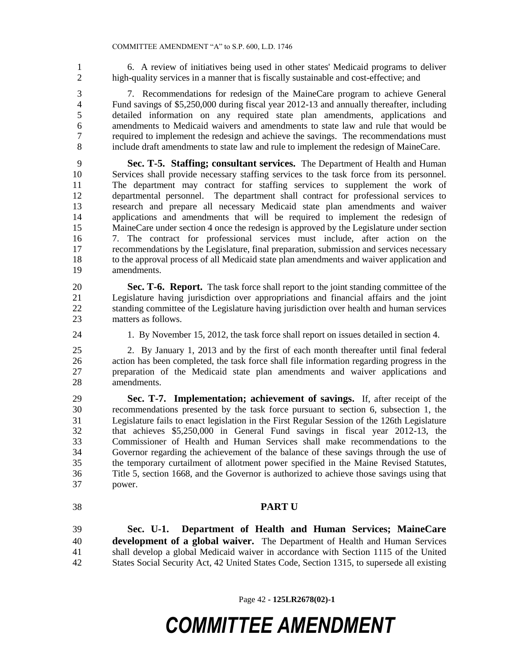6. A review of initiatives being used in other states' Medicaid programs to deliver high-quality services in a manner that is fiscally sustainable and cost-effective; and

 7. Recommendations for redesign of the MaineCare program to achieve General Fund savings of \$5,250,000 during fiscal year 2012-13 and annually thereafter, including detailed information on any required state plan amendments, applications and amendments to Medicaid waivers and amendments to state law and rule that would be required to implement the redesign and achieve the savings. The recommendations must include draft amendments to state law and rule to implement the redesign of MaineCare.

 **Sec. T-5. Staffing; consultant services.** The Department of Health and Human Services shall provide necessary staffing services to the task force from its personnel. The department may contract for staffing services to supplement the work of departmental personnel. The department shall contract for professional services to research and prepare all necessary Medicaid state plan amendments and waiver applications and amendments that will be required to implement the redesign of MaineCare under section 4 once the redesign is approved by the Legislature under section 7. The contract for professional services must include, after action on the recommendations by the Legislature, final preparation, submission and services necessary to the approval process of all Medicaid state plan amendments and waiver application and amendments.

 **Sec. T-6. Report.** The task force shall report to the joint standing committee of the Legislature having jurisdiction over appropriations and financial affairs and the joint standing committee of the Legislature having jurisdiction over health and human services matters as follows.

1. By November 15, 2012, the task force shall report on issues detailed in section 4.

 2. By January 1, 2013 and by the first of each month thereafter until final federal action has been completed, the task force shall file information regarding progress in the preparation of the Medicaid state plan amendments and waiver applications and amendments.

 **Sec. T-7. Implementation; achievement of savings.** If, after receipt of the recommendations presented by the task force pursuant to section 6, subsection 1, the Legislature fails to enact legislation in the First Regular Session of the 126th Legislature that achieves \$5,250,000 in General Fund savings in fiscal year 2012-13, the Commissioner of Health and Human Services shall make recommendations to the Governor regarding the achievement of the balance of these savings through the use of the temporary curtailment of allotment power specified in the Maine Revised Statutes, Title 5, section 1668, and the Governor is authorized to achieve those savings using that power.

### **PART U**

 **Sec. U-1. Department of Health and Human Services; MaineCare development of a global waiver.** The Department of Health and Human Services shall develop a global Medicaid waiver in accordance with Section 1115 of the United States Social Security Act, 42 United States Code, Section 1315, to supersede all existing

Page 42 **- 125LR2678(02)-1**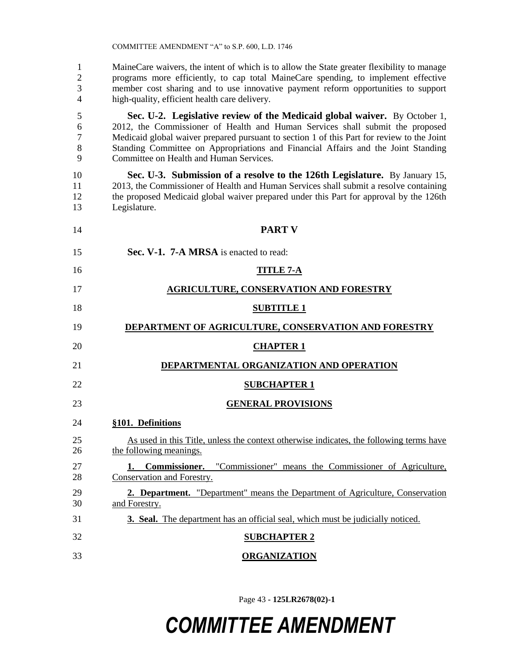MaineCare waivers, the intent of which is to allow the State greater flexibility to manage programs more efficiently, to cap total MaineCare spending, to implement effective member cost sharing and to use innovative payment reform opportunities to support high-quality, efficient health care delivery.

 **Sec. U-2. Legislative review of the Medicaid global waiver.** By October 1, 2012, the Commissioner of Health and Human Services shall submit the proposed Medicaid global waiver prepared pursuant to section 1 of this Part for review to the Joint Standing Committee on Appropriations and Financial Affairs and the Joint Standing Committee on Health and Human Services.

 **Sec. U-3. Submission of a resolve to the 126th Legislature.** By January 15, 2013, the Commissioner of Health and Human Services shall submit a resolve containing the proposed Medicaid global waiver prepared under this Part for approval by the 126th

 Legislature. **PART V Sec. V-1. 7-A MRSA** is enacted to read: **TITLE 7-A AGRICULTURE, CONSERVATION AND FORESTRY SUBTITLE 1 DEPARTMENT OF AGRICULTURE, CONSERVATION AND FORESTRY CHAPTER 1 DEPARTMENTAL ORGANIZATION AND OPERATION SUBCHAPTER 1 GENERAL PROVISIONS §101. Definitions** As used in this Title, unless the context otherwise indicates, the following terms have the following meanings. **1. Commissioner.** "Commissioner" means the Commissioner of Agriculture, Conservation and Forestry. **2. Department.** "Department" means the Department of Agriculture, Conservation and Forestry. **3. Seal.** The department has an official seal, which must be judicially noticed. **SUBCHAPTER 2 ORGANIZATION**

Page 43 **- 125LR2678(02)-1**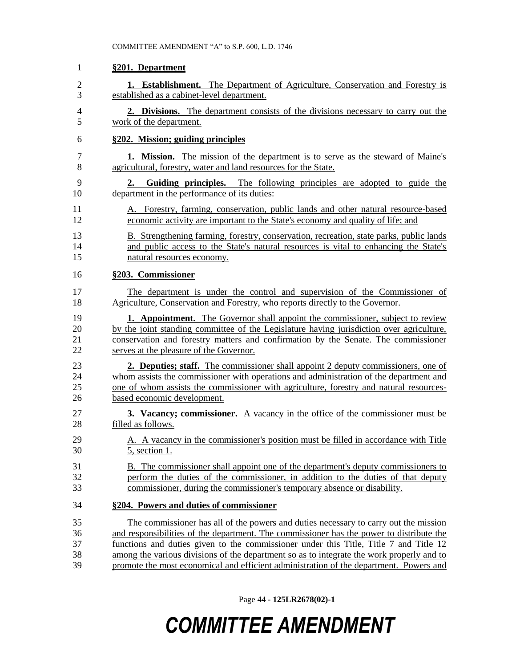| 1              | §201. Department                                                                                                            |
|----------------|-----------------------------------------------------------------------------------------------------------------------------|
| $\overline{2}$ | 1. Establishment. The Department of Agriculture, Conservation and Forestry is                                               |
| 3              | established as a cabinet-level department.                                                                                  |
| $\overline{4}$ | 2. Divisions. The department consists of the divisions necessary to carry out the                                           |
| 5              | work of the department.                                                                                                     |
| 6              | §202. Mission; guiding principles                                                                                           |
| 7              | <b>1. Mission.</b> The mission of the department is to serve as the steward of Maine's                                      |
| 8              | agricultural, forestry, water and land resources for the State.                                                             |
| 9<br>10        | Guiding principles. The following principles are adopted to guide the<br>2.<br>department in the performance of its duties: |
| 11             | A. Forestry, farming, conservation, public lands and other natural resource-based                                           |
| 12             | economic activity are important to the State's economy and quality of life; and                                             |
| 13             | B. Strengthening farming, forestry, conservation, recreation, state parks, public lands                                     |
| 14             | and public access to the State's natural resources is vital to enhancing the State's                                        |
| 15             | natural resources economy.                                                                                                  |
| 16             | §203. Commissioner                                                                                                          |
| 17             | The department is under the control and supervision of the Commissioner of                                                  |
| 18             | Agriculture, Conservation and Forestry, who reports directly to the Governor.                                               |
| 19             | <b>1. Appointment.</b> The Governor shall appoint the commissioner, subject to review                                       |
| 20             | by the joint standing committee of the Legislature having jurisdiction over agriculture,                                    |
| 21             | conservation and forestry matters and confirmation by the Senate. The commissioner                                          |
| 22             | serves at the pleasure of the Governor.                                                                                     |
| 23             | <b>2. Deputies; staff.</b> The commissioner shall appoint 2 deputy commissioners, one of                                    |
| 24             | whom assists the commissioner with operations and administration of the department and                                      |
| 25             | one of whom assists the commissioner with agriculture, forestry and natural resources-                                      |
| 26             | based economic development.                                                                                                 |
| 27             | <b>3. Vacancy; commissioner.</b> A vacancy in the office of the commissioner must be                                        |
| 28             | filled as follows.                                                                                                          |
| 29             | A. A vacancy in the commissioner's position must be filled in accordance with Title                                         |
| 30             | 5, section 1.                                                                                                               |
| 31             | B. The commissioner shall appoint one of the department's deputy commissioners to                                           |
| 32             | perform the duties of the commissioner, in addition to the duties of that deputy                                            |
| 33             | commissioner, during the commissioner's temporary absence or disability.                                                    |
| 34             | §204. Powers and duties of commissioner                                                                                     |
| 35             | The commissioner has all of the powers and duties necessary to carry out the mission                                        |
| 36             | and responsibilities of the department. The commissioner has the power to distribute the                                    |
| 37             | functions and duties given to the commissioner under this Title, Title 7 and Title 12                                       |
| 38             | among the various divisions of the department so as to integrate the work properly and to                                   |
| 39             | promote the most economical and efficient administration of the department. Powers and                                      |

Page 44 **- 125LR2678(02)-1**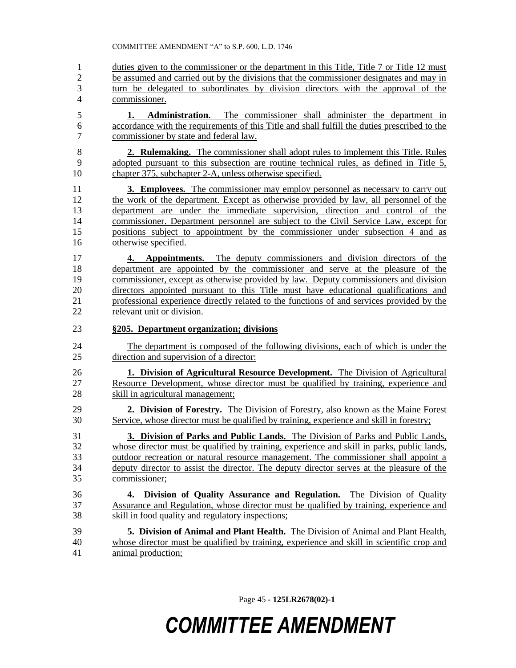1 duties given to the commissioner or the department in this Title, Title 7 or Title 12 must be assumed and carried out by the divisions that the commissioner designates and may in turn be delegated to subordinates by division directors with the approval of the commissioner.

 **1. Administration.** The commissioner shall administer the department in accordance with the requirements of this Title and shall fulfill the duties prescribed to the commissioner by state and federal law.

 **2. Rulemaking.** The commissioner shall adopt rules to implement this Title. Rules adopted pursuant to this subsection are routine technical rules, as defined in Title 5, chapter 375, subchapter 2-A, unless otherwise specified.

 **3. Employees.** The commissioner may employ personnel as necessary to carry out the work of the department. Except as otherwise provided by law, all personnel of the department are under the immediate supervision, direction and control of the commissioner. Department personnel are subject to the Civil Service Law, except for positions subject to appointment by the commissioner under subsection 4 and as otherwise specified.

 **4. Appointments.** The deputy commissioners and division directors of the department are appointed by the commissioner and serve at the pleasure of the commissioner, except as otherwise provided by law. Deputy commissioners and division directors appointed pursuant to this Title must have educational qualifications and 21 professional experience directly related to the functions of and services provided by the relevant unit or division. relevant unit or division.

### **§205. Department organization; divisions**

 The department is composed of the following divisions, each of which is under the direction and supervision of a director:

 **1. Division of Agricultural Resource Development.** The Division of Agricultural Resource Development, whose director must be qualified by training, experience and skill in agricultural management;

 **2. Division of Forestry.** The Division of Forestry, also known as the Maine Forest Service, whose director must be qualified by training, experience and skill in forestry;

 **3. Division of Parks and Public Lands.** The Division of Parks and Public Lands, whose director must be qualified by training, experience and skill in parks, public lands, outdoor recreation or natural resource management. The commissioner shall appoint a deputy director to assist the director. The deputy director serves at the pleasure of the commissioner;

#### **4. Division of Quality Assurance and Regulation.** The Division of Quality Assurance and Regulation, whose director must be qualified by training, experience and skill in food quality and regulatory inspections;

 **5. Division of Animal and Plant Health.** The Division of Animal and Plant Health, whose director must be qualified by training, experience and skill in scientific crop and animal production;

Page 45 **- 125LR2678(02)-1**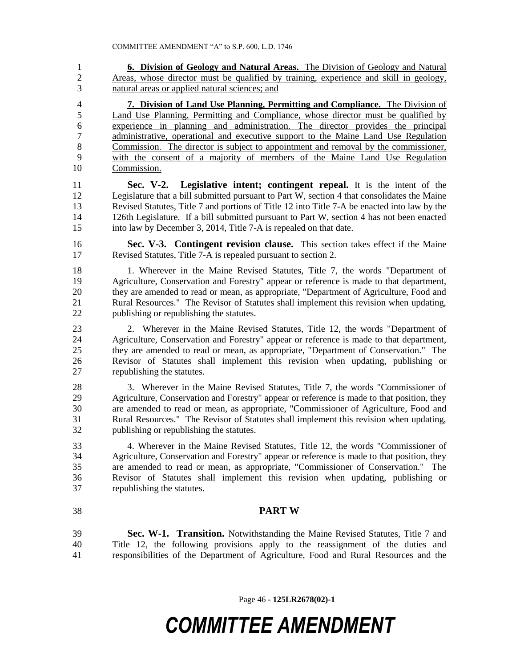**6. Division of Geology and Natural Areas.** The Division of Geology and Natural Areas, whose director must be qualified by training, experience and skill in geology, natural areas or applied natural sciences; and

 **7. Division of Land Use Planning, Permitting and Compliance.** The Division of Land Use Planning, Permitting and Compliance, whose director must be qualified by experience in planning and administration. The director provides the principal administrative, operational and executive support to the Maine Land Use Regulation Commission. The director is subject to appointment and removal by the commissioner, with the consent of a majority of members of the Maine Land Use Regulation Commission.

 **Sec. V-2. Legislative intent; contingent repeal.** It is the intent of the Legislature that a bill submitted pursuant to Part W, section 4 that consolidates the Maine Revised Statutes, Title 7 and portions of Title 12 into Title 7-A be enacted into law by the 126th Legislature. If a bill submitted pursuant to Part W, section 4 has not been enacted into law by December 3, 2014, Title 7-A is repealed on that date.

 **Sec. V-3. Contingent revision clause.** This section takes effect if the Maine Revised Statutes, Title 7-A is repealed pursuant to section 2.

 1. Wherever in the Maine Revised Statutes, Title 7, the words "Department of Agriculture, Conservation and Forestry" appear or reference is made to that department, they are amended to read or mean, as appropriate, "Department of Agriculture, Food and Rural Resources." The Revisor of Statutes shall implement this revision when updating, publishing or republishing the statutes.

 2. Wherever in the Maine Revised Statutes, Title 12, the words "Department of Agriculture, Conservation and Forestry" appear or reference is made to that department, they are amended to read or mean, as appropriate, "Department of Conservation." The Revisor of Statutes shall implement this revision when updating, publishing or republishing the statutes.

 3. Wherever in the Maine Revised Statutes, Title 7, the words "Commissioner of Agriculture, Conservation and Forestry" appear or reference is made to that position, they are amended to read or mean, as appropriate, "Commissioner of Agriculture, Food and Rural Resources." The Revisor of Statutes shall implement this revision when updating, publishing or republishing the statutes.

 4. Wherever in the Maine Revised Statutes, Title 12, the words "Commissioner of Agriculture, Conservation and Forestry" appear or reference is made to that position, they are amended to read or mean, as appropriate, "Commissioner of Conservation." The Revisor of Statutes shall implement this revision when updating, publishing or republishing the statutes.

### **PART W**

 **Sec. W-1. Transition.** Notwithstanding the Maine Revised Statutes, Title 7 and Title 12, the following provisions apply to the reassignment of the duties and responsibilities of the Department of Agriculture, Food and Rural Resources and the

Page 46 **- 125LR2678(02)-1**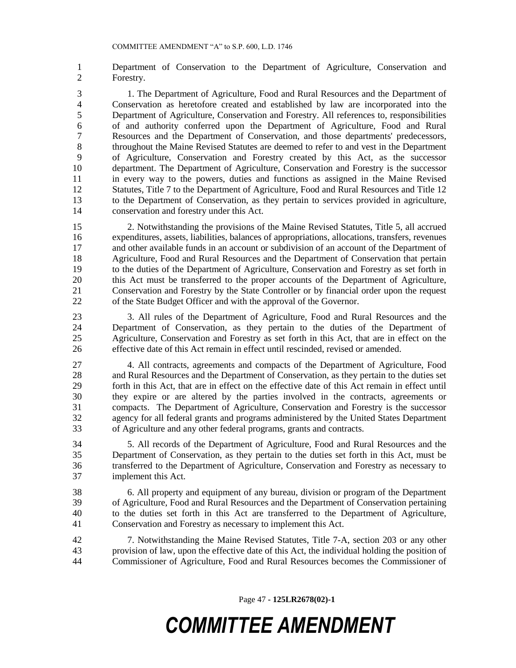Department of Conservation to the Department of Agriculture, Conservation and Forestry.

 1. The Department of Agriculture, Food and Rural Resources and the Department of Conservation as heretofore created and established by law are incorporated into the Department of Agriculture, Conservation and Forestry. All references to, responsibilities of and authority conferred upon the Department of Agriculture, Food and Rural Resources and the Department of Conservation, and those departments' predecessors, throughout the Maine Revised Statutes are deemed to refer to and vest in the Department of Agriculture, Conservation and Forestry created by this Act, as the successor department. The Department of Agriculture, Conservation and Forestry is the successor in every way to the powers, duties and functions as assigned in the Maine Revised Statutes, Title 7 to the Department of Agriculture, Food and Rural Resources and Title 12 to the Department of Conservation, as they pertain to services provided in agriculture, conservation and forestry under this Act.

 2. Notwithstanding the provisions of the Maine Revised Statutes, Title 5, all accrued expenditures, assets, liabilities, balances of appropriations, allocations, transfers, revenues and other available funds in an account or subdivision of an account of the Department of Agriculture, Food and Rural Resources and the Department of Conservation that pertain to the duties of the Department of Agriculture, Conservation and Forestry as set forth in this Act must be transferred to the proper accounts of the Department of Agriculture, Conservation and Forestry by the State Controller or by financial order upon the request of the State Budget Officer and with the approval of the Governor.

 3. All rules of the Department of Agriculture, Food and Rural Resources and the Department of Conservation, as they pertain to the duties of the Department of Agriculture, Conservation and Forestry as set forth in this Act, that are in effect on the effective date of this Act remain in effect until rescinded, revised or amended.

 4. All contracts, agreements and compacts of the Department of Agriculture, Food and Rural Resources and the Department of Conservation, as they pertain to the duties set forth in this Act, that are in effect on the effective date of this Act remain in effect until they expire or are altered by the parties involved in the contracts, agreements or compacts. The Department of Agriculture, Conservation and Forestry is the successor agency for all federal grants and programs administered by the United States Department of Agriculture and any other federal programs, grants and contracts.

 5. All records of the Department of Agriculture, Food and Rural Resources and the Department of Conservation, as they pertain to the duties set forth in this Act, must be transferred to the Department of Agriculture, Conservation and Forestry as necessary to implement this Act.

 6. All property and equipment of any bureau, division or program of the Department of Agriculture, Food and Rural Resources and the Department of Conservation pertaining to the duties set forth in this Act are transferred to the Department of Agriculture, Conservation and Forestry as necessary to implement this Act.

 7. Notwithstanding the Maine Revised Statutes, Title 7-A, section 203 or any other provision of law, upon the effective date of this Act, the individual holding the position of Commissioner of Agriculture, Food and Rural Resources becomes the Commissioner of

Page 47 **- 125LR2678(02)-1**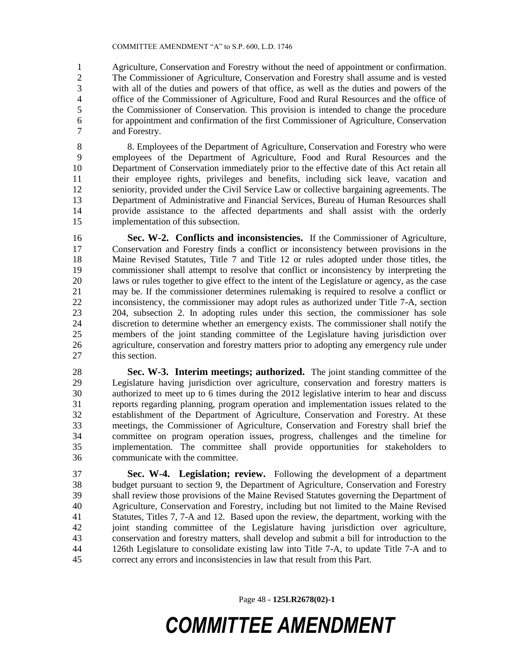Agriculture, Conservation and Forestry without the need of appointment or confirmation. The Commissioner of Agriculture, Conservation and Forestry shall assume and is vested with all of the duties and powers of that office, as well as the duties and powers of the office of the Commissioner of Agriculture, Food and Rural Resources and the office of the Commissioner of Conservation. This provision is intended to change the procedure for appointment and confirmation of the first Commissioner of Agriculture, Conservation and Forestry.

 8. Employees of the Department of Agriculture, Conservation and Forestry who were employees of the Department of Agriculture, Food and Rural Resources and the Department of Conservation immediately prior to the effective date of this Act retain all their employee rights, privileges and benefits, including sick leave, vacation and seniority, provided under the Civil Service Law or collective bargaining agreements. The Department of Administrative and Financial Services, Bureau of Human Resources shall provide assistance to the affected departments and shall assist with the orderly implementation of this subsection.

 **Sec. W-2. Conflicts and inconsistencies.** If the Commissioner of Agriculture, Conservation and Forestry finds a conflict or inconsistency between provisions in the Maine Revised Statutes, Title 7 and Title 12 or rules adopted under those titles, the commissioner shall attempt to resolve that conflict or inconsistency by interpreting the laws or rules together to give effect to the intent of the Legislature or agency, as the case may be. If the commissioner determines rulemaking is required to resolve a conflict or inconsistency, the commissioner may adopt rules as authorized under Title 7-A, section 204, subsection 2. In adopting rules under this section, the commissioner has sole 24 discretion to determine whether an emergency exists. The commissioner shall notify the<br>25 members of the ioint standing committee of the Legislature having iurisdiction over members of the joint standing committee of the Legislature having jurisdiction over agriculture, conservation and forestry matters prior to adopting any emergency rule under this section.

 **Sec. W-3. Interim meetings; authorized.** The joint standing committee of the Legislature having jurisdiction over agriculture, conservation and forestry matters is authorized to meet up to 6 times during the 2012 legislative interim to hear and discuss reports regarding planning, program operation and implementation issues related to the establishment of the Department of Agriculture, Conservation and Forestry. At these meetings, the Commissioner of Agriculture, Conservation and Forestry shall brief the committee on program operation issues, progress, challenges and the timeline for implementation. The committee shall provide opportunities for stakeholders to communicate with the committee.

 **Sec. W-4. Legislation; review.** Following the development of a department budget pursuant to section 9, the Department of Agriculture, Conservation and Forestry shall review those provisions of the Maine Revised Statutes governing the Department of Agriculture, Conservation and Forestry, including but not limited to the Maine Revised Statutes, Titles 7, 7-A and 12. Based upon the review, the department, working with the joint standing committee of the Legislature having jurisdiction over agriculture, conservation and forestry matters, shall develop and submit a bill for introduction to the 126th Legislature to consolidate existing law into Title 7-A, to update Title 7-A and to correct any errors and inconsistencies in law that result from this Part.

Page 48 **- 125LR2678(02)-1**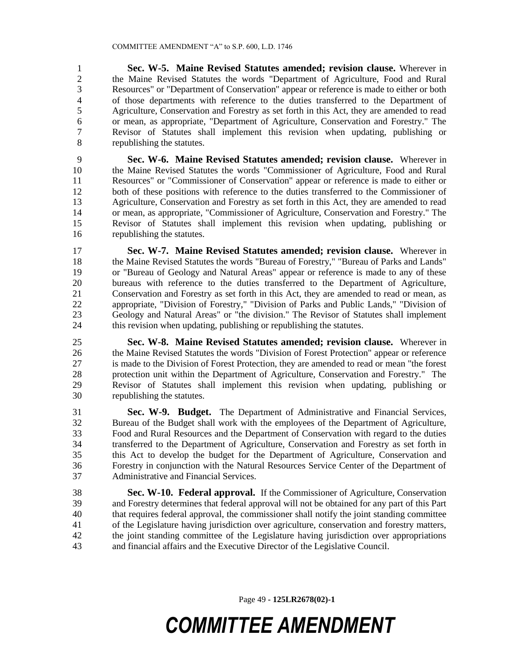**Sec. W-5. Maine Revised Statutes amended; revision clause.** Wherever in 2 the Maine Revised Statutes the words "Department of Agriculture, Food and Rural<br>3 Resources" or "Department of Conservation" appear or reference is made to either or both Resources" or "Department of Conservation" appear or reference is made to either or both of those departments with reference to the duties transferred to the Department of Agriculture, Conservation and Forestry as set forth in this Act, they are amended to read or mean, as appropriate, "Department of Agriculture, Conservation and Forestry." The Revisor of Statutes shall implement this revision when updating, publishing or republishing the statutes.

 **Sec. W-6. Maine Revised Statutes amended; revision clause.** Wherever in the Maine Revised Statutes the words "Commissioner of Agriculture, Food and Rural Resources" or "Commissioner of Conservation" appear or reference is made to either or both of these positions with reference to the duties transferred to the Commissioner of Agriculture, Conservation and Forestry as set forth in this Act, they are amended to read or mean, as appropriate, "Commissioner of Agriculture, Conservation and Forestry." The Revisor of Statutes shall implement this revision when updating, publishing or republishing the statutes.

 **Sec. W-7. Maine Revised Statutes amended; revision clause.** Wherever in the Maine Revised Statutes the words "Bureau of Forestry," "Bureau of Parks and Lands" or "Bureau of Geology and Natural Areas" appear or reference is made to any of these bureaus with reference to the duties transferred to the Department of Agriculture, Conservation and Forestry as set forth in this Act, they are amended to read or mean, as appropriate, "Division of Forestry," "Division of Parks and Public Lands," "Division of 23 Geology and Natural Areas" or "the division." The Revisor of Statutes shall implement this revision when undating publishing or republishing the statutes this revision when updating, publishing or republishing the statutes.

 **Sec. W-8. Maine Revised Statutes amended; revision clause.** Wherever in the Maine Revised Statutes the words "Division of Forest Protection" appear or reference is made to the Division of Forest Protection, they are amended to read or mean "the forest protection unit within the Department of Agriculture, Conservation and Forestry." The Revisor of Statutes shall implement this revision when updating, publishing or republishing the statutes.

 **Sec. W-9. Budget.** The Department of Administrative and Financial Services, Bureau of the Budget shall work with the employees of the Department of Agriculture, Food and Rural Resources and the Department of Conservation with regard to the duties transferred to the Department of Agriculture, Conservation and Forestry as set forth in this Act to develop the budget for the Department of Agriculture, Conservation and Forestry in conjunction with the Natural Resources Service Center of the Department of Administrative and Financial Services.

 **Sec. W-10. Federal approval.** If the Commissioner of Agriculture, Conservation and Forestry determines that federal approval will not be obtained for any part of this Part that requires federal approval, the commissioner shall notify the joint standing committee of the Legislature having jurisdiction over agriculture, conservation and forestry matters, the joint standing committee of the Legislature having jurisdiction over appropriations and financial affairs and the Executive Director of the Legislative Council.

Page 49 **- 125LR2678(02)-1**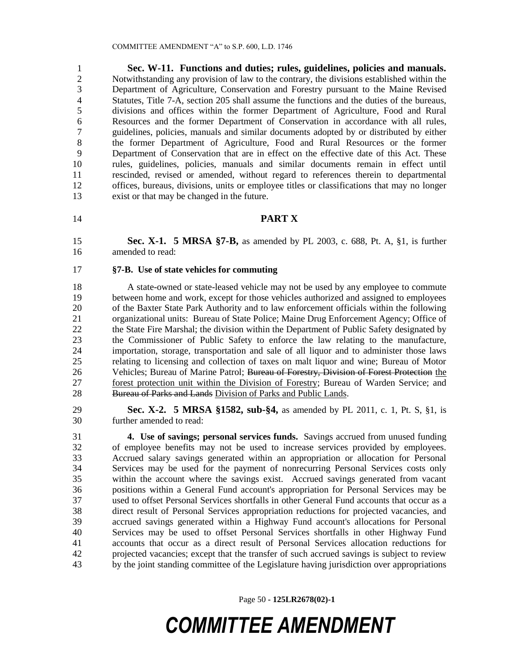**Sec. W-11. Functions and duties; rules, guidelines, policies and manuals.**  Notwithstanding any provision of law to the contrary, the divisions established within the Department of Agriculture, Conservation and Forestry pursuant to the Maine Revised Statutes, Title 7-A, section 205 shall assume the functions and the duties of the bureaus, divisions and offices within the former Department of Agriculture, Food and Rural Resources and the former Department of Conservation in accordance with all rules, guidelines, policies, manuals and similar documents adopted by or distributed by either the former Department of Agriculture, Food and Rural Resources or the former Department of Conservation that are in effect on the effective date of this Act. These rules, guidelines, policies, manuals and similar documents remain in effect until rescinded, revised or amended, without regard to references therein to departmental offices, bureaus, divisions, units or employee titles or classifications that may no longer exist or that may be changed in the future.

### **PART X**

 **Sec. X-1. 5 MRSA §7-B,** as amended by PL 2003, c. 688, Pt. A, §1, is further amended to read:

#### **§7-B. Use of state vehicles for commuting**

 A state-owned or state-leased vehicle may not be used by any employee to commute between home and work, except for those vehicles authorized and assigned to employees of the Baxter State Park Authority and to law enforcement officials within the following organizational units: Bureau of State Police; Maine Drug Enforcement Agency; Office of 22 the State Fire Marshal; the division within the Department of Public Safety designated by the Commissioner of Public Safety to enforce the law relating to the manufacture, importation, storage, transportation and sale of all liquor and to administer those laws relating to licensing and collection of taxes on malt liquor and wine; Bureau of Motor 26 Vehicles; Bureau of Marine Patrol; Bureau of Forestry, Division of Forest Protection the forest protection unit within the Division of Forestry; Bureau of Warden Service; and 28 Bureau of Parks and Lands Division of Parks and Public Lands.

 **Sec. X-2. 5 MRSA §1582, sub-§4,** as amended by PL 2011, c. 1, Pt. S, §1, is further amended to read:

 **4. Use of savings; personal services funds.** Savings accrued from unused funding of employee benefits may not be used to increase services provided by employees. Accrued salary savings generated within an appropriation or allocation for Personal Services may be used for the payment of nonrecurring Personal Services costs only within the account where the savings exist. Accrued savings generated from vacant positions within a General Fund account's appropriation for Personal Services may be used to offset Personal Services shortfalls in other General Fund accounts that occur as a direct result of Personal Services appropriation reductions for projected vacancies, and accrued savings generated within a Highway Fund account's allocations for Personal Services may be used to offset Personal Services shortfalls in other Highway Fund accounts that occur as a direct result of Personal Services allocation reductions for projected vacancies; except that the transfer of such accrued savings is subject to review by the joint standing committee of the Legislature having jurisdiction over appropriations

Page 50 **- 125LR2678(02)-1**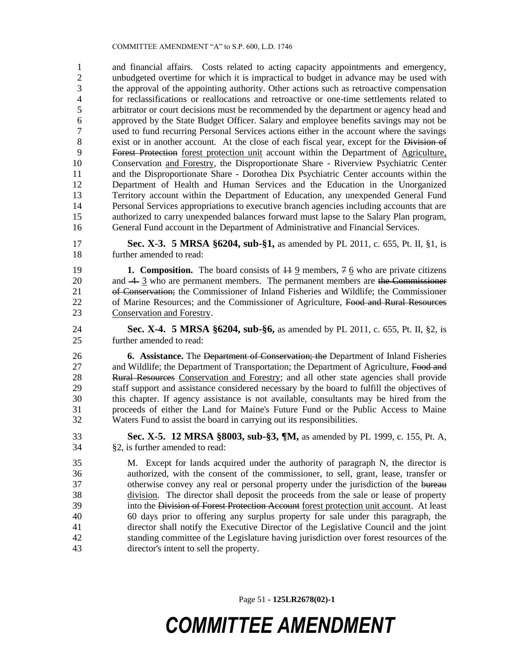and financial affairs. Costs related to acting capacity appointments and emergency, unbudgeted overtime for which it is impractical to budget in advance may be used with the approval of the appointing authority. Other actions such as retroactive compensation for reclassifications or reallocations and retroactive or one-time settlements related to arbitrator or court decisions must be recommended by the department or agency head and approved by the State Budget Officer. Salary and employee benefits savings may not be used to fund recurring Personal Services actions either in the account where the savings 8 exist or in another account. At the close of each fiscal year, except for the Division of Forest Protection forest protection unit account within the Department of Agriculture, Conservation and Forestry, the Disproportionate Share - Riverview Psychiatric Center and the Disproportionate Share - Dorothea Dix Psychiatric Center accounts within the Department of Health and Human Services and the Education in the Unorganized Territory account within the Department of Education, any unexpended General Fund Personal Services appropriations to executive branch agencies including accounts that are authorized to carry unexpended balances forward must lapse to the Salary Plan program, General Fund account in the Department of Administrative and Financial Services.

 **Sec. X-3. 5 MRSA §6204, sub-§1,** as amended by PL 2011, c. 655, Pt. II, §1, is further amended to read:

19 **1. Composition.** The board consists of  $\frac{119}{2}$  members,  $\frac{76}{6}$  who are private citizens 20 and  $\frac{4}{3}$  who are permanent members. The permanent members are the Commissioner of Conservation; the Commissioner of Inland Fisheries and Wildlife; the Commissioner 22 of Marine Resources; and the Commissioner of Agriculture, Food and Rural Resources Conservation and Forestry.

 **Sec. X-4. 5 MRSA §6204, sub-§6,** as amended by PL 2011, c. 655, Pt. II, §2, is further amended to read:

 **6. Assistance.** The Department of Conservation; the Department of Inland Fisheries 27 and Wildlife; the Department of Transportation; the Department of Agriculture, Food and 28 Rural Resources Conservation and Forestry; and all other state agencies shall provide staff support and assistance considered necessary by the board to fulfill the objectives of this chapter. If agency assistance is not available, consultants may be hired from the proceeds of either the Land for Maine's Future Fund or the Public Access to Maine Waters Fund to assist the board in carrying out its responsibilities.

 **Sec. X-5. 12 MRSA §8003, sub-§3, ¶M,** as amended by PL 1999, c. 155, Pt. A, §2, is further amended to read:

 M. Except for lands acquired under the authority of paragraph N, the director is authorized, with the consent of the commissioner, to sell, grant, lease, transfer or 37 otherwise convey any real or personal property under the jurisdiction of the bureau division. The director shall deposit the proceeds from the sale or lease of property into the Division of Forest Protection Account forest protection unit account. At least 60 days prior to offering any surplus property for sale under this paragraph, the director shall notify the Executive Director of the Legislative Council and the joint standing committee of the Legislature having jurisdiction over forest resources of the director's intent to sell the property.

Page 51 **- 125LR2678(02)-1**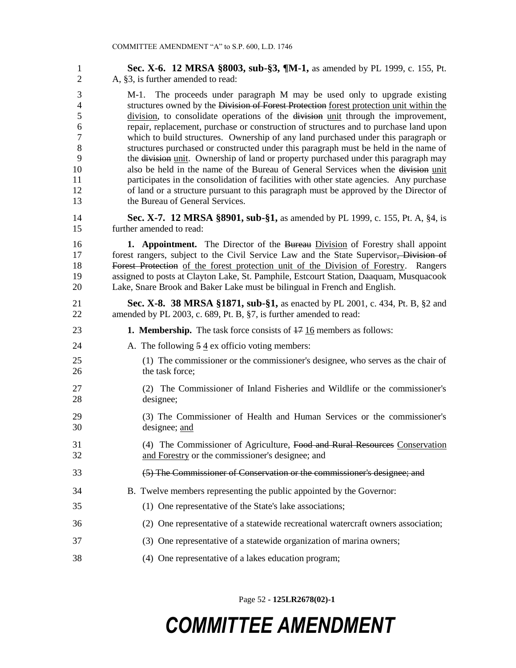| $\mathbf{1}$   | Sec. X-6. 12 MRSA §8003, sub-§3, ¶M-1, as amended by PL 1999, c. 155, Pt.               |
|----------------|-----------------------------------------------------------------------------------------|
| $\overline{2}$ | A, §3, is further amended to read:                                                      |
| 3              | M-1. The proceeds under paragraph M may be used only to upgrade existing                |
| $\overline{4}$ | structures owned by the Division of Forest Protection forest protection unit within the |
| 5              | division, to consolidate operations of the division unit through the improvement,       |
| 6              | repair, replacement, purchase or construction of structures and to purchase land upon   |
| $\tau$         | which to build structures. Ownership of any land purchased under this paragraph or      |
| 8              | structures purchased or constructed under this paragraph must be held in the name of    |
| 9              | the division unit. Ownership of land or property purchased under this paragraph may     |
| 10             | also be held in the name of the Bureau of General Services when the division unit       |
| 11             | participates in the consolidation of facilities with other state agencies. Any purchase |
| 12             | of land or a structure pursuant to this paragraph must be approved by the Director of   |
| 13             | the Bureau of General Services.                                                         |
| 14             | Sec. X-7. 12 MRSA §8901, sub-§1, as amended by PL 1999, c. 155, Pt. A, §4, is           |
| 15             | further amended to read:                                                                |
| 16             | <b>1. Appointment.</b> The Director of the Bureau Division of Forestry shall appoint    |
| 17             | forest rangers, subject to the Civil Service Law and the State Supervisor, Division of  |
| 18             | Forest Protection of the forest protection unit of the Division of Forestry. Rangers    |
| 19             | assigned to posts at Clayton Lake, St. Pamphile, Estcourt Station, Daaquam, Musquacook  |
| 20             | Lake, Snare Brook and Baker Lake must be bilingual in French and English.               |
| 21             | <b>Sec. X-8. 38 MRSA §1871, sub-§1,</b> as enacted by PL 2001, c. 434, Pt. B, §2 and    |
| 22             | amended by PL 2003, c. 689, Pt. B, §7, is further amended to read:                      |
| 23             | <b>1. Membership.</b> The task force consists of $\frac{17}{16}$ members as follows:    |
| 24             | A. The following $5\frac{4}{3}$ ex officio voting members:                              |
| 25             | (1) The commissioner or the commissioner's designee, who serves as the chair of         |
| 26             | the task force;                                                                         |
| 27             | (2) The Commissioner of Inland Fisheries and Wildlife or the commissioner's             |
| 28             | designee;                                                                               |
| 29             | (3) The Commissioner of Health and Human Services or the commissioner's                 |
| 30             | designee; and                                                                           |
| 31             | (4) The Commissioner of Agriculture, Food and Rural Resources Conservation              |
| 32             | and Forestry or the commissioner's designee; and                                        |
| 33             | (5) The Commissioner of Conservation or the commissioner's designee; and                |
| 34             | B. Twelve members representing the public appointed by the Governor:                    |
| 35             | (1) One representative of the State's lake associations;                                |
| 36             | (2) One representative of a statewide recreational watercraft owners association;       |
| 37             | (3) One representative of a statewide organization of marina owners;                    |
| 38             | (4) One representative of a lakes education program;                                    |

Page 52 **- 125LR2678(02)-1**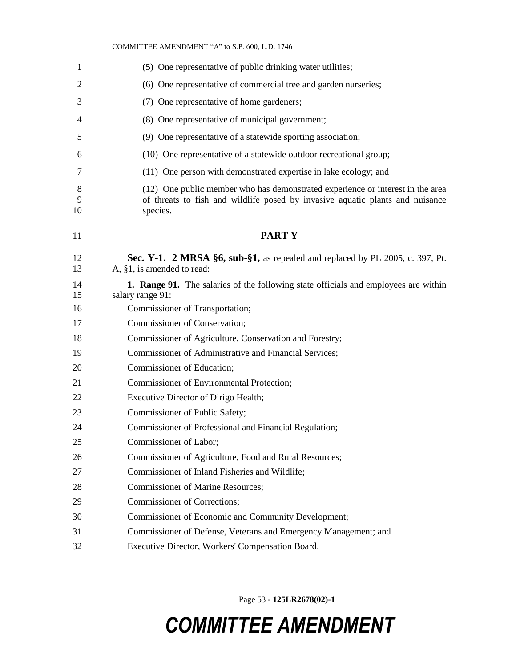| 1            | (5) One representative of public drinking water utilities;                                                                                                                  |
|--------------|-----------------------------------------------------------------------------------------------------------------------------------------------------------------------------|
| 2            | (6) One representative of commercial tree and garden nurseries;                                                                                                             |
| 3            | (7) One representative of home gardeners;                                                                                                                                   |
| 4            | (8) One representative of municipal government;                                                                                                                             |
| 5            | (9) One representative of a statewide sporting association;                                                                                                                 |
| 6            | (10) One representative of a statewide outdoor recreational group;                                                                                                          |
| 7            | (11) One person with demonstrated expertise in lake ecology; and                                                                                                            |
| 8<br>9<br>10 | (12) One public member who has demonstrated experience or interest in the area<br>of threats to fish and wildlife posed by invasive aquatic plants and nuisance<br>species. |
| 11           | <b>PARTY</b>                                                                                                                                                                |
| 12<br>13     | Sec. Y-1. 2 MRSA $\S6$ , sub- $\S1$ , as repealed and replaced by PL 2005, c. 397, Pt.<br>A, §1, is amended to read:                                                        |
| 14<br>15     | <b>1. Range 91.</b> The salaries of the following state officials and employees are within<br>salary range 91:                                                              |
| 16           | Commissioner of Transportation;                                                                                                                                             |
| 17           | <b>Commissioner of Conservation;</b>                                                                                                                                        |
| 18           | Commissioner of Agriculture, Conservation and Forestry;                                                                                                                     |
| 19           | Commissioner of Administrative and Financial Services;                                                                                                                      |
| 20           | Commissioner of Education;                                                                                                                                                  |
| 21           | Commissioner of Environmental Protection;                                                                                                                                   |
| 22           | Executive Director of Dirigo Health;                                                                                                                                        |
| 23           | Commissioner of Public Safety;                                                                                                                                              |
| 24           | Commissioner of Professional and Financial Regulation;                                                                                                                      |
| 25           | Commissioner of Labor;                                                                                                                                                      |
| 26           | Commissioner of Agriculture, Food and Rural Resources;                                                                                                                      |
| 27           | Commissioner of Inland Fisheries and Wildlife;                                                                                                                              |
| 28           | <b>Commissioner of Marine Resources;</b>                                                                                                                                    |
| 29           | Commissioner of Corrections;                                                                                                                                                |
| 30           | Commissioner of Economic and Community Development;                                                                                                                         |
| 31           | Commissioner of Defense, Veterans and Emergency Management; and                                                                                                             |
| 32           | Executive Director, Workers' Compensation Board.                                                                                                                            |

Page 53 **- 125LR2678(02)-1**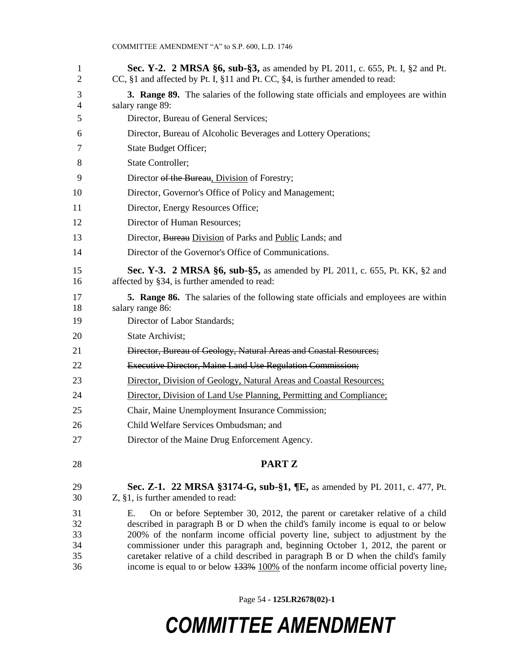| 1<br>2   | <b>Sec. Y-2. 2 MRSA §6, sub-§3,</b> as amended by PL 2011, c. 655, Pt. I, §2 and Pt.<br>CC, §1 and affected by Pt. I, §11 and Pt. CC, §4, is further amended to read:   |
|----------|-------------------------------------------------------------------------------------------------------------------------------------------------------------------------|
| 3<br>4   | 3. Range 89. The salaries of the following state officials and employees are within<br>salary range 89:                                                                 |
| 5        | Director, Bureau of General Services;                                                                                                                                   |
| 6        | Director, Bureau of Alcoholic Beverages and Lottery Operations;                                                                                                         |
| 7        | State Budget Officer;                                                                                                                                                   |
| 8        | <b>State Controller;</b>                                                                                                                                                |
| 9        | Director of the Bureau, Division of Forestry;                                                                                                                           |
| 10       | Director, Governor's Office of Policy and Management;                                                                                                                   |
| 11       | Director, Energy Resources Office;                                                                                                                                      |
| 12       | Director of Human Resources;                                                                                                                                            |
| 13       | Director, Bureau Division of Parks and Public Lands; and                                                                                                                |
| 14       | Director of the Governor's Office of Communications.                                                                                                                    |
| 15<br>16 | <b>Sec. Y-3. 2 MRSA §6, sub-§5,</b> as amended by PL 2011, c. 655, Pt. KK, §2 and<br>affected by §34, is further amended to read:                                       |
| 17<br>18 | <b>5. Range 86.</b> The salaries of the following state officials and employees are within<br>salary range 86:                                                          |
| 19       | Director of Labor Standards;                                                                                                                                            |
| 20       | State Archivist;                                                                                                                                                        |
| 21       | Director, Bureau of Geology, Natural Areas and Coastal Resources;                                                                                                       |
| 22       | <b>Executive Director, Maine Land Use Regulation Commission;</b>                                                                                                        |
| 23       | Director, Division of Geology, Natural Areas and Coastal Resources;                                                                                                     |
| 24       | Director, Division of Land Use Planning, Permitting and Compliance;                                                                                                     |
| 25       | Chair, Maine Unemployment Insurance Commission;                                                                                                                         |
| 26       | Child Welfare Services Ombudsman; and                                                                                                                                   |
| 27       | Director of the Maine Drug Enforcement Agency.                                                                                                                          |
| 28       | PART Z                                                                                                                                                                  |
| 29       | <b>Sec. Z-1.</b> 22 MRSA §3174-G, sub-§1, $\P$ E, as amended by PL 2011, c. 477, Pt.                                                                                    |
| 30       | $Z$ , §1, is further amended to read:                                                                                                                                   |
| 31<br>32 | On or before September 30, 2012, the parent or caretaker relative of a child<br>Е.<br>described in paragraph B or D when the child's family income is equal to or below |
| 33       | 200% of the nonfarm income official poverty line, subject to adjustment by the                                                                                          |
| 34       | commissioner under this paragraph and, beginning October 1, 2012, the parent or                                                                                         |
| 35       | caretaker relative of a child described in paragraph B or D when the child's family                                                                                     |
| 36       | income is equal to or below $133\%$ 100% of the nonfarm income official poverty line,                                                                                   |

Page 54 **- 125LR2678(02)-1**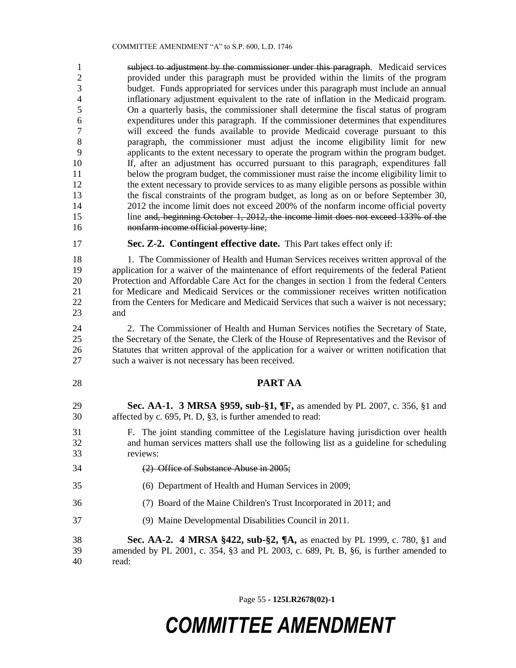subject to adjustment by the commissioner under this paragraph. Medicaid services provided under this paragraph must be provided within the limits of the program budget. Funds appropriated for services under this paragraph must include an annual inflationary adjustment equivalent to the rate of inflation in the Medicaid program. On a quarterly basis, the commissioner shall determine the fiscal status of program expenditures under this paragraph. If the commissioner determines that expenditures will exceed the funds available to provide Medicaid coverage pursuant to this paragraph, the commissioner must adjust the income eligibility limit for new applicants to the extent necessary to operate the program within the program budget. If, after an adjustment has occurred pursuant to this paragraph, expenditures fall below the program budget, the commissioner must raise the income eligibility limit to the extent necessary to provide services to as many eligible persons as possible within the fiscal constraints of the program budget, as long as on or before September 30, 2012 the income limit does not exceed 200% of the nonfarm income official poverty line and, beginning October 1, 2012, the income limit does not exceed 133% of the 16 nonfarm income official poverty line;

#### **Sec. Z-2. Contingent effective date.** This Part takes effect only if:

 1. The Commissioner of Health and Human Services receives written approval of the application for a waiver of the maintenance of effort requirements of the federal Patient Protection and Affordable Care Act for the changes in section 1 from the federal Centers for Medicare and Medicaid Services or the commissioner receives written notification from the Centers for Medicare and Medicaid Services that such a waiver is not necessary; and

 2. The Commissioner of Health and Human Services notifies the Secretary of State, the Secretary of the Senate, the Clerk of the House of Representatives and the Revisor of Statutes that written approval of the application for a waiver or written notification that such a waiver is not necessary has been received.

#### **PART AA**

 **Sec. AA-1. 3 MRSA §959, sub-§1, ¶F,** as amended by PL 2007, c. 356, §1 and affected by c. 695, Pt. D, §3, is further amended to read:

 F. The joint standing committee of the Legislature having jurisdiction over health and human services matters shall use the following list as a guideline for scheduling reviews:

- 
- (2) Office of Substance Abuse in 2005;
- (6) Department of Health and Human Services in 2009;
- (7) Board of the Maine Children's Trust Incorporated in 2011; and
- (9) Maine Developmental Disabilities Council in 2011.

 **Sec. AA-2. 4 MRSA §422, sub-§2, ¶A,** as enacted by PL 1999, c. 780, §1 and amended by PL 2001, c. 354, §3 and PL 2003, c. 689, Pt. B, §6, is further amended to read:

Page 55 **- 125LR2678(02)-1**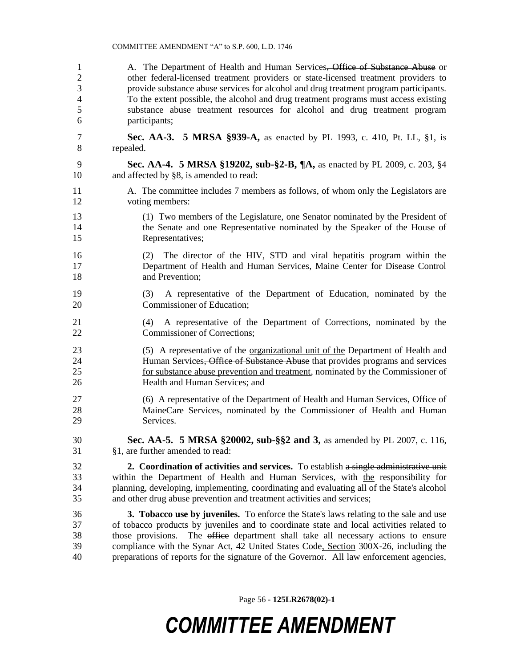| $\mathbf{1}$               | A. The Department of Health and Human Services <del>, Office of Substance Abuse</del> or                                                                                                                                                                                                                                                                                                                                                                       |
|----------------------------|----------------------------------------------------------------------------------------------------------------------------------------------------------------------------------------------------------------------------------------------------------------------------------------------------------------------------------------------------------------------------------------------------------------------------------------------------------------|
| $\overline{c}$             | other federal-licensed treatment providers or state-licensed treatment providers to                                                                                                                                                                                                                                                                                                                                                                            |
| 3                          | provide substance abuse services for alcohol and drug treatment program participants.                                                                                                                                                                                                                                                                                                                                                                          |
| $\overline{\mathcal{L}}$   | To the extent possible, the alcohol and drug treatment programs must access existing                                                                                                                                                                                                                                                                                                                                                                           |
| 5                          | substance abuse treatment resources for alcohol and drug treatment program                                                                                                                                                                                                                                                                                                                                                                                     |
| 6                          | participants;                                                                                                                                                                                                                                                                                                                                                                                                                                                  |
| $\tau$                     | <b>Sec. AA-3. 5 MRSA §939-A,</b> as enacted by PL 1993, c. 410, Pt. LL, §1, is                                                                                                                                                                                                                                                                                                                                                                                 |
| 8                          | repealed.                                                                                                                                                                                                                                                                                                                                                                                                                                                      |
| 9                          | Sec. AA-4. 5 MRSA §19202, sub-§2-B, ¶A, as enacted by PL 2009, c. 203, §4                                                                                                                                                                                                                                                                                                                                                                                      |
| 10                         | and affected by §8, is amended to read:                                                                                                                                                                                                                                                                                                                                                                                                                        |
| 11                         | A. The committee includes 7 members as follows, of whom only the Legislators are                                                                                                                                                                                                                                                                                                                                                                               |
| 12                         | voting members:                                                                                                                                                                                                                                                                                                                                                                                                                                                |
| 13                         | (1) Two members of the Legislature, one Senator nominated by the President of                                                                                                                                                                                                                                                                                                                                                                                  |
| 14                         | the Senate and one Representative nominated by the Speaker of the House of                                                                                                                                                                                                                                                                                                                                                                                     |
| 15                         | Representatives;                                                                                                                                                                                                                                                                                                                                                                                                                                               |
| 16<br>17<br>18             | The director of the HIV, STD and viral hepatitis program within the<br>(2)<br>Department of Health and Human Services, Maine Center for Disease Control<br>and Prevention;                                                                                                                                                                                                                                                                                     |
| 19<br>20                   | A representative of the Department of Education, nominated by the<br>(3)<br>Commissioner of Education;                                                                                                                                                                                                                                                                                                                                                         |
| 21<br>22                   | A representative of the Department of Corrections, nominated by the<br>(4)<br>Commissioner of Corrections;                                                                                                                                                                                                                                                                                                                                                     |
| 23                         | (5) A representative of the <u>organizational unit of the</u> Department of Health and                                                                                                                                                                                                                                                                                                                                                                         |
| 24                         | Human Services, Office of Substance Abuse that provides programs and services                                                                                                                                                                                                                                                                                                                                                                                  |
| 25                         | for substance abuse prevention and treatment, nominated by the Commissioner of                                                                                                                                                                                                                                                                                                                                                                                 |
| 26                         | Health and Human Services; and                                                                                                                                                                                                                                                                                                                                                                                                                                 |
| 27                         | (6) A representative of the Department of Health and Human Services, Office of                                                                                                                                                                                                                                                                                                                                                                                 |
| 28                         | MaineCare Services, nominated by the Commissioner of Health and Human                                                                                                                                                                                                                                                                                                                                                                                          |
| 29                         | Services.                                                                                                                                                                                                                                                                                                                                                                                                                                                      |
| 30                         | Sec. AA-5. 5 MRSA §20002, sub-§§2 and 3, as amended by PL 2007, c. 116,                                                                                                                                                                                                                                                                                                                                                                                        |
| 31                         | §1, are further amended to read:                                                                                                                                                                                                                                                                                                                                                                                                                               |
| 32                         | 2. Coordination of activities and services. To establish a single administrative unit                                                                                                                                                                                                                                                                                                                                                                          |
| 33                         | within the Department of Health and Human Services, with the responsibility for                                                                                                                                                                                                                                                                                                                                                                                |
| 34                         | planning, developing, implementing, coordinating and evaluating all of the State's alcohol                                                                                                                                                                                                                                                                                                                                                                     |
| 35                         | and other drug abuse prevention and treatment activities and services;                                                                                                                                                                                                                                                                                                                                                                                         |
| 36<br>37<br>38<br>39<br>40 | 3. Tobacco use by juveniles. To enforce the State's laws relating to the sale and use<br>of tobacco products by juveniles and to coordinate state and local activities related to<br>The office department shall take all necessary actions to ensure<br>those provisions.<br>compliance with the Synar Act, 42 United States Code, Section 300X-26, including the<br>preparations of reports for the signature of the Governor. All law enforcement agencies, |

Page 56 **- 125LR2678(02)-1**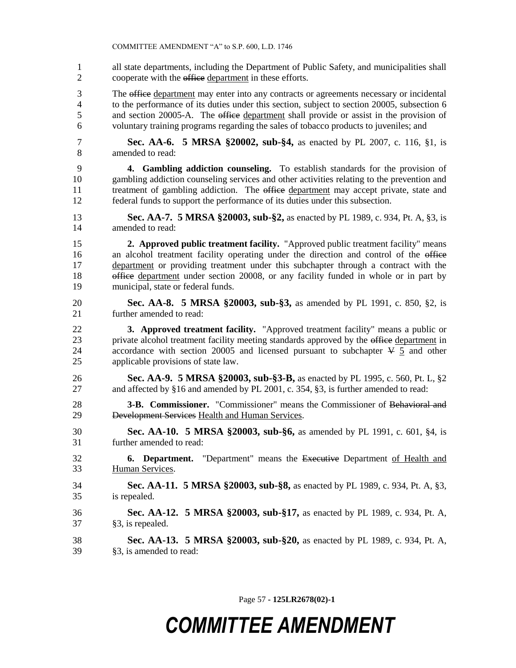all state departments, including the Department of Public Safety, and municipalities shall 2 cooperate with the office department in these efforts.

3 The office department may enter into any contracts or agreements necessary or incidental to the performance of its duties under this section, subject to section 20005, subsection 6 5 and section 20005-A. The office department shall provide or assist in the provision of voluntary training programs regarding the sales of tobacco products to juveniles; and

 **Sec. AA-6. 5 MRSA §20002, sub-§4,** as enacted by PL 2007, c. 116, §1, is amended to read:

 **4. Gambling addiction counseling.** To establish standards for the provision of gambling addiction counseling services and other activities relating to the prevention and 11 treatment of gambling addiction. The office department may accept private, state and federal funds to support the performance of its duties under this subsection.

 **Sec. AA-7. 5 MRSA §20003, sub-§2,** as enacted by PL 1989, c. 934, Pt. A, §3, is amended to read:

 **2. Approved public treatment facility.** "Approved public treatment facility" means 16 an alcohol treatment facility operating under the direction and control of the office department or providing treatment under this subchapter through a contract with the office department under section 20008, or any facility funded in whole or in part by municipal, state or federal funds.

 **Sec. AA-8. 5 MRSA §20003, sub-§3,** as amended by PL 1991, c. 850, §2, is further amended to read:

 **3. Approved treatment facility.** "Approved treatment facility" means a public or 23 private alcohol treatment facility meeting standards approved by the office department in 24 accordance with section 20005 and licensed pursuant to subchapter  $\frac{1}{2}$  and other applicable provisions of state law.

 **Sec. AA-9. 5 MRSA §20003, sub-§3-B,** as enacted by PL 1995, c. 560, Pt. L, §2 and affected by §16 and amended by PL 2001, c. 354, §3, is further amended to read:

 **3-B. Commissioner.** "Commissioner" means the Commissioner of Behavioral and Development Services Health and Human Services.

 **Sec. AA-10. 5 MRSA §20003, sub-§6,** as amended by PL 1991, c. 601, §4, is further amended to read:

 **6. Department.** "Department" means the Executive Department of Health and Human Services.

 **Sec. AA-11. 5 MRSA §20003, sub-§8,** as enacted by PL 1989, c. 934, Pt. A, §3, is repealed.

 **Sec. AA-12. 5 MRSA §20003, sub-§17,** as enacted by PL 1989, c. 934, Pt. A, §3, is repealed.

 **Sec. AA-13. 5 MRSA §20003, sub-§20,** as enacted by PL 1989, c. 934, Pt. A, §3, is amended to read:

Page 57 **- 125LR2678(02)-1**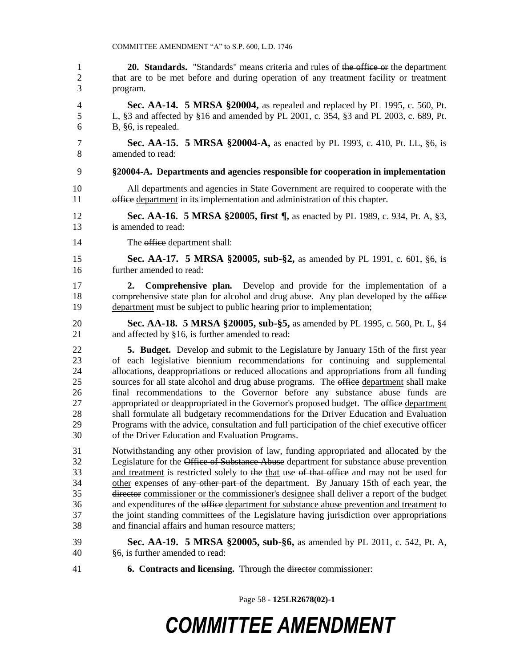**20. Standards.** "Standards" means criteria and rules of the office or the department that are to be met before and during operation of any treatment facility or treatment program. **Sec. AA-14. 5 MRSA §20004,** as repealed and replaced by PL 1995, c. 560, Pt. L, §3 and affected by §16 and amended by PL 2001, c. 354, §3 and PL 2003, c. 689, Pt. B, §6, is repealed. **Sec. AA-15. 5 MRSA §20004-A,** as enacted by PL 1993, c. 410, Pt. LL, §6, is amended to read: **§20004-A. Departments and agencies responsible for cooperation in implementation** All departments and agencies in State Government are required to cooperate with the 11 office department in its implementation and administration of this chapter. **Sec. AA-16. 5 MRSA §20005, first ¶,** as enacted by PL 1989, c. 934, Pt. A, §3, is amended to read: 14 The office department shall: **Sec. AA-17. 5 MRSA §20005, sub-§2,** as amended by PL 1991, c. 601, §6, is further amended to read: **2. Comprehensive plan.** Develop and provide for the implementation of a 18 comprehensive state plan for alcohol and drug abuse. Any plan developed by the office department must be subject to public hearing prior to implementation; **Sec. AA-18. 5 MRSA §20005, sub-§5,** as amended by PL 1995, c. 560, Pt. L, §4 and affected by §16, is further amended to read: **5. Budget.** Develop and submit to the Legislature by January 15th of the first year of each legislative biennium recommendations for continuing and supplemental allocations, deappropriations or reduced allocations and appropriations from all funding sources for all state alcohol and drug abuse programs. The office department shall make final recommendations to the Governor before any substance abuse funds are 27 appropriated or deappropriated in the Governor's proposed budget. The office department shall formulate all budgetary recommendations for the Driver Education and Evaluation Programs with the advice, consultation and full participation of the chief executive officer of the Driver Education and Evaluation Programs. Notwithstanding any other provision of law, funding appropriated and allocated by the 32 Legislature for the Office of Substance Abuse department for substance abuse prevention 33 and treatment is restricted solely to the that use of that office and may not be used for 34 other expenses of any other part of the department. By January 15th of each year, the 35 director commissioner or the commissioner's designee shall deliver a report of the budget and expenditures of the office department for substance abuse prevention and treatment to the joint standing committees of the Legislature having jurisdiction over appropriations and financial affairs and human resource matters; **Sec. AA-19. 5 MRSA §20005, sub-§6,** as amended by PL 2011, c. 542, Pt. A, §6, is further amended to read: **6. Contracts and licensing.** Through the director commissioner:

Page 58 **- 125LR2678(02)-1**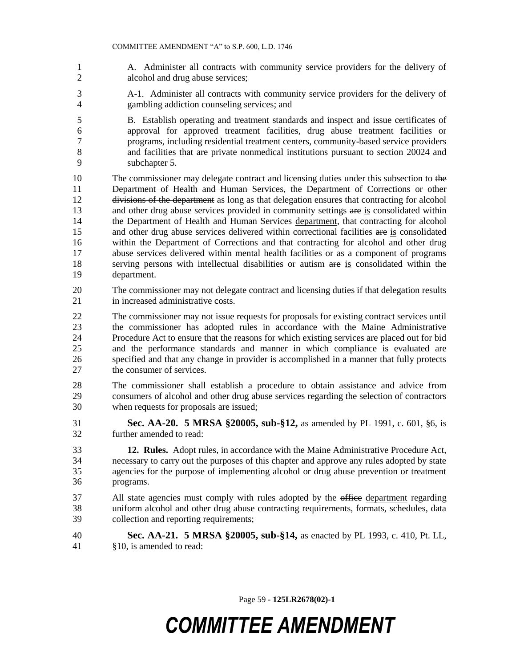- A. Administer all contracts with community service providers for the delivery of alcohol and drug abuse services;
- A-1. Administer all contracts with community service providers for the delivery of gambling addiction counseling services; and
- B. Establish operating and treatment standards and inspect and issue certificates of approval for approved treatment facilities, drug abuse treatment facilities or programs, including residential treatment centers, community-based service providers and facilities that are private nonmedical institutions pursuant to section 20024 and subchapter 5.
- 10 The commissioner may delegate contract and licensing duties under this subsection to the 11 Department of Health and Human Services, the Department of Corrections or other divisions of the department as long as that delegation ensures that contracting for alcohol 13 and other drug abuse services provided in community settings are is consolidated within 14 the Department of Health and Human Services department, that contracting for alcohol 15 and other drug abuse services delivered within correctional facilities are is consolidated within the Department of Corrections and that contracting for alcohol and other drug abuse services delivered within mental health facilities or as a component of programs 18 serving persons with intellectual disabilities or autism are is consolidated within the department.
- The commissioner may not delegate contract and licensing duties if that delegation results in increased administrative costs.
- The commissioner may not issue requests for proposals for existing contract services until the commissioner has adopted rules in accordance with the Maine Administrative Procedure Act to ensure that the reasons for which existing services are placed out for bid and the performance standards and manner in which compliance is evaluated are specified and that any change in provider is accomplished in a manner that fully protects the consumer of services.
- The commissioner shall establish a procedure to obtain assistance and advice from consumers of alcohol and other drug abuse services regarding the selection of contractors when requests for proposals are issued;
- **Sec. AA-20. 5 MRSA §20005, sub-§12,** as amended by PL 1991, c. 601, §6, is further amended to read:
- **12. Rules.** Adopt rules, in accordance with the Maine Administrative Procedure Act, necessary to carry out the purposes of this chapter and approve any rules adopted by state agencies for the purpose of implementing alcohol or drug abuse prevention or treatment programs.
- 37 All state agencies must comply with rules adopted by the office department regarding uniform alcohol and other drug abuse contracting requirements, formats, schedules, data collection and reporting requirements;
- **Sec. AA-21. 5 MRSA §20005, sub-§14,** as enacted by PL 1993, c. 410, Pt. LL, §10, is amended to read:

Page 59 **- 125LR2678(02)-1**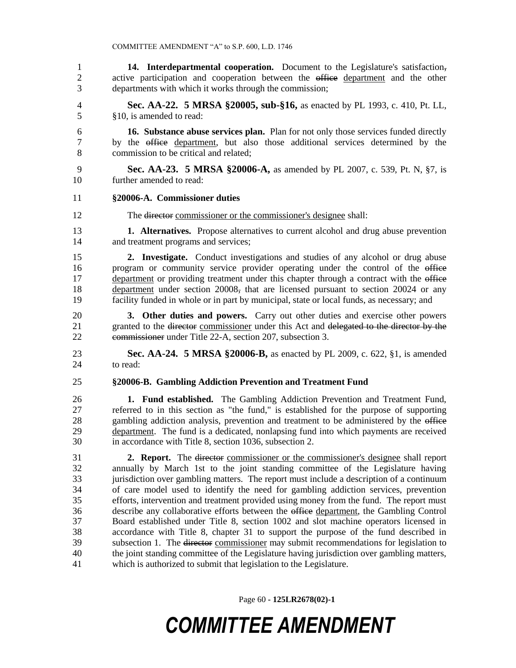**14. Interdepartmental cooperation.** Document to the Legislature's satisfaction, 2 active participation and cooperation between the office department and the other departments with which it works through the commission;

- **Sec. AA-22. 5 MRSA §20005, sub-§16,** as enacted by PL 1993, c. 410, Pt. LL, §10, is amended to read:
- **16. Substance abuse services plan.** Plan for not only those services funded directly by the office department, but also those additional services determined by the commission to be critical and related;
- **Sec. AA-23. 5 MRSA §20006-A,** as amended by PL 2007, c. 539, Pt. N, §7, is further amended to read:

#### **§20006-A. Commissioner duties**

- The director commissioner or the commissioner's designee shall:
- **1. Alternatives.** Propose alternatives to current alcohol and drug abuse prevention and treatment programs and services;
- **2. Investigate.** Conduct investigations and studies of any alcohol or drug abuse 16 program or community service provider operating under the control of the office 17 department or providing treatment under this chapter through a contract with the office department under section 20008, that are licensed pursuant to section 20024 or any facility funded in whole or in part by municipal, state or local funds, as necessary; and
- **3. Other duties and powers.** Carry out other duties and exercise other powers 21 granted to the <del>director</del> commissioner under this Act and delegated to the director by the commissioner under Title 22-A, section 207, subsection 3.

 **Sec. AA-24. 5 MRSA §20006-B,** as enacted by PL 2009, c. 622, §1, is amended to read:

**§20006-B. Gambling Addiction Prevention and Treatment Fund**

 **1. Fund established.** The Gambling Addiction Prevention and Treatment Fund, referred to in this section as "the fund," is established for the purpose of supporting 28 gambling addiction analysis, prevention and treatment to be administered by the office department. The fund is a dedicated, nonlapsing fund into which payments are received in accordance with Title 8, section 1036, subsection 2.

 **2. Report.** The director commissioner or the commissioner's designee shall report annually by March 1st to the joint standing committee of the Legislature having jurisdiction over gambling matters. The report must include a description of a continuum of care model used to identify the need for gambling addiction services, prevention efforts, intervention and treatment provided using money from the fund. The report must describe any collaborative efforts between the office department, the Gambling Control Board established under Title 8, section 1002 and slot machine operators licensed in accordance with Title 8, chapter 31 to support the purpose of the fund described in subsection 1. The director commissioner may submit recommendations for legislation to the joint standing committee of the Legislature having jurisdiction over gambling matters, which is authorized to submit that legislation to the Legislature.

Page 60 **- 125LR2678(02)-1**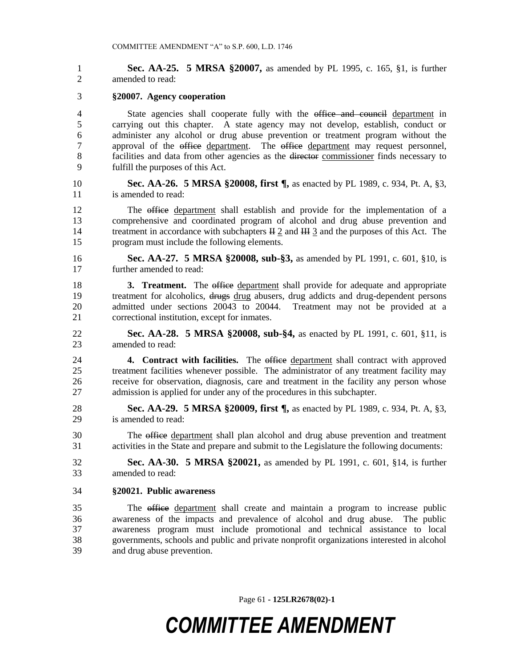**Sec. AA-25. 5 MRSA §20007,** as amended by PL 1995, c. 165, §1, is further amended to read:

#### **§20007. Agency cooperation**

4 State agencies shall cooperate fully with the office and council department in carrying out this chapter. A state agency may not develop, establish, conduct or administer any alcohol or drug abuse prevention or treatment program without the 7 approval of the office department. The office department may request personnel, 8 facilities and data from other agencies as the director commissioner finds necessary to fulfill the purposes of this Act.

 **Sec. AA-26. 5 MRSA §20008, first ¶,** as enacted by PL 1989, c. 934, Pt. A, §3, 11 is amended to read:

 The office department shall establish and provide for the implementation of a comprehensive and coordinated program of alcohol and drug abuse prevention and 14 treatment in accordance with subchapters  $\text{H} \underline{2}$  and  $\text{H} \underline{1} \underline{3}$  and the purposes of this Act. The program must include the following elements.

 **Sec. AA-27. 5 MRSA §20008, sub-§3,** as amended by PL 1991, c. 601, §10, is further amended to read:

**3. Treatment.** The office department shall provide for adequate and appropriate 19 treatment for alcoholics, drugs drug abusers, drug addicts and drug-dependent persons admitted under sections 20043 to 20044. Treatment may not be provided at a correctional institution, except for inmates.

 **Sec. AA-28. 5 MRSA §20008, sub-§4,** as enacted by PL 1991, c. 601, §11, is amended to read:

 **4. Contract with facilities.** The office department shall contract with approved treatment facilities whenever possible. The administrator of any treatment facility may receive for observation, diagnosis, care and treatment in the facility any person whose admission is applied for under any of the procedures in this subchapter.

 **Sec. AA-29. 5 MRSA §20009, first ¶,** as enacted by PL 1989, c. 934, Pt. A, §3, is amended to read:

 The office department shall plan alcohol and drug abuse prevention and treatment activities in the State and prepare and submit to the Legislature the following documents:

 **Sec. AA-30. 5 MRSA §20021,** as amended by PL 1991, c. 601, §14, is further amended to read:

#### **§20021. Public awareness**

 The office department shall create and maintain a program to increase public awareness of the impacts and prevalence of alcohol and drug abuse. The public awareness program must include promotional and technical assistance to local governments, schools and public and private nonprofit organizations interested in alcohol and drug abuse prevention.

Page 61 **- 125LR2678(02)-1**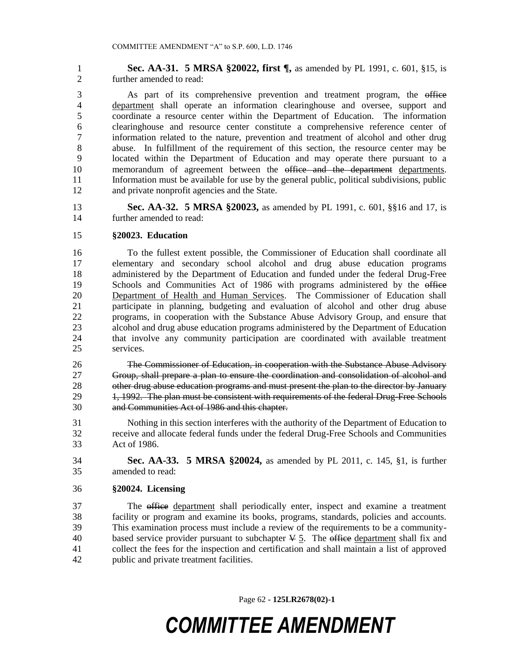**Sec. AA-31. 5 MRSA §20022, first ¶,** as amended by PL 1991, c. 601, §15, is further amended to read:

 As part of its comprehensive prevention and treatment program, the office department shall operate an information clearinghouse and oversee, support and coordinate a resource center within the Department of Education. The information clearinghouse and resource center constitute a comprehensive reference center of information related to the nature, prevention and treatment of alcohol and other drug abuse. In fulfillment of the requirement of this section, the resource center may be located within the Department of Education and may operate there pursuant to a 10 memorandum of agreement between the office and the department departments. Information must be available for use by the general public, political subdivisions, public and private nonprofit agencies and the State.

 **Sec. AA-32. 5 MRSA §20023,** as amended by PL 1991, c. 601, §§16 and 17, is further amended to read:

#### **§20023. Education**

 To the fullest extent possible, the Commissioner of Education shall coordinate all elementary and secondary school alcohol and drug abuse education programs administered by the Department of Education and funded under the federal Drug-Free 19 Schools and Communities Act of 1986 with programs administered by the office Department of Health and Human Services. The Commissioner of Education shall participate in planning, budgeting and evaluation of alcohol and other drug abuse programs, in cooperation with the Substance Abuse Advisory Group, and ensure that alcohol and drug abuse education programs administered by the Department of Education that involve any community participation are coordinated with available treatment services.

 The Commissioner of Education, in cooperation with the Substance Abuse Advisory Group, shall prepare a plan to ensure the coordination and consolidation of alcohol and 28 other drug abuse education programs and must present the plan to the director by January 29 1, 1992. The plan must be consistent with requirements of the federal Drug-Free Schools and Communities Act of 1986 and this chapter.

 Nothing in this section interferes with the authority of the Department of Education to receive and allocate federal funds under the federal Drug-Free Schools and Communities Act of 1986.

 **Sec. AA-33. 5 MRSA §20024,** as amended by PL 2011, c. 145, §1, is further amended to read:

#### **§20024. Licensing**

 The office department shall periodically enter, inspect and examine a treatment facility or program and examine its books, programs, standards, policies and accounts. This examination process must include a review of the requirements to be a community-40 based service provider pursuant to subchapter  $\frac{1}{2}$ . The office department shall fix and collect the fees for the inspection and certification and shall maintain a list of approved public and private treatment facilities.

Page 62 **- 125LR2678(02)-1**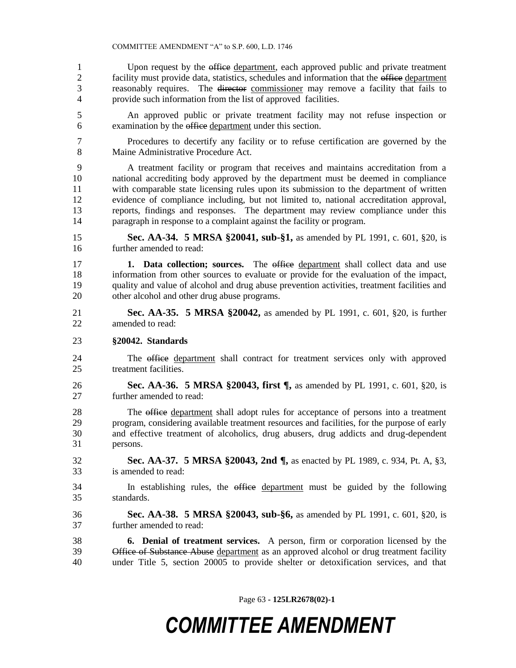1 Upon request by the office department, each approved public and private treatment 2 facility must provide data, statistics, schedules and information that the office department reasonably requires. The director commissioner may remove a facility that fails to provide such information from the list of approved facilities.

 An approved public or private treatment facility may not refuse inspection or examination by the office department under this section.

 Procedures to decertify any facility or to refuse certification are governed by the 8 Maine Administrative Procedure Act.

 A treatment facility or program that receives and maintains accreditation from a national accrediting body approved by the department must be deemed in compliance with comparable state licensing rules upon its submission to the department of written evidence of compliance including, but not limited to, national accreditation approval, reports, findings and responses. The department may review compliance under this paragraph in response to a complaint against the facility or program.

 **Sec. AA-34. 5 MRSA §20041, sub-§1,** as amended by PL 1991, c. 601, §20, is further amended to read:

 **1. Data collection; sources.** The office department shall collect data and use information from other sources to evaluate or provide for the evaluation of the impact, quality and value of alcohol and drug abuse prevention activities, treatment facilities and other alcohol and other drug abuse programs.

 **Sec. AA-35. 5 MRSA §20042,** as amended by PL 1991, c. 601, §20, is further amended to read:

#### **§20042. Standards**

 The office department shall contract for treatment services only with approved treatment facilities.

 **Sec. AA-36. 5 MRSA §20043, first ¶,** as amended by PL 1991, c. 601, §20, is further amended to read:

28 The office department shall adopt rules for acceptance of persons into a treatment<br>29 program, considering available treatment resources and facilities, for the purpose of early program, considering available treatment resources and facilities, for the purpose of early and effective treatment of alcoholics, drug abusers, drug addicts and drug-dependent persons.

 **Sec. AA-37. 5 MRSA §20043, 2nd ¶,** as enacted by PL 1989, c. 934, Pt. A, §3, is amended to read:

 In establishing rules, the office department must be guided by the following standards.

 **Sec. AA-38. 5 MRSA §20043, sub-§6,** as amended by PL 1991, c. 601, §20, is further amended to read:

 **6. Denial of treatment services.** A person, firm or corporation licensed by the 39 Office of Substance Abuse department as an approved alcohol or drug treatment facility under Title 5, section 20005 to provide shelter or detoxification services, and that

Page 63 **- 125LR2678(02)-1**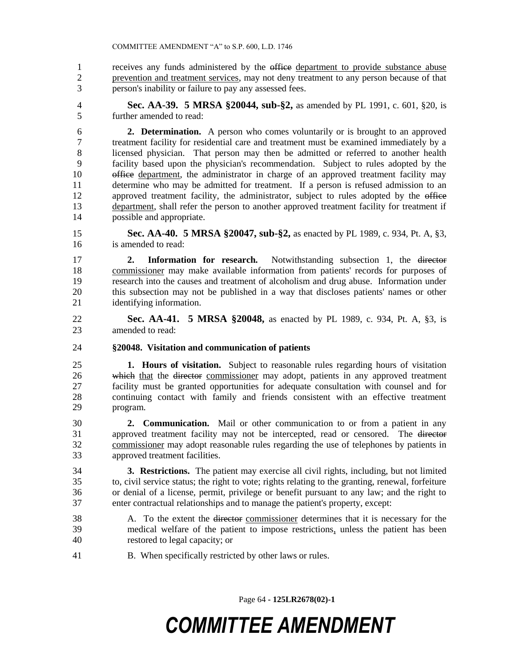receives any funds administered by the office department to provide substance abuse prevention and treatment services, may not deny treatment to any person because of that person's inability or failure to pay any assessed fees.

 **Sec. AA-39. 5 MRSA §20044, sub-§2,** as amended by PL 1991, c. 601, §20, is further amended to read:

 **2. Determination.** A person who comes voluntarily or is brought to an approved treatment facility for residential care and treatment must be examined immediately by a licensed physician. That person may then be admitted or referred to another health facility based upon the physician's recommendation. Subject to rules adopted by the 10 office department, the administrator in charge of an approved treatment facility may determine who may be admitted for treatment. If a person is refused admission to an 12 approved treatment facility, the administrator, subject to rules adopted by the office department, shall refer the person to another approved treatment facility for treatment if possible and appropriate.

 **Sec. AA-40. 5 MRSA §20047, sub-§2,** as enacted by PL 1989, c. 934, Pt. A, §3, is amended to read:

 **2. Information for research.** Notwithstanding subsection 1, the director commissioner may make available information from patients' records for purposes of research into the causes and treatment of alcoholism and drug abuse. Information under this subsection may not be published in a way that discloses patients' names or other identifying information.

- **Sec. AA-41. 5 MRSA §20048,** as enacted by PL 1989, c. 934, Pt. A, §3, is amended to read:
- **§20048. Visitation and communication of patients**

 **1. Hours of visitation.** Subject to reasonable rules regarding hours of visitation which that the director commissioner may adopt, patients in any approved treatment facility must be granted opportunities for adequate consultation with counsel and for continuing contact with family and friends consistent with an effective treatment program.

 **2. Communication.** Mail or other communication to or from a patient in any approved treatment facility may not be intercepted, read or censored. The director commissioner may adopt reasonable rules regarding the use of telephones by patients in approved treatment facilities.

 **3. Restrictions.** The patient may exercise all civil rights, including, but not limited to, civil service status; the right to vote; rights relating to the granting, renewal, forfeiture or denial of a license, permit, privilege or benefit pursuant to any law; and the right to enter contractual relationships and to manage the patient's property, except:

- A. To the extent the director commissioner determines that it is necessary for the medical welfare of the patient to impose restrictions, unless the patient has been restored to legal capacity; or
- B. When specifically restricted by other laws or rules.

Page 64 **- 125LR2678(02)-1**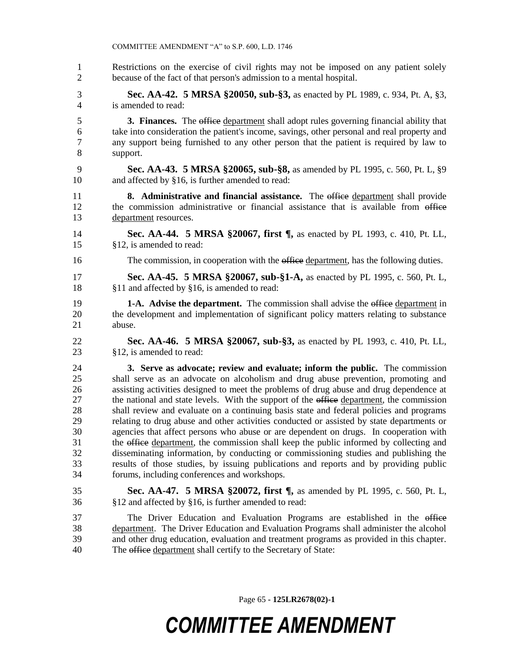- COMMITTEE AMENDMENT "A" to S.P. 600, L.D. 1746 Restrictions on the exercise of civil rights may not be imposed on any patient solely because of the fact of that person's admission to a mental hospital. **Sec. AA-42. 5 MRSA §20050, sub-§3,** as enacted by PL 1989, c. 934, Pt. A, §3, is amended to read: **3. Finances.** The office department shall adopt rules governing financial ability that take into consideration the patient's income, savings, other personal and real property and any support being furnished to any other person that the patient is required by law to support. **Sec. AA-43. 5 MRSA §20065, sub-§8,** as amended by PL 1995, c. 560, Pt. L, §9 and affected by §16, is further amended to read: **8. Administrative and financial assistance.** The office department shall provide the commission administrative or financial assistance that is available from office department resources. **Sec. AA-44. 5 MRSA §20067, first ¶,** as enacted by PL 1993, c. 410, Pt. LL, §12, is amended to read: 16 The commission, in cooperation with the office department, has the following duties. **Sec. AA-45. 5 MRSA §20067, sub-§1-A,** as enacted by PL 1995, c. 560, Pt. L, §11 and affected by §16, is amended to read: **1-A. Advise the department.** The commission shall advise the office department in the development and implementation of significant policy matters relating to substance abuse. **Sec. AA-46. 5 MRSA §20067, sub-§3,** as enacted by PL 1993, c. 410, Pt. LL, §12, is amended to read: **3. Serve as advocate; review and evaluate; inform the public.** The commission shall serve as an advocate on alcoholism and drug abuse prevention, promoting and assisting activities designed to meet the problems of drug abuse and drug dependence at 27 the national and state levels. With the support of the office department, the commission shall review and evaluate on a continuing basis state and federal policies and programs relating to drug abuse and other activities conducted or assisted by state departments or agencies that affect persons who abuse or are dependent on drugs. In cooperation with 31 the office department, the commission shall keep the public informed by collecting and disseminating information, by conducting or commissioning studies and publishing the results of those studies, by issuing publications and reports and by providing public forums, including conferences and workshops. **Sec. AA-47. 5 MRSA §20072, first ¶,** as amended by PL 1995, c. 560, Pt. L, §12 and affected by §16, is further amended to read: 37 The Driver Education and Evaluation Programs are established in the office department. The Driver Education and Evaluation Programs shall administer the alcohol and other drug education, evaluation and treatment programs as provided in this chapter.
- The office department shall certify to the Secretary of State:

Page 65 **- 125LR2678(02)-1**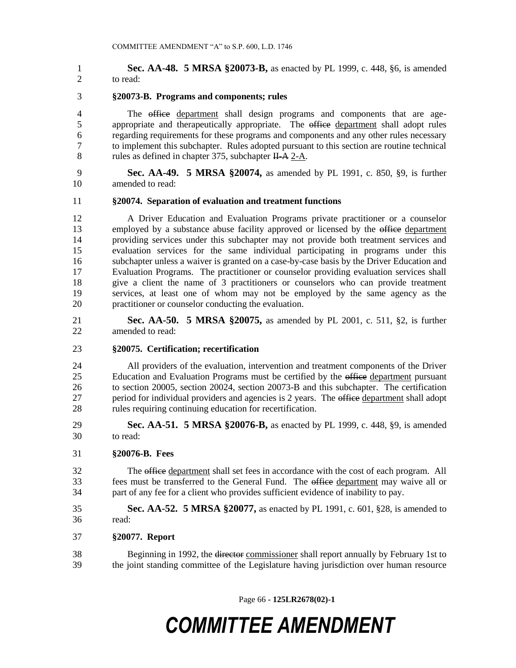**Sec. AA-48. 5 MRSA §20073-B,** as enacted by PL 1999, c. 448, §6, is amended to read:

#### **§20073-B. Programs and components; rules**

4 The office department shall design programs and components that are age-5 appropriate and therapeutically appropriate. The office department shall adopt rules regarding requirements for these programs and components and any other rules necessary to implement this subchapter. Rules adopted pursuant to this section are routine technical 8 rules as defined in chapter 375, subchapter  $H-A \, 2-A$ .

 **Sec. AA-49. 5 MRSA §20074,** as amended by PL 1991, c. 850, §9, is further amended to read:

#### **§20074. Separation of evaluation and treatment functions**

 A Driver Education and Evaluation Programs private practitioner or a counselor 13 employed by a substance abuse facility approved or licensed by the office department providing services under this subchapter may not provide both treatment services and evaluation services for the same individual participating in programs under this subchapter unless a waiver is granted on a case-by-case basis by the Driver Education and Evaluation Programs. The practitioner or counselor providing evaluation services shall give a client the name of 3 practitioners or counselors who can provide treatment services, at least one of whom may not be employed by the same agency as the practitioner or counselor conducting the evaluation.

 **Sec. AA-50. 5 MRSA §20075,** as amended by PL 2001, c. 511, §2, is further amended to read:

#### **§20075. Certification; recertification**

 All providers of the evaluation, intervention and treatment components of the Driver 25 Education and Evaluation Programs must be certified by the office department pursuant to section 20005, section 20024, section 20073-B and this subchapter. The certification 27 period for individual providers and agencies is 2 years. The office department shall adopt rules requiring continuing education for recertification.

 **Sec. AA-51. 5 MRSA §20076-B,** as enacted by PL 1999, c. 448, §9, is amended to read:

#### **§20076-B. Fees**

 The office department shall set fees in accordance with the cost of each program. All fees must be transferred to the General Fund. The office department may waive all or part of any fee for a client who provides sufficient evidence of inability to pay.

 **Sec. AA-52. 5 MRSA §20077,** as enacted by PL 1991, c. 601, §28, is amended to read:

**§20077. Report**

38 Beginning in 1992, the director commissioner shall report annually by February 1st to the joint standing committee of the Legislature having jurisdiction over human resource

Page 66 **- 125LR2678(02)-1**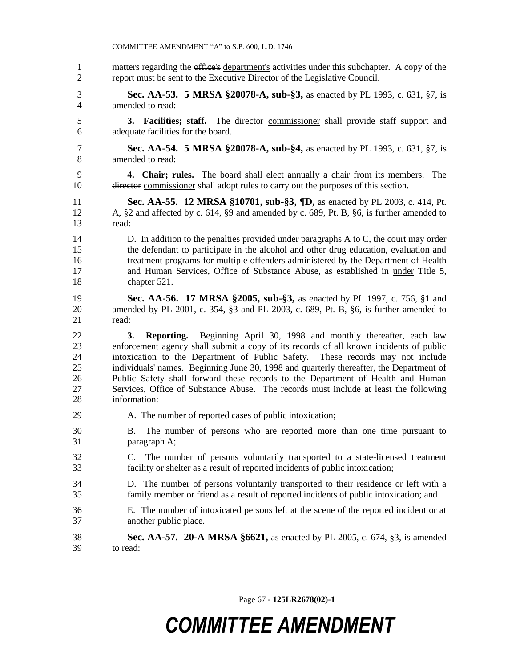|                                        | COMMITTEE AMENDMENT "A" to S.P. 600, L.D. 1746                                                                                                                                                                                                                                                                                                                                                                                                                                                                                                            |
|----------------------------------------|-----------------------------------------------------------------------------------------------------------------------------------------------------------------------------------------------------------------------------------------------------------------------------------------------------------------------------------------------------------------------------------------------------------------------------------------------------------------------------------------------------------------------------------------------------------|
| $\mathbf{1}$                           | matters regarding the office's department's activities under this subchapter. A copy of the                                                                                                                                                                                                                                                                                                                                                                                                                                                               |
| $\overline{c}$                         | report must be sent to the Executive Director of the Legislative Council.                                                                                                                                                                                                                                                                                                                                                                                                                                                                                 |
| 3                                      | <b>Sec. AA-53. 5 MRSA §20078-A, sub-§3, as enacted by PL 1993, c. 631, §7, is</b>                                                                                                                                                                                                                                                                                                                                                                                                                                                                         |
| 4                                      | amended to read:                                                                                                                                                                                                                                                                                                                                                                                                                                                                                                                                          |
| 5                                      | 3. Facilities; staff. The director commissioner shall provide staff support and                                                                                                                                                                                                                                                                                                                                                                                                                                                                           |
| 6                                      | adequate facilities for the board.                                                                                                                                                                                                                                                                                                                                                                                                                                                                                                                        |
| 7                                      | <b>Sec. AA-54. 5 MRSA §20078-A, sub-§4, as enacted by PL 1993, c. 631, §7, is</b>                                                                                                                                                                                                                                                                                                                                                                                                                                                                         |
| 8                                      | amended to read:                                                                                                                                                                                                                                                                                                                                                                                                                                                                                                                                          |
| 9<br>10                                | 4. Chair; rules. The board shall elect annually a chair from its members.<br>The<br>director commissioner shall adopt rules to carry out the purposes of this section.                                                                                                                                                                                                                                                                                                                                                                                    |
| 11                                     | Sec. AA-55. 12 MRSA §10701, sub-§3, ¶D, as enacted by PL 2003, c. 414, Pt.                                                                                                                                                                                                                                                                                                                                                                                                                                                                                |
| 12                                     | A, §2 and affected by c. 614, §9 and amended by c. 689, Pt. B, §6, is further amended to                                                                                                                                                                                                                                                                                                                                                                                                                                                                  |
| 13                                     | read:                                                                                                                                                                                                                                                                                                                                                                                                                                                                                                                                                     |
| 14                                     | D. In addition to the penalties provided under paragraphs $A$ to $C$ , the court may order                                                                                                                                                                                                                                                                                                                                                                                                                                                                |
| 15                                     | the defendant to participate in the alcohol and other drug education, evaluation and                                                                                                                                                                                                                                                                                                                                                                                                                                                                      |
| 16                                     | treatment programs for multiple offenders administered by the Department of Health                                                                                                                                                                                                                                                                                                                                                                                                                                                                        |
| 17                                     | and Human Services <del>, Office of Substance Abuse, as established in</del> under Title 5,                                                                                                                                                                                                                                                                                                                                                                                                                                                               |
| 18                                     | chapter 521.                                                                                                                                                                                                                                                                                                                                                                                                                                                                                                                                              |
| 19                                     | <b>Sec. AA-56. 17 MRSA §2005, sub-§3,</b> as enacted by PL 1997, c. 756, §1 and                                                                                                                                                                                                                                                                                                                                                                                                                                                                           |
| 20                                     | amended by PL 2001, c. 354, §3 and PL 2003, c. 689, Pt. B, §6, is further amended to                                                                                                                                                                                                                                                                                                                                                                                                                                                                      |
| 21                                     | read:                                                                                                                                                                                                                                                                                                                                                                                                                                                                                                                                                     |
| 22<br>23<br>24<br>25<br>26<br>27<br>28 | Reporting. Beginning April 30, 1998 and monthly thereafter, each law<br>3.<br>enforcement agency shall submit a copy of its records of all known incidents of public<br>intoxication to the Department of Public Safety. These records may not include<br>individuals' names. Beginning June 30, 1998 and quarterly thereafter, the Department of<br>Public Safety shall forward these records to the Department of Health and Human<br>Services <del>, Office of Substance Abuse</del> . The records must include at least the following<br>information: |
| 29                                     | A. The number of reported cases of public intoxication;                                                                                                                                                                                                                                                                                                                                                                                                                                                                                                   |
| 30<br>31                               | The number of persons who are reported more than one time pursuant to<br>В.<br>paragraph A;                                                                                                                                                                                                                                                                                                                                                                                                                                                               |
| 32<br>33                               | The number of persons voluntarily transported to a state-licensed treatment<br>C.<br>facility or shelter as a result of reported incidents of public intoxication;                                                                                                                                                                                                                                                                                                                                                                                        |
| 34                                     | D. The number of persons voluntarily transported to their residence or left with a                                                                                                                                                                                                                                                                                                                                                                                                                                                                        |
| 35                                     | family member or friend as a result of reported incidents of public intoxication; and                                                                                                                                                                                                                                                                                                                                                                                                                                                                     |
| 36                                     | E. The number of intoxicated persons left at the scene of the reported incident or at                                                                                                                                                                                                                                                                                                                                                                                                                                                                     |
| 37                                     | another public place.                                                                                                                                                                                                                                                                                                                                                                                                                                                                                                                                     |
| 38                                     | <b>Sec. AA-57. 20-A MRSA §6621,</b> as enacted by PL 2005, c. 674, §3, is amended                                                                                                                                                                                                                                                                                                                                                                                                                                                                         |
| 39                                     | to read:                                                                                                                                                                                                                                                                                                                                                                                                                                                                                                                                                  |

Page 67 **- 125LR2678(02)-1**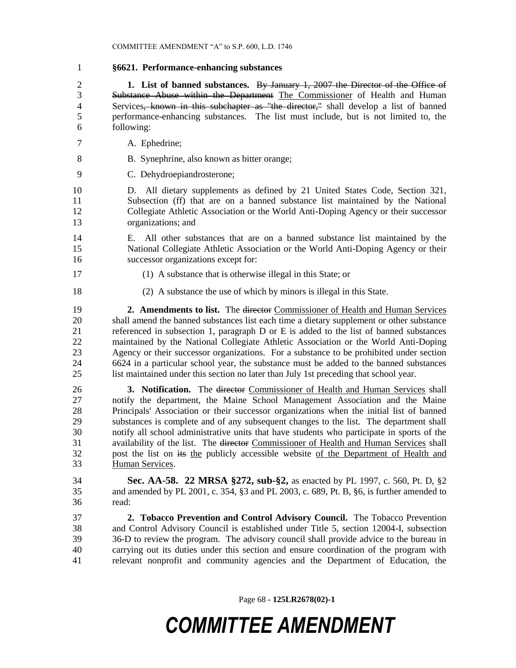**§6621. Performance-enhancing substances 1. List of banned substances.** By January 1, 2007 the Director of the Office of Substance Abuse within the Department The Commissioner of Health and Human 4 Services<del>, known in this subchapter as "the director,"</del> shall develop a list of banned performance-enhancing substances. The list must include, but is not limited to, the following: A. Ephedrine; 8 B. Synephrine, also known as bitter orange; C. Dehydroepiandrosterone; D. All dietary supplements as defined by 21 United States Code, Section 321, Subsection (ff) that are on a banned substance list maintained by the National Collegiate Athletic Association or the World Anti-Doping Agency or their successor organizations; and E. All other substances that are on a banned substance list maintained by the National Collegiate Athletic Association or the World Anti-Doping Agency or their successor organizations except for: (1) A substance that is otherwise illegal in this State; or (2) A substance the use of which by minors is illegal in this State. **2. Amendments to list.** The director Commissioner of Health and Human Services shall amend the banned substances list each time a dietary supplement or other substance referenced in subsection 1, paragraph D or E is added to the list of banned substances maintained by the National Collegiate Athletic Association or the World Anti-Doping Agency or their successor organizations. For a substance to be prohibited under section 6624 in a particular school year, the substance must be added to the banned substances list maintained under this section no later than July 1st preceding that school year. **3. Notification.** The director Commissioner of Health and Human Services shall notify the department, the Maine School Management Association and the Maine Principals' Association or their successor organizations when the initial list of banned substances is complete and of any subsequent changes to the list. The department shall notify all school administrative units that have students who participate in sports of the availability of the list. The director Commissioner of Health and Human Services shall 32 post the list on its the publicly accessible website of the Department of Health and Human Services. **Sec. AA-58. 22 MRSA §272, sub-§2,** as enacted by PL 1997, c. 560, Pt. D, §2 and amended by PL 2001, c. 354, §3 and PL 2003, c. 689, Pt. B, §6, is further amended to read: **2. Tobacco Prevention and Control Advisory Council.** The Tobacco Prevention and Control Advisory Council is established under Title 5, section 12004-I, subsection 36-D to review the program. The advisory council shall provide advice to the bureau in carrying out its duties under this section and ensure coordination of the program with relevant nonprofit and community agencies and the Department of Education, the

Page 68 **- 125LR2678(02)-1**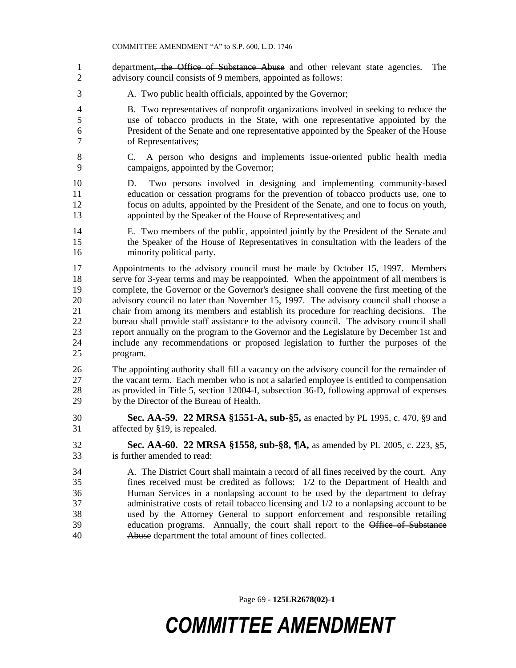- 1 department, the Office of Substance Abuse and other relevant state agencies. The 2 advisory council consists of 9 members, appointed as follows:
- A. Two public health officials, appointed by the Governor;
- B. Two representatives of nonprofit organizations involved in seeking to reduce the use of tobacco products in the State, with one representative appointed by the President of the Senate and one representative appointed by the Speaker of the House of Representatives;
- C. A person who designs and implements issue-oriented public health media campaigns, appointed by the Governor;
- D. Two persons involved in designing and implementing community-based education or cessation programs for the prevention of tobacco products use, one to focus on adults, appointed by the President of the Senate, and one to focus on youth, appointed by the Speaker of the House of Representatives; and
- E. Two members of the public, appointed jointly by the President of the Senate and the Speaker of the House of Representatives in consultation with the leaders of the minority political party.
- Appointments to the advisory council must be made by October 15, 1997. Members serve for 3-year terms and may be reappointed. When the appointment of all members is complete, the Governor or the Governor's designee shall convene the first meeting of the advisory council no later than November 15, 1997. The advisory council shall choose a chair from among its members and establish its procedure for reaching decisions. The bureau shall provide staff assistance to the advisory council. The advisory council shall report annually on the program to the Governor and the Legislature by December 1st and include any recommendations or proposed legislation to further the purposes of the program.
- The appointing authority shall fill a vacancy on the advisory council for the remainder of the vacant term. Each member who is not a salaried employee is entitled to compensation as provided in Title 5, section 12004-I, subsection 36-D, following approval of expenses by the Director of the Bureau of Health.
- **Sec. AA-59. 22 MRSA §1551-A, sub-§5,** as enacted by PL 1995, c. 470, §9 and affected by §19, is repealed.
- **Sec. AA-60. 22 MRSA §1558, sub-§8, ¶A,** as amended by PL 2005, c. 223, §5, is further amended to read:
- A. The District Court shall maintain a record of all fines received by the court. Any fines received must be credited as follows: 1/2 to the Department of Health and Human Services in a nonlapsing account to be used by the department to defray administrative costs of retail tobacco licensing and 1/2 to a nonlapsing account to be used by the Attorney General to support enforcement and responsible retailing 39 education programs. Annually, the court shall report to the Office of Substance Abuse department the total amount of fines collected.

Page 69 **- 125LR2678(02)-1**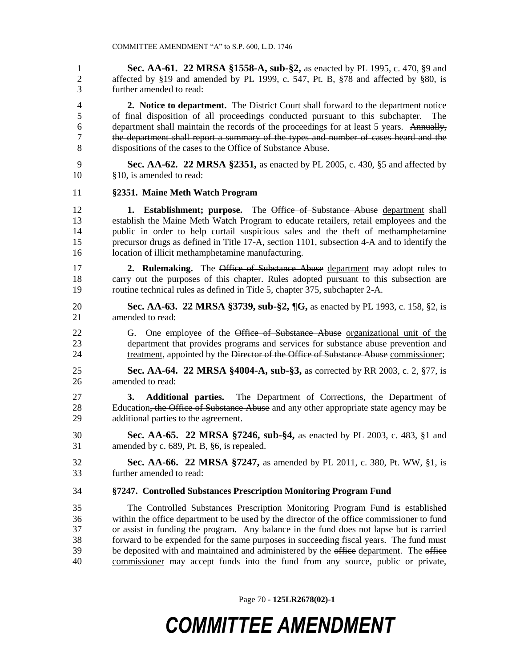**Sec. AA-61. 22 MRSA §1558-A, sub-§2,** as enacted by PL 1995, c. 470, §9 and affected by §19 and amended by PL 1999, c. 547, Pt. B, §78 and affected by §80, is further amended to read:

 **2. Notice to department.** The District Court shall forward to the department notice of final disposition of all proceedings conducted pursuant to this subchapter. The department shall maintain the records of the proceedings for at least 5 years. Annually, the department shall report a summary of the types and number of cases heard and the dispositions of the cases to the Office of Substance Abuse.

 **Sec. AA-62. 22 MRSA §2351,** as enacted by PL 2005, c. 430, §5 and affected by §10, is amended to read:

#### **§2351. Maine Meth Watch Program**

 **1. Establishment; purpose.** The Office of Substance Abuse department shall establish the Maine Meth Watch Program to educate retailers, retail employees and the public in order to help curtail suspicious sales and the theft of methamphetamine precursor drugs as defined in Title 17-A, section 1101, subsection 4-A and to identify the location of illicit methamphetamine manufacturing.

 **2. Rulemaking.** The Office of Substance Abuse department may adopt rules to carry out the purposes of this chapter. Rules adopted pursuant to this subsection are routine technical rules as defined in Title 5, chapter 375, subchapter 2-A.

- **Sec. AA-63. 22 MRSA §3739, sub-§2, ¶G,** as enacted by PL 1993, c. 158, §2, is amended to read:
- 22 G. One employee of the Office of Substance Abuse organizational unit of the department that provides programs and services for substance abuse prevention and 24 treatment, appointed by the Director of the Office of Substance Abuse commissioner;

 **Sec. AA-64. 22 MRSA §4004-A, sub-§3,** as corrected by RR 2003, c. 2, §77, is amended to read:

- **3. Additional parties.** The Department of Corrections, the Department of 28 Education, the Office of Substance Abuse and any other appropriate state agency may be additional parties to the agreement.
- **Sec. AA-65. 22 MRSA §7246, sub-§4,** as enacted by PL 2003, c. 483, §1 and amended by c. 689, Pt. B, §6, is repealed.
- **Sec. AA-66. 22 MRSA §7247,** as amended by PL 2011, c. 380, Pt. WW, §1, is further amended to read:
- **§7247. Controlled Substances Prescription Monitoring Program Fund**

 The Controlled Substances Prescription Monitoring Program Fund is established 36 within the office department to be used by the director of the office commissioner to fund or assist in funding the program. Any balance in the fund does not lapse but is carried forward to be expended for the same purposes in succeeding fiscal years. The fund must 39 be deposited with and maintained and administered by the office department. The office commissioner may accept funds into the fund from any source, public or private,

Page 70 **- 125LR2678(02)-1**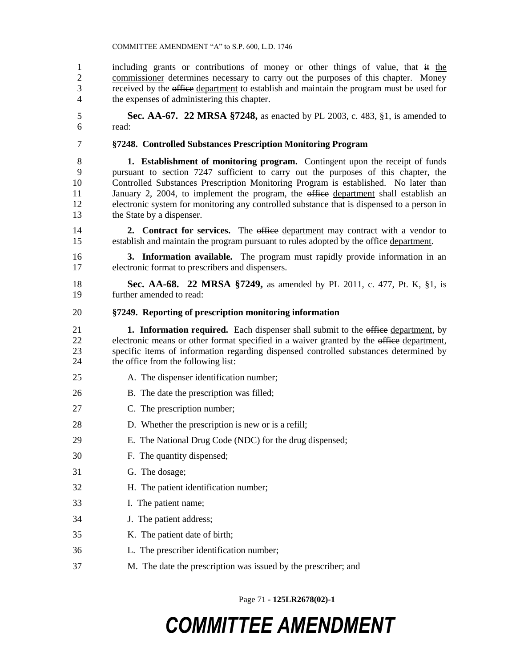including grants or contributions of money or other things of value, that it the 2 commissioner determines necessary to carry out the purposes of this chapter. Money received by the office department to establish and maintain the program must be used for the expenses of administering this chapter.

 **Sec. AA-67. 22 MRSA §7248,** as enacted by PL 2003, c. 483, §1, is amended to read:

**§7248. Controlled Substances Prescription Monitoring Program**

 **1. Establishment of monitoring program.** Contingent upon the receipt of funds pursuant to section 7247 sufficient to carry out the purposes of this chapter, the Controlled Substances Prescription Monitoring Program is established. No later than 11 January 2, 2004, to implement the program, the office department shall establish an electronic system for monitoring any controlled substance that is dispensed to a person in 13 the State by a dispenser.

**2. Contract for services.** The office department may contract with a vendor to 15 establish and maintain the program pursuant to rules adopted by the office department.

 **3. Information available.** The program must rapidly provide information in an electronic format to prescribers and dispensers.

 **Sec. AA-68. 22 MRSA §7249,** as amended by PL 2011, c. 477, Pt. K, §1, is further amended to read:

### **§7249. Reporting of prescription monitoring information**

- **1. Information required.** Each dispenser shall submit to the office department, by 22 electronic means or other format specified in a waiver granted by the office department, specific items of information regarding dispensed controlled substances determined by the office from the following list:
- 25 A. The dispenser identification number;
- B. The date the prescription was filled;
- C. The prescription number;
- D. Whether the prescription is new or is a refill;
- E. The National Drug Code (NDC) for the drug dispensed;
- F. The quantity dispensed;
- G. The dosage;
- H. The patient identification number;
- I. The patient name;
- J. The patient address;
- K. The patient date of birth;
- L. The prescriber identification number;
- M. The date the prescription was issued by the prescriber; and

Page 71 **- 125LR2678(02)-1**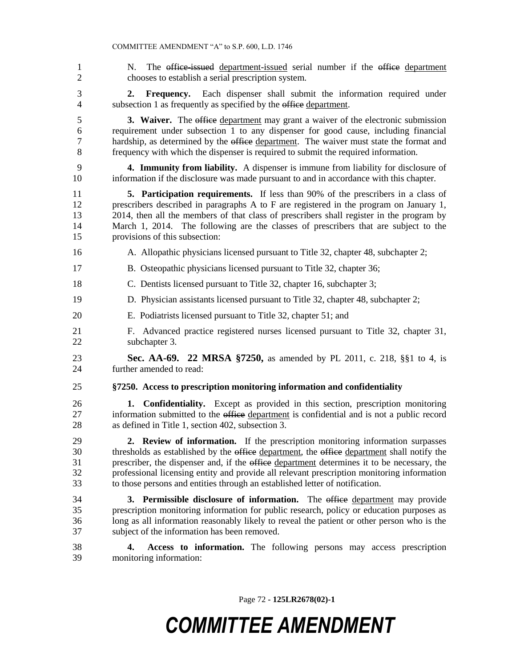1 N. The office-issued department-issued serial number if the office department chooses to establish a serial prescription system. **2. Frequency.** Each dispenser shall submit the information required under 4 subsection 1 as frequently as specified by the office department. 5 3. Waiver. The office department may grant a waiver of the electronic submission requirement under subsection 1 to any dispenser for good cause, including financial 7 hardship, as determined by the office department. The waiver must state the format and frequency with which the dispenser is required to submit the required information. **4. Immunity from liability.** A dispenser is immune from liability for disclosure of information if the disclosure was made pursuant to and in accordance with this chapter. **5. Participation requirements.** If less than 90% of the prescribers in a class of prescribers described in paragraphs A to F are registered in the program on January 1, 2014, then all the members of that class of prescribers shall register in the program by March 1, 2014. The following are the classes of prescribers that are subject to the provisions of this subsection: A. Allopathic physicians licensed pursuant to Title 32, chapter 48, subchapter 2; B. Osteopathic physicians licensed pursuant to Title 32, chapter 36; C. Dentists licensed pursuant to Title 32, chapter 16, subchapter 3; D. Physician assistants licensed pursuant to Title 32, chapter 48, subchapter 2; E. Podiatrists licensed pursuant to Title 32, chapter 51; and F. Advanced practice registered nurses licensed pursuant to Title 32, chapter 31, subchapter 3. **Sec. AA-69. 22 MRSA §7250,** as amended by PL 2011, c. 218, §§1 to 4, is further amended to read: **§7250. Access to prescription monitoring information and confidentiality 1. Confidentiality.** Except as provided in this section, prescription monitoring 27 information submitted to the office department is confidential and is not a public record as defined in Title 1, section 402, subsection 3. **2. Review of information.** If the prescription monitoring information surpasses 30 thresholds as established by the office department, the office department shall notify the 31 prescriber, the dispenser and, if the office department determines it to be necessary, the professional licensing entity and provide all relevant prescription monitoring information to those persons and entities through an established letter of notification. **3. Permissible disclosure of information.** The office department may provide prescription monitoring information for public research, policy or education purposes as long as all information reasonably likely to reveal the patient or other person who is the subject of the information has been removed. **4. Access to information.** The following persons may access prescription

monitoring information:

Page 72 **- 125LR2678(02)-1**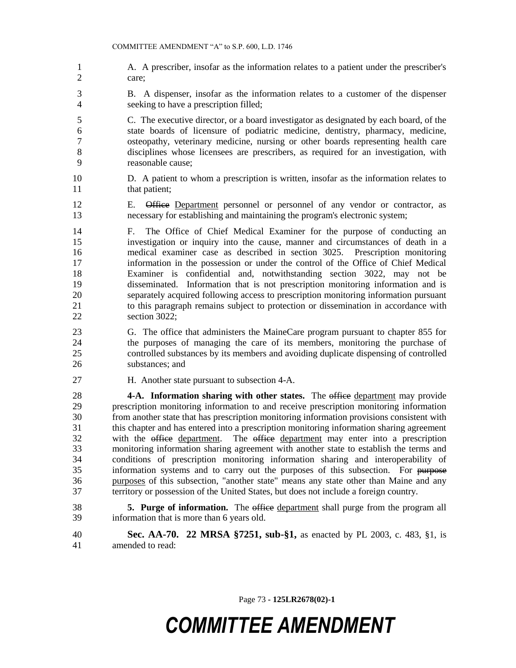- A. A prescriber, insofar as the information relates to a patient under the prescriber's care;
- B. A dispenser, insofar as the information relates to a customer of the dispenser seeking to have a prescription filled;
- C. The executive director, or a board investigator as designated by each board, of the state boards of licensure of podiatric medicine, dentistry, pharmacy, medicine, osteopathy, veterinary medicine, nursing or other boards representing health care disciplines whose licensees are prescribers, as required for an investigation, with reasonable cause;
- D. A patient to whom a prescription is written, insofar as the information relates to 11 that patient;
- E. Office Department personnel or personnel of any vendor or contractor, as necessary for establishing and maintaining the program's electronic system;
- F. The Office of Chief Medical Examiner for the purpose of conducting an investigation or inquiry into the cause, manner and circumstances of death in a medical examiner case as described in section 3025. Prescription monitoring information in the possession or under the control of the Office of Chief Medical Examiner is confidential and, notwithstanding section 3022, may not be disseminated. Information that is not prescription monitoring information and is separately acquired following access to prescription monitoring information pursuant to this paragraph remains subject to protection or dissemination in accordance with section 3022;
- G. The office that administers the MaineCare program pursuant to chapter 855 for the purposes of managing the care of its members, monitoring the purchase of controlled substances by its members and avoiding duplicate dispensing of controlled substances; and
- H. Another state pursuant to subsection 4-A.

 **4-A. Information sharing with other states.** The office department may provide prescription monitoring information to and receive prescription monitoring information from another state that has prescription monitoring information provisions consistent with this chapter and has entered into a prescription monitoring information sharing agreement with the office department. The office department may enter into a prescription monitoring information sharing agreement with another state to establish the terms and conditions of prescription monitoring information sharing and interoperability of information systems and to carry out the purposes of this subsection. For purpose purposes of this subsection, "another state" means any state other than Maine and any territory or possession of the United States, but does not include a foreign country.

- **5. Purge of information.** The office department shall purge from the program all information that is more than 6 years old.
- **Sec. AA-70. 22 MRSA §7251, sub-§1,** as enacted by PL 2003, c. 483, §1, is amended to read:

Page 73 **- 125LR2678(02)-1**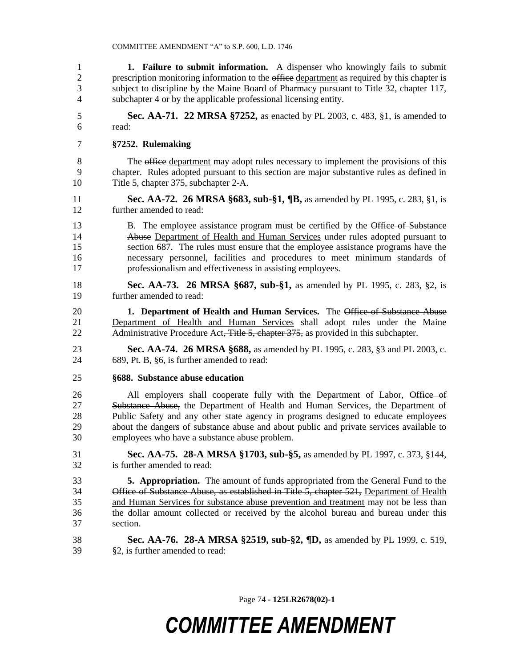**1. Failure to submit information.** A dispenser who knowingly fails to submit 2 prescription monitoring information to the office department as required by this chapter is subject to discipline by the Maine Board of Pharmacy pursuant to Title 32, chapter 117, subchapter 4 or by the applicable professional licensing entity.

 **Sec. AA-71. 22 MRSA §7252,** as enacted by PL 2003, c. 483, §1, is amended to read:

### **§7252. Rulemaking**

8 The office department may adopt rules necessary to implement the provisions of this chapter. Rules adopted pursuant to this section are major substantive rules as defined in Title 5, chapter 375, subchapter 2-A.

 **Sec. AA-72. 26 MRSA §683, sub-§1, ¶B,** as amended by PL 1995, c. 283, §1, is further amended to read:

13 B. The employee assistance program must be certified by the Office of Substance Abuse Department of Health and Human Services under rules adopted pursuant to section 687. The rules must ensure that the employee assistance programs have the necessary personnel, facilities and procedures to meet minimum standards of professionalism and effectiveness in assisting employees.

 **Sec. AA-73. 26 MRSA §687, sub-§1,** as amended by PL 1995, c. 283, §2, is further amended to read:

 **1. Department of Health and Human Services.** The Office of Substance Abuse Department of Health and Human Services shall adopt rules under the Maine 22 Administrative Procedure Act, Title 5, chapter 375, as provided in this subchapter.

 **Sec. AA-74. 26 MRSA §688,** as amended by PL 1995, c. 283, §3 and PL 2003, c. 689, Pt. B, §6, is further amended to read:

### **§688. Substance abuse education**

26 All employers shall cooperate fully with the Department of Labor, Office of 27 Substance Abuse, the Department of Health and Human Services, the Department of Public Safety and any other state agency in programs designed to educate employees about the dangers of substance abuse and about public and private services available to employees who have a substance abuse problem.

 **Sec. AA-75. 28-A MRSA §1703, sub-§5,** as amended by PL 1997, c. 373, §144, is further amended to read:

 **5. Appropriation.** The amount of funds appropriated from the General Fund to the 34 Office of Substance Abuse, as established in Title 5, chapter 521, Department of Health and Human Services for substance abuse prevention and treatment may not be less than the dollar amount collected or received by the alcohol bureau and bureau under this section.

 **Sec. AA-76. 28-A MRSA §2519, sub-§2, ¶D,** as amended by PL 1999, c. 519, §2, is further amended to read:

Page 74 **- 125LR2678(02)-1**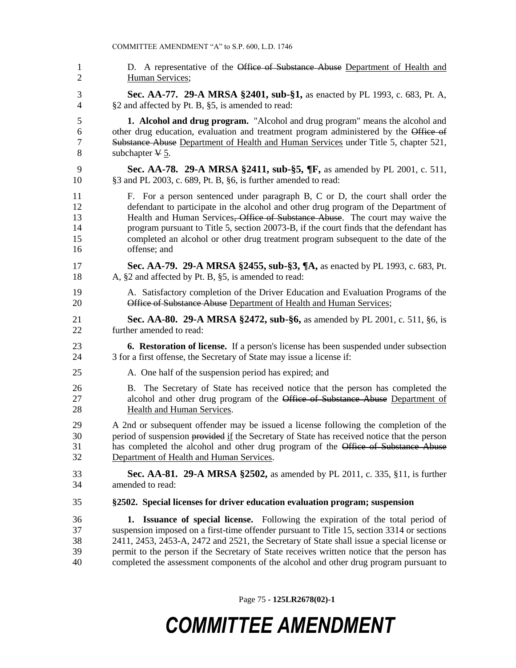1 D. A representative of the Office of Substance Abuse Department of Health and Human Services; **Sec. AA-77. 29-A MRSA §2401, sub-§1,** as enacted by PL 1993, c. 683, Pt. A, §2 and affected by Pt. B, §5, is amended to read: **1. Alcohol and drug program.** "Alcohol and drug program" means the alcohol and 6 other drug education, evaluation and treatment program administered by the Office of 7 Substance Abuse Department of Health and Human Services under Title 5, chapter 521, 8 subchapter  $\Psi$  5. **Sec. AA-78. 29-A MRSA §2411, sub-§5, ¶F,** as amended by PL 2001, c. 511, §3 and PL 2003, c. 689, Pt. B, §6, is further amended to read: F. For a person sentenced under paragraph B, C or D, the court shall order the defendant to participate in the alcohol and other drug program of the Department of 13 Health and Human Services<del>, Office of Substance Abuse</del>. The court may waive the program pursuant to Title 5, section 20073-B, if the court finds that the defendant has completed an alcohol or other drug treatment program subsequent to the date of the offense; and **Sec. AA-79. 29-A MRSA §2455, sub-§3, ¶A,** as enacted by PL 1993, c. 683, Pt. A, §2 and affected by Pt. B, §5, is amended to read: A. Satisfactory completion of the Driver Education and Evaluation Programs of the **Office of Substance Abuse** Department of Health and Human Services; **Sec. AA-80. 29-A MRSA §2472, sub-§6,** as amended by PL 2001, c. 511, §6, is further amended to read: **6. Restoration of license.** If a person's license has been suspended under subsection 3 for a first offense, the Secretary of State may issue a license if: A. One half of the suspension period has expired; and B. The Secretary of State has received notice that the person has completed the 27 alcohol and other drug program of the Office of Substance Abuse Department of Health and Human Services. A 2nd or subsequent offender may be issued a license following the completion of the 30 period of suspension provided if the Secretary of State has received notice that the person has completed the alcohol and other drug program of the Office of Substance Abuse Department of Health and Human Services. **Sec. AA-81. 29-A MRSA §2502,** as amended by PL 2011, c. 335, §11, is further amended to read: **§2502. Special licenses for driver education evaluation program; suspension 1. Issuance of special license.** Following the expiration of the total period of suspension imposed on a first-time offender pursuant to Title 15, section 3314 or sections 2411, 2453, 2453-A, 2472 and 2521, the Secretary of State shall issue a special license or permit to the person if the Secretary of State receives written notice that the person has completed the assessment components of the alcohol and other drug program pursuant to

Page 75 **- 125LR2678(02)-1**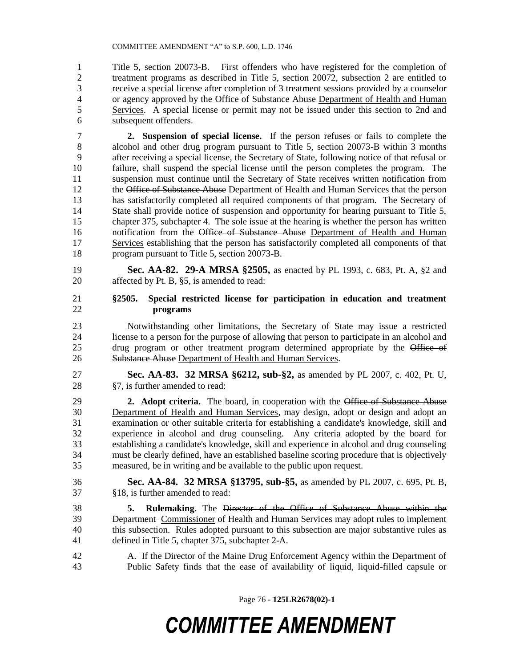Title 5, section 20073-B. First offenders who have registered for the completion of treatment programs as described in Title 5, section 20072, subsection 2 are entitled to receive a special license after completion of 3 treatment sessions provided by a counselor 4 or agency approved by the Office of Substance Abuse Department of Health and Human 5 Services. A special license or permit may not be issued under this section to 2nd and subsequent offenders.

 **2. Suspension of special license.** If the person refuses or fails to complete the alcohol and other drug program pursuant to Title 5, section 20073-B within 3 months after receiving a special license, the Secretary of State, following notice of that refusal or failure, shall suspend the special license until the person completes the program. The suspension must continue until the Secretary of State receives written notification from 12 the Office of Substance Abuse Department of Health and Human Services that the person has satisfactorily completed all required components of that program. The Secretary of 14 State shall provide notice of suspension and opportunity for hearing pursuant to Title 5, chapter 375, subchapter 4. The sole issue at the hearing is whether the person has written 16 notification from the Office of Substance Abuse Department of Health and Human Services establishing that the person has satisfactorily completed all components of that program pursuant to Title 5, section 20073-B.

 **Sec. AA-82. 29-A MRSA §2505,** as enacted by PL 1993, c. 683, Pt. A, §2 and affected by Pt. B, §5, is amended to read:

- **§2505. Special restricted license for participation in education and treatment programs**
- Notwithstanding other limitations, the Secretary of State may issue a restricted license to a person for the purpose of allowing that person to participate in an alcohol and 25 drug program or other treatment program determined appropriate by the Office of 26 Substance Abuse Department of Health and Human Services.

 **Sec. AA-83. 32 MRSA §6212, sub-§2,** as amended by PL 2007, c. 402, Pt. U, §7, is further amended to read:

 **2. Adopt criteria.** The board, in cooperation with the Office of Substance Abuse Department of Health and Human Services, may design, adopt or design and adopt an examination or other suitable criteria for establishing a candidate's knowledge, skill and experience in alcohol and drug counseling. Any criteria adopted by the board for establishing a candidate's knowledge, skill and experience in alcohol and drug counseling must be clearly defined, have an established baseline scoring procedure that is objectively measured, be in writing and be available to the public upon request.

- **Sec. AA-84. 32 MRSA §13795, sub-§5,** as amended by PL 2007, c. 695, Pt. B, §18, is further amended to read:
- **5. Rulemaking.** The Director of the Office of Substance Abuse within the 39 Department Commissioner of Health and Human Services may adopt rules to implement this subsection. Rules adopted pursuant to this subsection are major substantive rules as defined in Title 5, chapter 375, subchapter 2-A.
- A. If the Director of the Maine Drug Enforcement Agency within the Department of Public Safety finds that the ease of availability of liquid, liquid-filled capsule or

Page 76 **- 125LR2678(02)-1**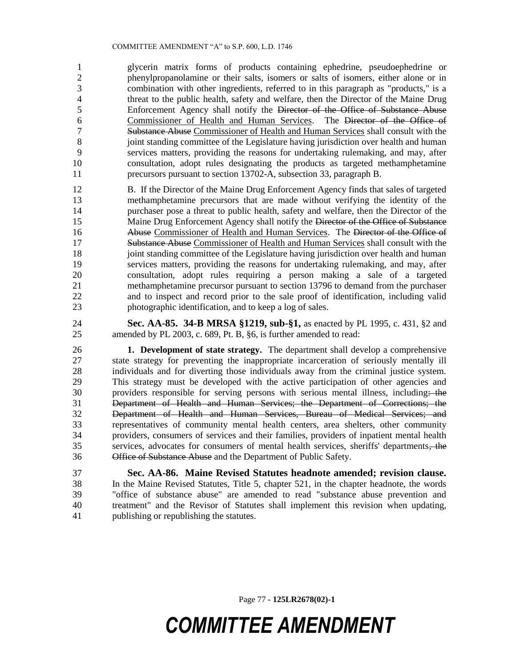#### COMMITTEE AMENDMENT "A" to S.P. 600, L.D. 1746

 glycerin matrix forms of products containing ephedrine, pseudoephedrine or phenylpropanolamine or their salts, isomers or salts of isomers, either alone or in combination with other ingredients, referred to in this paragraph as "products," is a threat to the public health, safety and welfare, then the Director of the Maine Drug Enforcement Agency shall notify the Director of the Office of Substance Abuse Commissioner of Health and Human Services. The Director of the Office of Substance Abuse Commissioner of Health and Human Services shall consult with the joint standing committee of the Legislature having jurisdiction over health and human services matters, providing the reasons for undertaking rulemaking, and may, after consultation, adopt rules designating the products as targeted methamphetamine precursors pursuant to section 13702-A, subsection 33, paragraph B.

 B. If the Director of the Maine Drug Enforcement Agency finds that sales of targeted methamphetamine precursors that are made without verifying the identity of the purchaser pose a threat to public health, safety and welfare, then the Director of the 15 Maine Drug Enforcement Agency shall notify the Director of the Office of Substance 16 Abuse Commissioner of Health and Human Services. The Director of the Office of Substance Abuse Commissioner of Health and Human Services shall consult with the 18 joint standing committee of the Legislature having jurisdiction over health and human services matters, providing the reasons for undertaking rulemaking, and may, after consultation, adopt rules requiring a person making a sale of a targeted methamphetamine precursor pursuant to section 13796 to demand from the purchaser and to inspect and record prior to the sale proof of identification, including valid photographic identification, and to keep a log of sales.

 **Sec. AA-85. 34-B MRSA §1219, sub-§1,** as enacted by PL 1995, c. 431, §2 and amended by PL 2003, c. 689, Pt. B, §6, is further amended to read:

 **1. Development of state strategy.** The department shall develop a comprehensive state strategy for preventing the inappropriate incarceration of seriously mentally ill individuals and for diverting those individuals away from the criminal justice system. This strategy must be developed with the active participation of other agencies and 30 providers responsible for serving persons with serious mental illness, including: the Department of Health and Human Services; the Department of Corrections; the Department of Health and Human Services, Bureau of Medical Services; and representatives of community mental health centers, area shelters, other community providers, consumers of services and their families, providers of inpatient mental health services, advocates for consumers of mental health services, sheriffs' departments, the Office of Substance Abuse and the Department of Public Safety.

 **Sec. AA-86. Maine Revised Statutes headnote amended; revision clause.**  In the Maine Revised Statutes, Title 5, chapter 521, in the chapter headnote, the words "office of substance abuse" are amended to read "substance abuse prevention and treatment" and the Revisor of Statutes shall implement this revision when updating, publishing or republishing the statutes.

Page 77 **- 125LR2678(02)-1**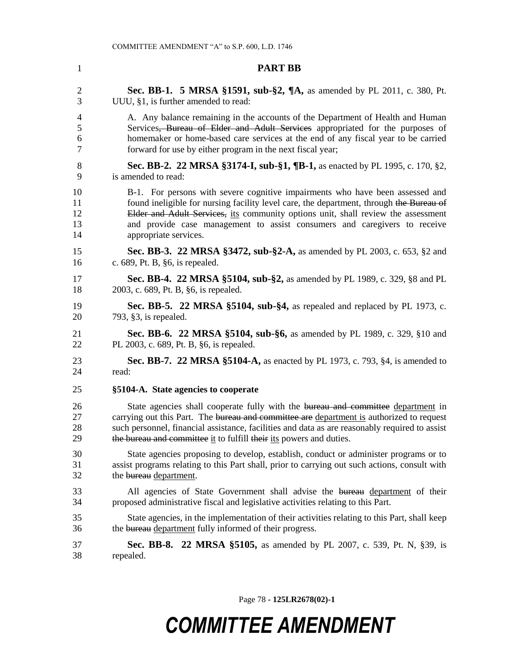| $\mathbf{1}$   | <b>PART BB</b>                                                                                 |
|----------------|------------------------------------------------------------------------------------------------|
| $\overline{2}$ | <b>Sec. BB-1. 5 MRSA §1591, sub-§2, <math>\P</math>A, as amended by PL 2011, c. 380, Pt.</b>   |
| 3              | UUU, §1, is further amended to read:                                                           |
| 4              | A. Any balance remaining in the accounts of the Department of Health and Human                 |
| 5              | Services <del>, Bureau of Elder and Adult Services</del> appropriated for the purposes of      |
| 6              | homemaker or home-based care services at the end of any fiscal year to be carried              |
| $\tau$         | forward for use by either program in the next fiscal year;                                     |
| 8              | <b>Sec. BB-2. 22 MRSA §3174-I, sub-§1, ¶B-1,</b> as enacted by PL 1995, c. 170, §2,            |
| 9              | is amended to read:                                                                            |
| 10             | B-1. For persons with severe cognitive impairments who have been assessed and                  |
| 11             | found ineligible for nursing facility level care, the department, through the Bureau of        |
| 12             | Elder and Adult Services, its community options unit, shall review the assessment              |
| 13             | and provide case management to assist consumers and caregivers to receive                      |
| 14             | appropriate services.                                                                          |
| 15             | Sec. BB-3. 22 MRSA §3472, sub-§2-A, as amended by PL 2003, c. 653, §2 and                      |
| 16             | c. 689, Pt. B, §6, is repealed.                                                                |
| 17             | <b>Sec. BB-4. 22 MRSA §5104, sub-§2, as amended by PL 1989, c. 329, §8 and PL</b>              |
| 18             | 2003, c. 689, Pt. B, §6, is repealed.                                                          |
| 19             | Sec. BB-5. 22 MRSA $\S 5104$ , sub- $\S 4$ , as repealed and replaced by PL 1973, c.           |
| 20             | 793, $§3$ , is repealed.                                                                       |
| 21             | <b>Sec. BB-6. 22 MRSA §5104, sub-§6, as amended by PL 1989, c. 329, §10 and</b>                |
| 22             | PL 2003, c. 689, Pt. B, §6, is repealed.                                                       |
| 23             | <b>Sec. BB-7. 22 MRSA §5104-A, as enacted by PL 1973, c. 793, §4, is amended to</b>            |
| 24             | read:                                                                                          |
| 25             | §5104-A. State agencies to cooperate                                                           |
| 26             | State agencies shall cooperate fully with the bureau and committee department in               |
| 27             | carrying out this Part. The bureau and committee are department is authorized to request       |
| 28             | such personnel, financial assistance, facilities and data as are reasonably required to assist |
| 29             | the bureau and committee it to fulfill their its powers and duties.                            |
| 30             | State agencies proposing to develop, establish, conduct or administer programs or to           |
| 31             | assist programs relating to this Part shall, prior to carrying out such actions, consult with  |
| 32             | the bureau department.                                                                         |
| 33             | All agencies of State Government shall advise the bureau department of their                   |
| 34             | proposed administrative fiscal and legislative activities relating to this Part.               |
| 35             | State agencies, in the implementation of their activities relating to this Part, shall keep    |
| 36             | the bureau department fully informed of their progress.                                        |
| 37             | Sec. BB-8. 22 MRSA §5105, as amended by PL 2007, c. 539, Pt. N, §39, is                        |
| 38             | repealed.                                                                                      |

Page 78 **- 125LR2678(02)-1**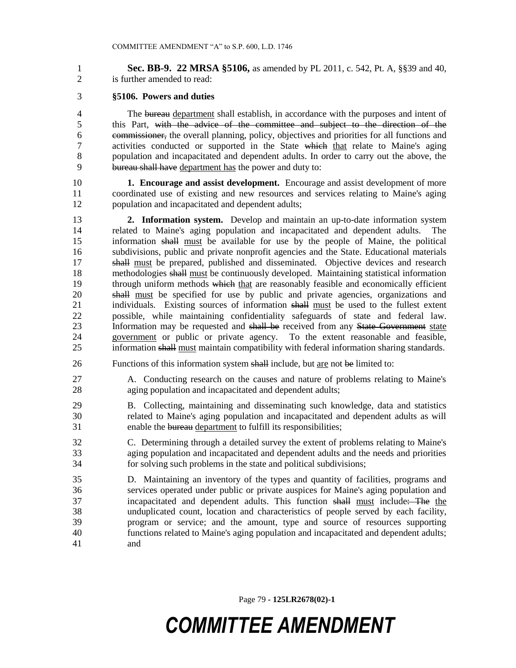**Sec. BB-9. 22 MRSA §5106,** as amended by PL 2011, c. 542, Pt. A, §§39 and 40, is further amended to read:

### **§5106. Powers and duties**

4 The bureau department shall establish, in accordance with the purposes and intent of this Part, with the advice of the committee and subject to the direction of the commissioner, the overall planning, policy, objectives and priorities for all functions and 7 activities conducted or supported in the State which that relate to Maine's aging population and incapacitated and dependent adults. In order to carry out the above, the bureau shall have department has the power and duty to:

 **1. Encourage and assist development.** Encourage and assist development of more coordinated use of existing and new resources and services relating to Maine's aging population and incapacitated and dependent adults;

 **2. Information system.** Develop and maintain an up-to-date information system related to Maine's aging population and incapacitated and dependent adults. The information shall must be available for use by the people of Maine, the political subdivisions, public and private nonprofit agencies and the State. Educational materials shall must be prepared, published and disseminated. Objective devices and research methodologies shall must be continuously developed. Maintaining statistical information 19 through uniform methods which that are reasonably feasible and economically efficient shall must be specified for use by public and private agencies, organizations and 21 individuals. Existing sources of information shall must be used to the fullest extent possible, while maintaining confidentiality safeguards of state and federal law. Information may be requested and shall be received from any State Government state government or public or private agency. To the extent reasonable and feasible, 25 information shall must maintain compatibility with federal information sharing standards.

26 Functions of this information system shall include, but are not be limited to:

 A. Conducting research on the causes and nature of problems relating to Maine's aging population and incapacitated and dependent adults;

- B. Collecting, maintaining and disseminating such knowledge, data and statistics related to Maine's aging population and incapacitated and dependent adults as will enable the bureau department to fulfill its responsibilities;
- C. Determining through a detailed survey the extent of problems relating to Maine's aging population and incapacitated and dependent adults and the needs and priorities for solving such problems in the state and political subdivisions;

 D. Maintaining an inventory of the types and quantity of facilities, programs and services operated under public or private auspices for Maine's aging population and incapacitated and dependent adults. This function shall must include: The the unduplicated count, location and characteristics of people served by each facility, program or service; and the amount, type and source of resources supporting functions related to Maine's aging population and incapacitated and dependent adults; and

Page 79 **- 125LR2678(02)-1**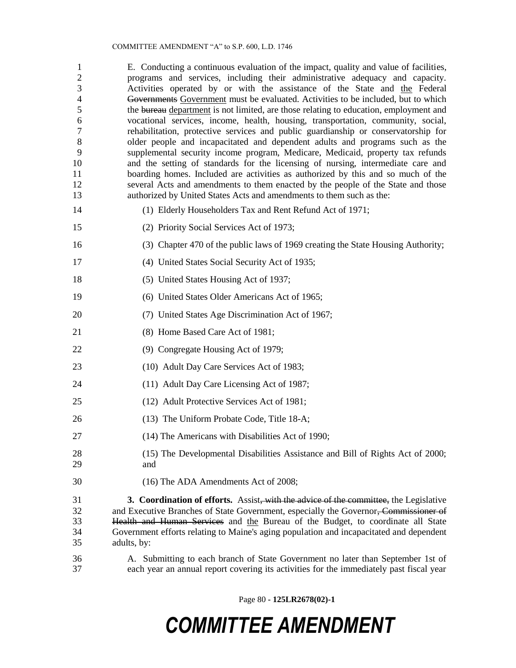| 1<br>$\overline{c}$<br>3<br>$\overline{4}$<br>5<br>6<br>$\tau$<br>$\,8\,$<br>9<br>10<br>11<br>12<br>13 | E. Conducting a continuous evaluation of the impact, quality and value of facilities,<br>programs and services, including their administrative adequacy and capacity.<br>Activities operated by or with the assistance of the State and the Federal<br>Governments Government must be evaluated. Activities to be included, but to which<br>the bureau department is not limited, are those relating to education, employment and<br>vocational services, income, health, housing, transportation, community, social,<br>rehabilitation, protective services and public guardianship or conservatorship for<br>older people and incapacitated and dependent adults and programs such as the<br>supplemental security income program, Medicare, Medicaid, property tax refunds<br>and the setting of standards for the licensing of nursing, intermediate care and<br>boarding homes. Included are activities as authorized by this and so much of the<br>several Acts and amendments to them enacted by the people of the State and those<br>authorized by United States Acts and amendments to them such as the: |
|--------------------------------------------------------------------------------------------------------|-------------------------------------------------------------------------------------------------------------------------------------------------------------------------------------------------------------------------------------------------------------------------------------------------------------------------------------------------------------------------------------------------------------------------------------------------------------------------------------------------------------------------------------------------------------------------------------------------------------------------------------------------------------------------------------------------------------------------------------------------------------------------------------------------------------------------------------------------------------------------------------------------------------------------------------------------------------------------------------------------------------------------------------------------------------------------------------------------------------------|
| 14                                                                                                     | (1) Elderly Householders Tax and Rent Refund Act of 1971;                                                                                                                                                                                                                                                                                                                                                                                                                                                                                                                                                                                                                                                                                                                                                                                                                                                                                                                                                                                                                                                         |
| 15                                                                                                     | (2) Priority Social Services Act of 1973;                                                                                                                                                                                                                                                                                                                                                                                                                                                                                                                                                                                                                                                                                                                                                                                                                                                                                                                                                                                                                                                                         |
| 16                                                                                                     | (3) Chapter 470 of the public laws of 1969 creating the State Housing Authority;                                                                                                                                                                                                                                                                                                                                                                                                                                                                                                                                                                                                                                                                                                                                                                                                                                                                                                                                                                                                                                  |
| 17                                                                                                     | (4) United States Social Security Act of 1935;                                                                                                                                                                                                                                                                                                                                                                                                                                                                                                                                                                                                                                                                                                                                                                                                                                                                                                                                                                                                                                                                    |
| 18                                                                                                     | (5) United States Housing Act of 1937;                                                                                                                                                                                                                                                                                                                                                                                                                                                                                                                                                                                                                                                                                                                                                                                                                                                                                                                                                                                                                                                                            |
| 19                                                                                                     | (6) United States Older Americans Act of 1965;                                                                                                                                                                                                                                                                                                                                                                                                                                                                                                                                                                                                                                                                                                                                                                                                                                                                                                                                                                                                                                                                    |
| 20                                                                                                     | (7) United States Age Discrimination Act of 1967;                                                                                                                                                                                                                                                                                                                                                                                                                                                                                                                                                                                                                                                                                                                                                                                                                                                                                                                                                                                                                                                                 |
| 21                                                                                                     | (8) Home Based Care Act of 1981;                                                                                                                                                                                                                                                                                                                                                                                                                                                                                                                                                                                                                                                                                                                                                                                                                                                                                                                                                                                                                                                                                  |
| 22                                                                                                     | (9) Congregate Housing Act of 1979;                                                                                                                                                                                                                                                                                                                                                                                                                                                                                                                                                                                                                                                                                                                                                                                                                                                                                                                                                                                                                                                                               |
| 23                                                                                                     | (10) Adult Day Care Services Act of 1983;                                                                                                                                                                                                                                                                                                                                                                                                                                                                                                                                                                                                                                                                                                                                                                                                                                                                                                                                                                                                                                                                         |
| 24                                                                                                     | (11) Adult Day Care Licensing Act of 1987;                                                                                                                                                                                                                                                                                                                                                                                                                                                                                                                                                                                                                                                                                                                                                                                                                                                                                                                                                                                                                                                                        |
| 25                                                                                                     | (12) Adult Protective Services Act of 1981;                                                                                                                                                                                                                                                                                                                                                                                                                                                                                                                                                                                                                                                                                                                                                                                                                                                                                                                                                                                                                                                                       |
| 26                                                                                                     | (13) The Uniform Probate Code, Title 18-A;                                                                                                                                                                                                                                                                                                                                                                                                                                                                                                                                                                                                                                                                                                                                                                                                                                                                                                                                                                                                                                                                        |
| 27                                                                                                     | (14) The Americans with Disabilities Act of 1990;                                                                                                                                                                                                                                                                                                                                                                                                                                                                                                                                                                                                                                                                                                                                                                                                                                                                                                                                                                                                                                                                 |
| 28<br>29                                                                                               | (15) The Developmental Disabilities Assistance and Bill of Rights Act of 2000;<br>and                                                                                                                                                                                                                                                                                                                                                                                                                                                                                                                                                                                                                                                                                                                                                                                                                                                                                                                                                                                                                             |
| 30                                                                                                     | (16) The ADA Amendments Act of 2008;                                                                                                                                                                                                                                                                                                                                                                                                                                                                                                                                                                                                                                                                                                                                                                                                                                                                                                                                                                                                                                                                              |
| 31<br>32<br>33<br>34<br>35                                                                             | <b>3. Coordination of efforts.</b> Assist, with the advice of the committee, the Legislative<br>and Executive Branches of State Government, especially the Governor, Commissioner of<br>Health and Human Services and the Bureau of the Budget, to coordinate all State<br>Government efforts relating to Maine's aging population and incapacitated and dependent<br>adults, by:                                                                                                                                                                                                                                                                                                                                                                                                                                                                                                                                                                                                                                                                                                                                 |
| 36<br>37                                                                                               | A. Submitting to each branch of State Government no later than September 1st of<br>each year an annual report covering its activities for the immediately past fiscal year                                                                                                                                                                                                                                                                                                                                                                                                                                                                                                                                                                                                                                                                                                                                                                                                                                                                                                                                        |

Page 80 **- 125LR2678(02)-1**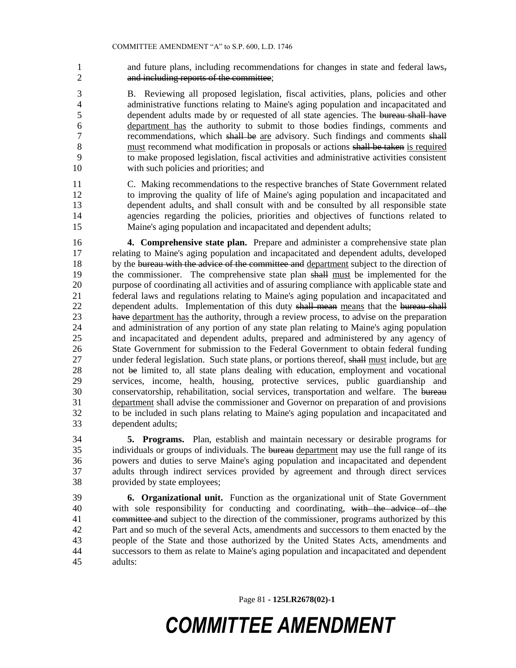and future plans, including recommendations for changes in state and federal laws, and including reports of the committee;

 B. Reviewing all proposed legislation, fiscal activities, plans, policies and other administrative functions relating to Maine's aging population and incapacitated and 5 dependent adults made by or requested of all state agencies. The bureau shall have department has the authority to submit to those bodies findings, comments and 7 recommendations, which shall be are advisory. Such findings and comments shall 8 must recommend what modification in proposals or actions shall be taken is required to make proposed legislation, fiscal activities and administrative activities consistent with such policies and priorities; and

 C. Making recommendations to the respective branches of State Government related to improving the quality of life of Maine's aging population and incapacitated and dependent adults, and shall consult with and be consulted by all responsible state agencies regarding the policies, priorities and objectives of functions related to Maine's aging population and incapacitated and dependent adults;

 **4. Comprehensive state plan.** Prepare and administer a comprehensive state plan relating to Maine's aging population and incapacitated and dependent adults, developed 18 by the bureau with the advice of the committee and department subject to the direction of the commissioner. The comprehensive state plan shall must be implemented for the purpose of coordinating all activities and of assuring compliance with applicable state and federal laws and regulations relating to Maine's aging population and incapacitated and 22 dependent adults. Implementation of this duty shall mean means that the bureau shall 23 have department has the authority, through a review process, to advise on the preparation and administration of any portion of any state plan relating to Maine's aging population and incapacitated and dependent adults, prepared and administered by any agency of State Government for submission to the Federal Government to obtain federal funding 27 under federal legislation. Such state plans, or portions thereof, shall must include, but are not be limited to, all state plans dealing with education, employment and vocational services, income, health, housing, protective services, public guardianship and conservatorship, rehabilitation, social services, transportation and welfare. The bureau department shall advise the commissioner and Governor on preparation of and provisions to be included in such plans relating to Maine's aging population and incapacitated and dependent adults;

 **5. Programs.** Plan, establish and maintain necessary or desirable programs for 35 individuals or groups of individuals. The bureau department may use the full range of its powers and duties to serve Maine's aging population and incapacitated and dependent adults through indirect services provided by agreement and through direct services provided by state employees;

 **6. Organizational unit.** Function as the organizational unit of State Government with sole responsibility for conducting and coordinating, with the advice of the 41 committee and subject to the direction of the commissioner, programs authorized by this Part and so much of the several Acts, amendments and successors to them enacted by the people of the State and those authorized by the United States Acts, amendments and successors to them as relate to Maine's aging population and incapacitated and dependent adults:

Page 81 **- 125LR2678(02)-1**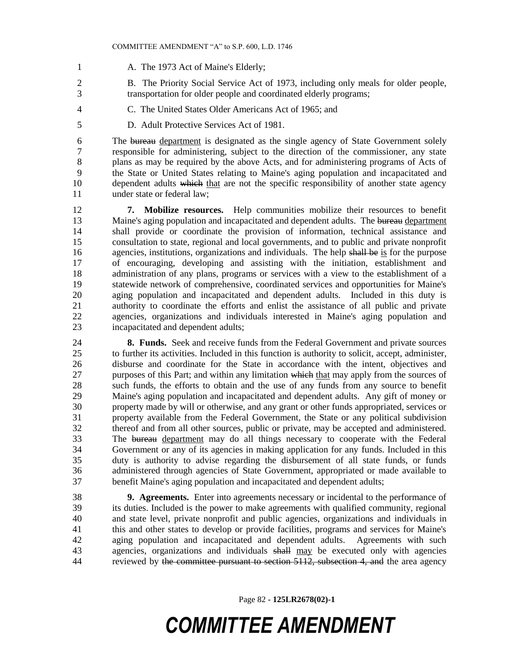- 1 A. The 1973 Act of Maine's Elderly;
- B. The Priority Social Service Act of 1973, including only meals for older people, transportation for older people and coordinated elderly programs;
- 
- C. The United States Older Americans Act of 1965; and
- D. Adult Protective Services Act of 1981.

 The bureau department is designated as the single agency of State Government solely responsible for administering, subject to the direction of the commissioner, any state plans as may be required by the above Acts, and for administering programs of Acts of the State or United States relating to Maine's aging population and incapacitated and dependent adults which that are not the specific responsibility of another state agency under state or federal law;

 **7. Mobilize resources.** Help communities mobilize their resources to benefit 13 Maine's aging population and incapacitated and dependent adults. The bureau department shall provide or coordinate the provision of information, technical assistance and consultation to state, regional and local governments, and to public and private nonprofit 16 agencies, institutions, organizations and individuals. The help shall be is for the purpose of encouraging, developing and assisting with the initiation, establishment and 18 administration of any plans, programs or services with a view to the establishment of a statewide network of comprehensive, coordinated services and opportunities for Maine's aging population and incapacitated and dependent adults. Included in this duty is authority to coordinate the efforts and enlist the assistance of all public and private agencies, organizations and individuals interested in Maine's aging population and incapacitated and dependent adults;

 **8. Funds.** Seek and receive funds from the Federal Government and private sources to further its activities. Included in this function is authority to solicit, accept, administer, disburse and coordinate for the State in accordance with the intent, objectives and 27 purposes of this Part; and within any limitation which that may apply from the sources of such funds, the efforts to obtain and the use of any funds from any source to benefit Maine's aging population and incapacitated and dependent adults. Any gift of money or property made by will or otherwise, and any grant or other funds appropriated, services or property available from the Federal Government, the State or any political subdivision thereof and from all other sources, public or private, may be accepted and administered. The bureau department may do all things necessary to cooperate with the Federal Government or any of its agencies in making application for any funds. Included in this duty is authority to advise regarding the disbursement of all state funds, or funds administered through agencies of State Government, appropriated or made available to benefit Maine's aging population and incapacitated and dependent adults;

 **9. Agreements.** Enter into agreements necessary or incidental to the performance of its duties. Included is the power to make agreements with qualified community, regional and state level, private nonprofit and public agencies, organizations and individuals in this and other states to develop or provide facilities, programs and services for Maine's aging population and incapacitated and dependent adults. Agreements with such 43 agencies, organizations and individuals shall may be executed only with agencies 44 reviewed by the committee pursuant to section 5112, subsection 4, and the area agency

Page 82 **- 125LR2678(02)-1**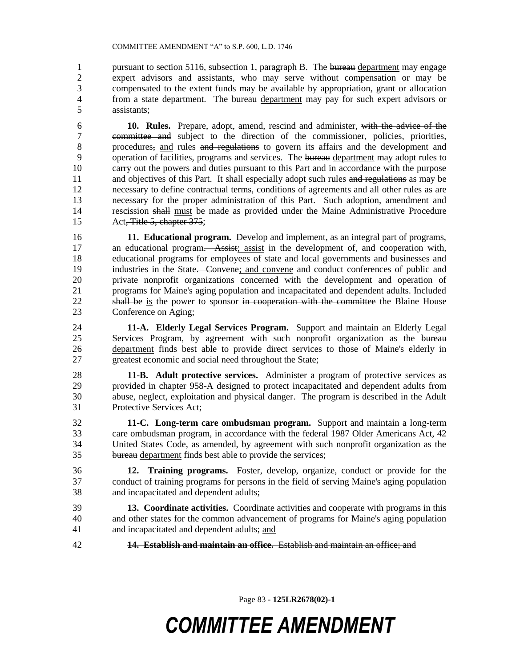1 pursuant to section 5116, subsection 1, paragraph B. The bureau department may engage expert advisors and assistants, who may serve without compensation or may be compensated to the extent funds may be available by appropriation, grant or allocation 4 from a state department. The bureau department may pay for such expert advisors or assistants;

 **10. Rules.** Prepare, adopt, amend, rescind and administer, with the advice of the committee and subject to the direction of the commissioner, policies, priorities, procedures, and rules and regulations to govern its affairs and the development and 9 operation of facilities, programs and services. The bureau department may adopt rules to carry out the powers and duties pursuant to this Part and in accordance with the purpose 11 and objectives of this Part. It shall especially adopt such rules and regulations as may be necessary to define contractual terms, conditions of agreements and all other rules as are necessary for the proper administration of this Part. Such adoption, amendment and rescission shall must be made as provided under the Maine Administrative Procedure Act, Title 5, chapter 375;

 **11. Educational program.** Develop and implement, as an integral part of programs, an educational program. Assist; assist in the development of, and cooperation with, educational programs for employees of state and local governments and businesses and industries in the State. Convene; and convene and conduct conferences of public and private nonprofit organizations concerned with the development and operation of programs for Maine's aging population and incapacitated and dependent adults. Included 22 shall be is the power to sponsor in cooperation with the committee the Blaine House<br>23 Conference on Aging: Conference on Aging:

 **11-A. Elderly Legal Services Program.** Support and maintain an Elderly Legal 25 Services Program, by agreement with such nonprofit organization as the bureau department finds best able to provide direct services to those of Maine's elderly in greatest economic and social need throughout the State;

 **11-B. Adult protective services.** Administer a program of protective services as provided in chapter 958-A designed to protect incapacitated and dependent adults from abuse, neglect, exploitation and physical danger. The program is described in the Adult Protective Services Act;

 **11-C. Long-term care ombudsman program.** Support and maintain a long-term care ombudsman program, in accordance with the federal 1987 Older Americans Act, 42 United States Code, as amended, by agreement with such nonprofit organization as the bureau department finds best able to provide the services;

 **12. Training programs.** Foster, develop, organize, conduct or provide for the conduct of training programs for persons in the field of serving Maine's aging population and incapacitated and dependent adults;

- **13. Coordinate activities.** Coordinate activities and cooperate with programs in this and other states for the common advancement of programs for Maine's aging population and incapacitated and dependent adults; and
- **14. Establish and maintain an office.** Establish and maintain an office; and

Page 83 **- 125LR2678(02)-1**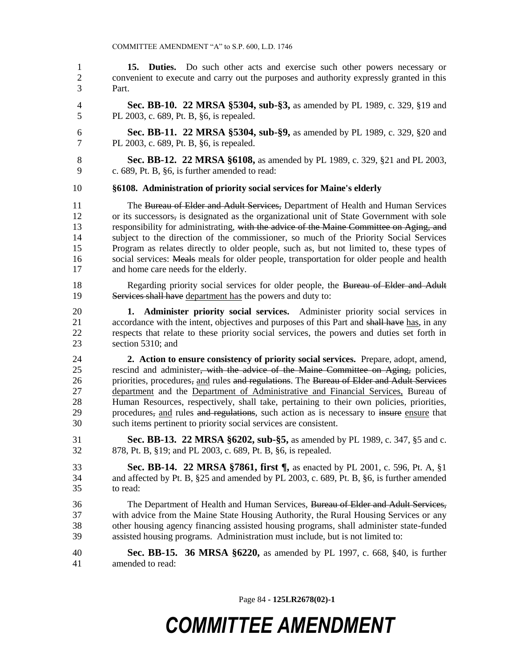**15. Duties.** Do such other acts and exercise such other powers necessary or convenient to execute and carry out the purposes and authority expressly granted in this Part.

 **Sec. BB-10. 22 MRSA §5304, sub-§3,** as amended by PL 1989, c. 329, §19 and PL 2003, c. 689, Pt. B, §6, is repealed.

 **Sec. BB-11. 22 MRSA §5304, sub-§9,** as amended by PL 1989, c. 329, §20 and PL 2003, c. 689, Pt. B, §6, is repealed.

 **Sec. BB-12. 22 MRSA §6108,** as amended by PL 1989, c. 329, §21 and PL 2003, c. 689, Pt. B, §6, is further amended to read:

#### **§6108. Administration of priority social services for Maine's elderly**

 The Bureau of Elder and Adult Services, Department of Health and Human Services or its successors, is designated as the organizational unit of State Government with sole responsibility for administrating, with the advice of the Maine Committee on Aging, and subject to the direction of the commissioner, so much of the Priority Social Services Program as relates directly to older people, such as, but not limited to, these types of social services: Meals meals for older people, transportation for older people and health and home care needs for the elderly.

18 Regarding priority social services for older people, the Bureau of Elder and Adult Services shall have department has the powers and duty to:

 **1. Administer priority social services.** Administer priority social services in 21 accordance with the intent, objectives and purposes of this Part and shall have has, in any respects that relate to these priority social services, the powers and duties set forth in section 5310; and

 **2. Action to ensure consistency of priority social services.** Prepare, adopt, amend, 25 rescind and administer, with the advice of the Maine Committee on Aging, policies, 26 priorities, procedures, and rules and regulations. The Bureau of Elder and Adult Services department and the Department of Administrative and Financial Services, Bureau of Human Resources, respectively, shall take, pertaining to their own policies, priorities, 29 procedures, and rules and regulations, such action as is necessary to insure ensure that such items pertinent to priority social services are consistent.

 **Sec. BB-13. 22 MRSA §6202, sub-§5,** as amended by PL 1989, c. 347, §5 and c. 878, Pt. B, §19; and PL 2003, c. 689, Pt. B, §6, is repealed.

 **Sec. BB-14. 22 MRSA §7861, first ¶,** as enacted by PL 2001, c. 596, Pt. A, §1 and affected by Pt. B, §25 and amended by PL 2003, c. 689, Pt. B, §6, is further amended to read:

 The Department of Health and Human Services, Bureau of Elder and Adult Services, with advice from the Maine State Housing Authority, the Rural Housing Services or any other housing agency financing assisted housing programs, shall administer state-funded assisted housing programs. Administration must include, but is not limited to:

 **Sec. BB-15. 36 MRSA §6220,** as amended by PL 1997, c. 668, §40, is further amended to read:

Page 84 **- 125LR2678(02)-1**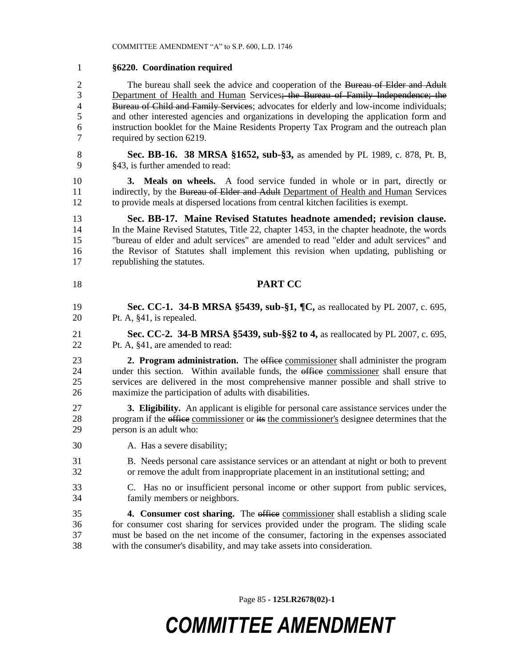### **§6220. Coordination required**

2 The bureau shall seek the advice and cooperation of the Bureau of Elder and Adult 3 Department of Health and Human Services; the Bureau of Family Independence; the 4 Bureau of Child and Family Services; advocates for elderly and low-income individuals; and other interested agencies and organizations in developing the application form and instruction booklet for the Maine Residents Property Tax Program and the outreach plan required by section 6219.

 **Sec. BB-16. 38 MRSA §1652, sub-§3,** as amended by PL 1989, c. 878, Pt. B, §43, is further amended to read:

 **3. Meals on wheels.** A food service funded in whole or in part, directly or 11 indirectly, by the Bureau of Elder and Adult Department of Health and Human Services to provide meals at dispersed locations from central kitchen facilities is exempt.

 **Sec. BB-17. Maine Revised Statutes headnote amended; revision clause.**  In the Maine Revised Statutes, Title 22, chapter 1453, in the chapter headnote, the words "bureau of elder and adult services" are amended to read "elder and adult services" and the Revisor of Statutes shall implement this revision when updating, publishing or republishing the statutes.

#### **PART CC**

- **Sec. CC-1. 34-B MRSA §5439, sub-§1, ¶C,** as reallocated by PL 2007, c. 695, Pt. A, §41, is repealed.
- **Sec. CC-2. 34-B MRSA §5439, sub-§§2 to 4,** as reallocated by PL 2007, c. 695, Pt. A, §41, are amended to read:

**2. Program administration.** The office commissioner shall administer the program 24 under this section. Within available funds, the office commissioner shall ensure that services are delivered in the most comprehensive manner possible and shall strive to maximize the participation of adults with disabilities.

- **3. Eligibility.** An applicant is eligible for personal care assistance services under the 28 program if the office commissioner or its the commissioner's designee determines that the person is an adult who:
- A. Has a severe disability;

 B. Needs personal care assistance services or an attendant at night or both to prevent or remove the adult from inappropriate placement in an institutional setting; and

 C. Has no or insufficient personal income or other support from public services, family members or neighbors.

**4. Consumer cost sharing.** The office commissioner shall establish a sliding scale for consumer cost sharing for services provided under the program. The sliding scale must be based on the net income of the consumer, factoring in the expenses associated with the consumer's disability, and may take assets into consideration.

Page 85 **- 125LR2678(02)-1**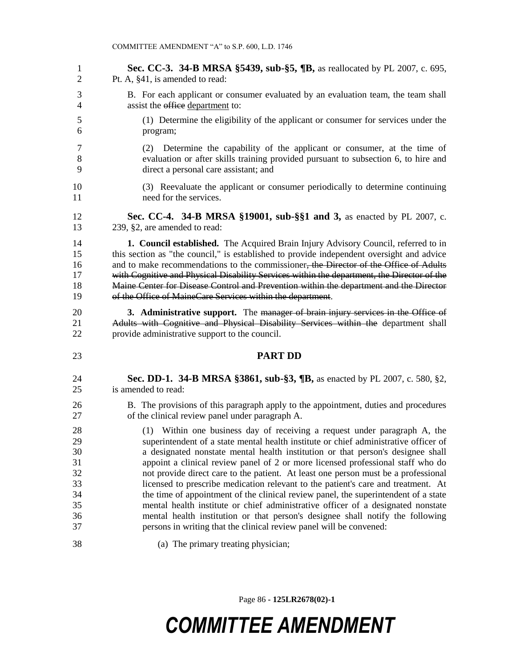**Sec. CC-3. 34-B MRSA §5439, sub-§5, ¶B,** as reallocated by PL 2007, c. 695, Pt. A, §41, is amended to read: B. For each applicant or consumer evaluated by an evaluation team, the team shall 4 assist the office department to: (1) Determine the eligibility of the applicant or consumer for services under the program; (2) Determine the capability of the applicant or consumer, at the time of evaluation or after skills training provided pursuant to subsection 6, to hire and direct a personal care assistant; and (3) Reevaluate the applicant or consumer periodically to determine continuing need for the services. **Sec. CC-4. 34-B MRSA §19001, sub-§§1 and 3,** as enacted by PL 2007, c. 239, §2, are amended to read: **1. Council established.** The Acquired Brain Injury Advisory Council, referred to in this section as "the council," is established to provide independent oversight and advice 16 and to make recommendations to the commissioner, the Director of the Office of Adults with Cognitive and Physical Disability Services within the department, the Director of the Maine Center for Disease Control and Prevention within the department and the Director of the Office of MaineCare Services within the department. **3. Administrative support.** The manager of brain injury services in the Office of Adults with Cognitive and Physical Disability Services within the department shall provide administrative support to the council. **PART DD Sec. DD-1. 34-B MRSA §3861, sub-§3, ¶B,** as enacted by PL 2007, c. 580, §2, is amended to read: B. The provisions of this paragraph apply to the appointment, duties and procedures of the clinical review panel under paragraph A. (1) Within one business day of receiving a request under paragraph A, the superintendent of a state mental health institute or chief administrative officer of a designated nonstate mental health institution or that person's designee shall appoint a clinical review panel of 2 or more licensed professional staff who do not provide direct care to the patient. At least one person must be a professional licensed to prescribe medication relevant to the patient's care and treatment. At the time of appointment of the clinical review panel, the superintendent of a state mental health institute or chief administrative officer of a designated nonstate mental health institution or that person's designee shall notify the following persons in writing that the clinical review panel will be convened: (a) The primary treating physician;

Page 86 **- 125LR2678(02)-1**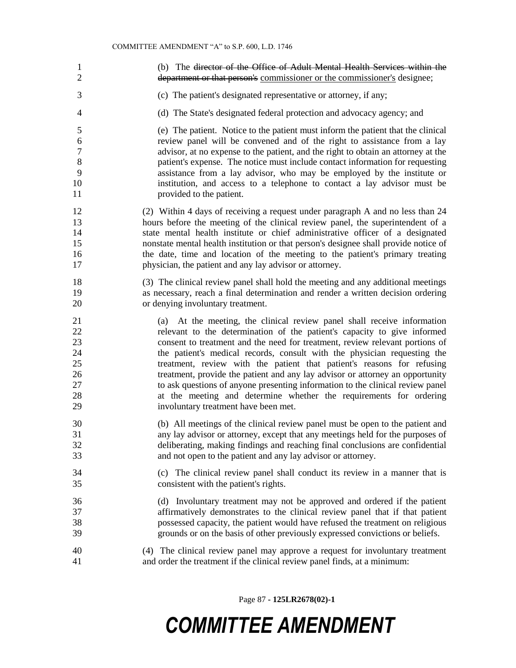(b) The director of the Office of Adult Mental Health Services within the department or that person's commissioner or the commissioner's designee; (c) The patient's designated representative or attorney, if any; (d) The State's designated federal protection and advocacy agency; and (e) The patient. Notice to the patient must inform the patient that the clinical review panel will be convened and of the right to assistance from a lay advisor, at no expense to the patient, and the right to obtain an attorney at the patient's expense. The notice must include contact information for requesting assistance from a lay advisor, who may be employed by the institute or institution, and access to a telephone to contact a lay advisor must be 11 provided to the patient. (2) Within 4 days of receiving a request under paragraph A and no less than 24 hours before the meeting of the clinical review panel, the superintendent of a state mental health institute or chief administrative officer of a designated nonstate mental health institution or that person's designee shall provide notice of the date, time and location of the meeting to the patient's primary treating physician, the patient and any lay advisor or attorney. (3) The clinical review panel shall hold the meeting and any additional meetings as necessary, reach a final determination and render a written decision ordering or denying involuntary treatment. (a) At the meeting, the clinical review panel shall receive information relevant to the determination of the patient's capacity to give informed consent to treatment and the need for treatment, review relevant portions of the patient's medical records, consult with the physician requesting the treatment, review with the patient that patient's reasons for refusing treatment, provide the patient and any lay advisor or attorney an opportunity to ask questions of anyone presenting information to the clinical review panel at the meeting and determine whether the requirements for ordering involuntary treatment have been met. (b) All meetings of the clinical review panel must be open to the patient and any lay advisor or attorney, except that any meetings held for the purposes of deliberating, making findings and reaching final conclusions are confidential and not open to the patient and any lay advisor or attorney. (c) The clinical review panel shall conduct its review in a manner that is consistent with the patient's rights. (d) Involuntary treatment may not be approved and ordered if the patient affirmatively demonstrates to the clinical review panel that if that patient possessed capacity, the patient would have refused the treatment on religious grounds or on the basis of other previously expressed convictions or beliefs. (4) The clinical review panel may approve a request for involuntary treatment and order the treatment if the clinical review panel finds, at a minimum:

Page 87 **- 125LR2678(02)-1**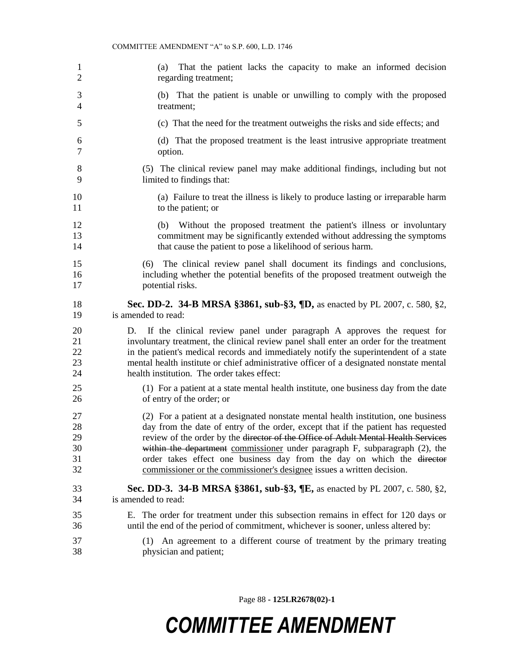(a) That the patient lacks the capacity to make an informed decision regarding treatment; (b) That the patient is unable or unwilling to comply with the proposed treatment; (c) That the need for the treatment outweighs the risks and side effects; and (d) That the proposed treatment is the least intrusive appropriate treatment option. (5) The clinical review panel may make additional findings, including but not limited to findings that: (a) Failure to treat the illness is likely to produce lasting or irreparable harm 11 to the patient; or (b) Without the proposed treatment the patient's illness or involuntary commitment may be significantly extended without addressing the symptoms that cause the patient to pose a likelihood of serious harm. (6) The clinical review panel shall document its findings and conclusions, including whether the potential benefits of the proposed treatment outweigh the potential risks. **Sec. DD-2. 34-B MRSA §3861, sub-§3, ¶D,** as enacted by PL 2007, c. 580, §2, is amended to read: D. If the clinical review panel under paragraph A approves the request for involuntary treatment, the clinical review panel shall enter an order for the treatment in the patient's medical records and immediately notify the superintendent of a state mental health institute or chief administrative officer of a designated nonstate mental health institution. The order takes effect: (1) For a patient at a state mental health institute, one business day from the date of entry of the order; or (2) For a patient at a designated nonstate mental health institution, one business day from the date of entry of the order, except that if the patient has requested review of the order by the director of the Office of Adult Mental Health Services within the department commissioner under paragraph F, subparagraph (2), the order takes effect one business day from the day on which the director commissioner or the commissioner's designee issues a written decision. **Sec. DD-3. 34-B MRSA §3861, sub-§3, ¶E,** as enacted by PL 2007, c. 580, §2, is amended to read: E. The order for treatment under this subsection remains in effect for 120 days or until the end of the period of commitment, whichever is sooner, unless altered by: (1) An agreement to a different course of treatment by the primary treating physician and patient;

Page 88 **- 125LR2678(02)-1**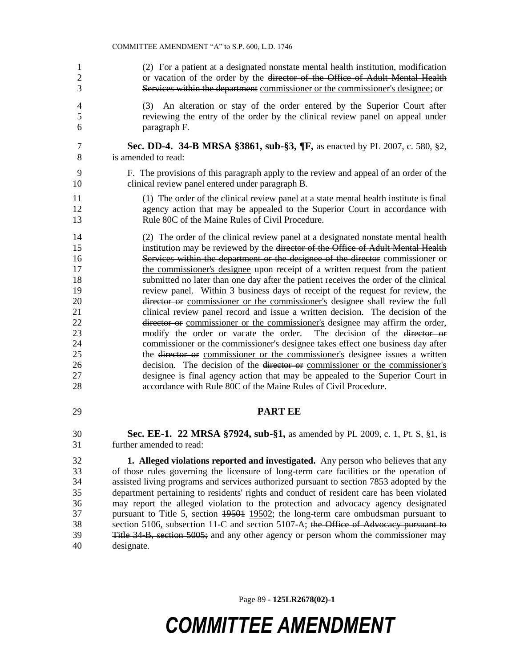- (2) For a patient at a designated nonstate mental health institution, modification 2 or vacation of the order by the director of the Office of Adult Mental Health Services within the department commissioner or the commissioner's designee; or
- (3) An alteration or stay of the order entered by the Superior Court after reviewing the entry of the order by the clinical review panel on appeal under paragraph F.
- **Sec. DD-4. 34-B MRSA §3861, sub-§3, ¶F,** as enacted by PL 2007, c. 580, §2, is amended to read:
- F. The provisions of this paragraph apply to the review and appeal of an order of the clinical review panel entered under paragraph B.
- (1) The order of the clinical review panel at a state mental health institute is final agency action that may be appealed to the Superior Court in accordance with Rule 80C of the Maine Rules of Civil Procedure.
- (2) The order of the clinical review panel at a designated nonstate mental health institution may be reviewed by the director of the Office of Adult Mental Health Services within the department or the designee of the director commissioner or the commissioner's designee upon receipt of a written request from the patient submitted no later than one day after the patient receives the order of the clinical review panel. Within 3 business days of receipt of the request for review, the director or commissioner or the commissioner's designee shall review the full clinical review panel record and issue a written decision. The decision of the 22 director or commissioner or the commissioner's designee may affirm the order, modify the order or vacate the order. The decision of the director or commissioner or the commissioner's designee takes effect one business day after the director or commissioner or the commissioner's designee issues a written 26 decision. The decision of the director or commissioner or the commissioner's designee is final agency action that may be appealed to the Superior Court in accordance with Rule 80C of the Maine Rules of Civil Procedure.
- 

### **PART EE**

- **Sec. EE-1. 22 MRSA §7924, sub-§1,** as amended by PL 2009, c. 1, Pt. S, §1, is further amended to read:
- **1. Alleged violations reported and investigated.** Any person who believes that any of those rules governing the licensure of long-term care facilities or the operation of assisted living programs and services authorized pursuant to section 7853 adopted by the department pertaining to residents' rights and conduct of resident care has been violated may report the alleged violation to the protection and advocacy agency designated pursuant to Title 5, section 19501 19502; the long-term care ombudsman pursuant to 38 section 5106, subsection 11-C and section 5107-A; the Office of Advocacy pursuant to Title 34-B, section 5005; and any other agency or person whom the commissioner may designate.

Page 89 **- 125LR2678(02)-1**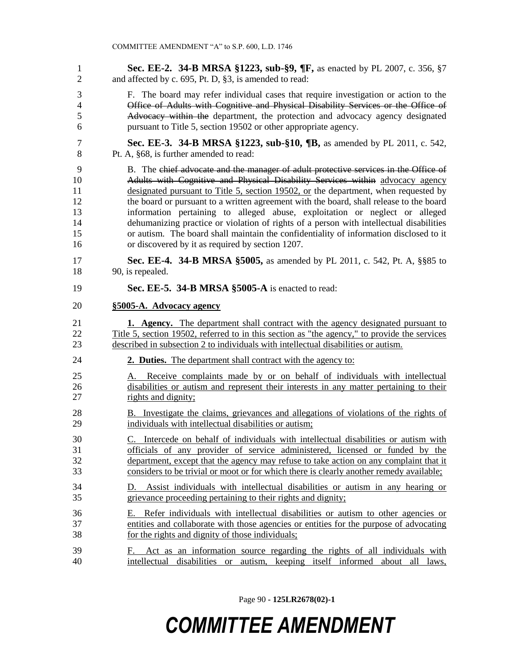**Sec. EE-2. 34-B MRSA §1223, sub-§9, ¶F,** as enacted by PL 2007, c. 356, §7 and affected by c. 695, Pt. D, §3, is amended to read:

- F. The board may refer individual cases that require investigation or action to the Office of Adults with Cognitive and Physical Disability Services or the Office of Advocacy within the department, the protection and advocacy agency designated pursuant to Title 5, section 19502 or other appropriate agency.
- **Sec. EE-3. 34-B MRSA §1223, sub-§10, ¶B,** as amended by PL 2011, c. 542, Pt. A, §68, is further amended to read:
- B. The chief advocate and the manager of adult protective services in the Office of Adults with Cognitive and Physical Disability Services within advocacy agency designated pursuant to Title 5, section 19502, or the department, when requested by the board or pursuant to a written agreement with the board, shall release to the board information pertaining to alleged abuse, exploitation or neglect or alleged dehumanizing practice or violation of rights of a person with intellectual disabilities or autism. The board shall maintain the confidentiality of information disclosed to it or discovered by it as required by section 1207.
- **Sec. EE-4. 34-B MRSA §5005,** as amended by PL 2011, c. 542, Pt. A, §§85 to 90, is repealed.
- **Sec. EE-5. 34-B MRSA §5005-A** is enacted to read:
- **§5005-A. Advocacy agency**

 **1. Agency.** The department shall contract with the agency designated pursuant to 22 Title 5, section 19502, referred to in this section as "the agency," to provide the services described in subsection 2 to individuals with intellectual disabilities or autism.

- **2. Duties.** The department shall contract with the agency to:
- A. Receive complaints made by or on behalf of individuals with intellectual disabilities or autism and represent their interests in any matter pertaining to their rights and dignity;
- B. Investigate the claims, grievances and allegations of violations of the rights of individuals with intellectual disabilities or autism;
- C. Intercede on behalf of individuals with intellectual disabilities or autism with officials of any provider of service administered, licensed or funded by the department, except that the agency may refuse to take action on any complaint that it considers to be trivial or moot or for which there is clearly another remedy available;
- D. Assist individuals with intellectual disabilities or autism in any hearing or grievance proceeding pertaining to their rights and dignity;
- E. Refer individuals with intellectual disabilities or autism to other agencies or entities and collaborate with those agencies or entities for the purpose of advocating for the rights and dignity of those individuals;
- F. Act as an information source regarding the rights of all individuals with intellectual disabilities or autism, keeping itself informed about all laws,

Page 90 **- 125LR2678(02)-1**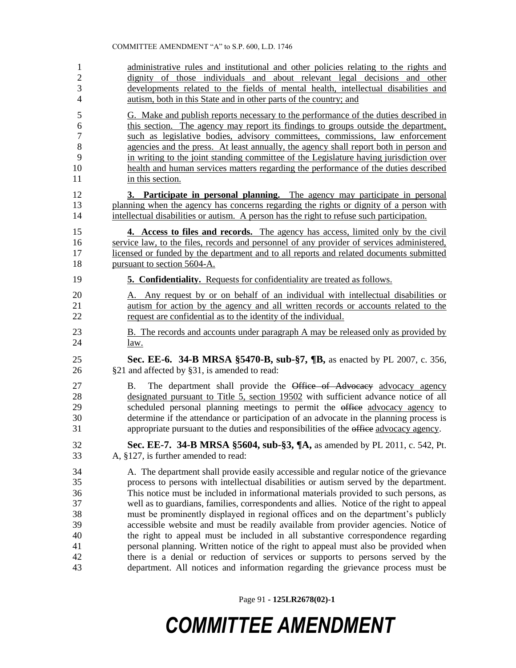#### COMMITTEE AMENDMENT "A" to S.P. 600, L.D. 1746

- administrative rules and institutional and other policies relating to the rights and dignity of those individuals and about relevant legal decisions and other developments related to the fields of mental health, intellectual disabilities and autism, both in this State and in other parts of the country; and
- G. Make and publish reports necessary to the performance of the duties described in this section. The agency may report its findings to groups outside the department, such as legislative bodies, advisory committees, commissions, law enforcement agencies and the press. At least annually, the agency shall report both in person and in writing to the joint standing committee of the Legislature having jurisdiction over health and human services matters regarding the performance of the duties described 11 in this section.
- **3. Participate in personal planning.** The agency may participate in personal planning when the agency has concerns regarding the rights or dignity of a person with intellectual disabilities or autism. A person has the right to refuse such participation.
- **4. Access to files and records.** The agency has access, limited only by the civil service law, to the files, records and personnel of any provider of services administered, licensed or funded by the department and to all reports and related documents submitted pursuant to section 5604-A.
- **5. Confidentiality.** Requests for confidentiality are treated as follows.
- A. Any request by or on behalf of an individual with intellectual disabilities or autism for action by the agency and all written records or accounts related to the request are confidential as to the identity of the individual.
- B. The records and accounts under paragraph A may be released only as provided by law.
- **Sec. EE-6. 34-B MRSA §5470-B, sub-§7, ¶B,** as enacted by PL 2007, c. 356, §21 and affected by §31, is amended to read:
- 27 B. The department shall provide the Office of Advocacy advocacy agency designated pursuant to Title 5, section 19502 with sufficient advance notice of all 29 scheduled personal planning meetings to permit the office advocacy agency to determine if the attendance or participation of an advocate in the planning process is 31 appropriate pursuant to the duties and responsibilities of the office advocacy agency.
- **Sec. EE-7. 34-B MRSA §5604, sub-§3, ¶A,** as amended by PL 2011, c. 542, Pt. A, §127, is further amended to read:
- A. The department shall provide easily accessible and regular notice of the grievance process to persons with intellectual disabilities or autism served by the department. This notice must be included in informational materials provided to such persons, as well as to guardians, families, correspondents and allies. Notice of the right to appeal must be prominently displayed in regional offices and on the department's publicly accessible website and must be readily available from provider agencies. Notice of the right to appeal must be included in all substantive correspondence regarding personal planning. Written notice of the right to appeal must also be provided when there is a denial or reduction of services or supports to persons served by the department. All notices and information regarding the grievance process must be

Page 91 **- 125LR2678(02)-1**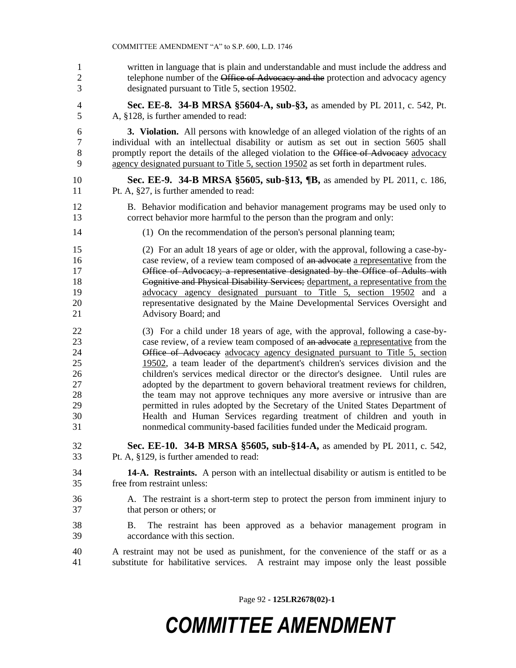written in language that is plain and understandable and must include the address and 2 telephone number of the Office of Advocacy and the protection and advocacy agency designated pursuant to Title 5, section 19502.

 **Sec. EE-8. 34-B MRSA §5604-A, sub-§3,** as amended by PL 2011, c. 542, Pt. A, §128, is further amended to read:

 **3. Violation.** All persons with knowledge of an alleged violation of the rights of an individual with an intellectual disability or autism as set out in section 5605 shall 8 promptly report the details of the alleged violation to the Office of Advocacy advocacy agency designated pursuant to Title 5, section 19502 as set forth in department rules.

- **Sec. EE-9. 34-B MRSA §5605, sub-§13, ¶B,** as amended by PL 2011, c. 186, Pt. A, §27, is further amended to read:
- B. Behavior modification and behavior management programs may be used only to correct behavior more harmful to the person than the program and only:
- (1) On the recommendation of the person's personal planning team;

 (2) For an adult 18 years of age or older, with the approval, following a case-by-16 case review, of a review team composed of an advocate a representative from the Office of Advocacy; a representative designated by the Office of Adults with Cognitive and Physical Disability Services; department, a representative from the advocacy agency designated pursuant to Title 5, section 19502 and a representative designated by the Maine Developmental Services Oversight and Advisory Board; and

 (3) For a child under 18 years of age, with the approval, following a case-by-23 case review, of a review team composed of an advocate a representative from the 24 Office of Advocacy advocacy agency designated pursuant to Title 5, section 19502, a team leader of the department's children's services division and the children's services medical director or the director's designee. Until rules are adopted by the department to govern behavioral treatment reviews for children, the team may not approve techniques any more aversive or intrusive than are permitted in rules adopted by the Secretary of the United States Department of Health and Human Services regarding treatment of children and youth in nonmedical community-based facilities funded under the Medicaid program.

- **Sec. EE-10. 34-B MRSA §5605, sub-§14-A,** as amended by PL 2011, c. 542, Pt. A, §129, is further amended to read:
- **14-A. Restraints.** A person with an intellectual disability or autism is entitled to be free from restraint unless:
- A. The restraint is a short-term step to protect the person from imminent injury to that person or others; or
- B. The restraint has been approved as a behavior management program in accordance with this section.
- A restraint may not be used as punishment, for the convenience of the staff or as a substitute for habilitative services. A restraint may impose only the least possible

Page 92 **- 125LR2678(02)-1**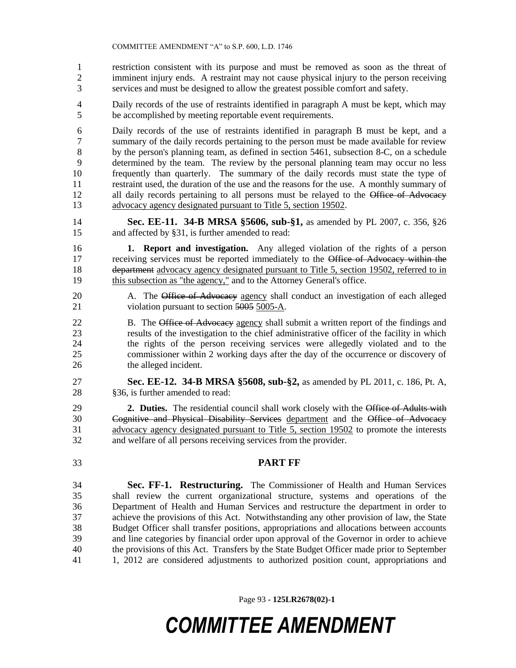restriction consistent with its purpose and must be removed as soon as the threat of imminent injury ends. A restraint may not cause physical injury to the person receiving services and must be designed to allow the greatest possible comfort and safety.

 Daily records of the use of restraints identified in paragraph A must be kept, which may be accomplished by meeting reportable event requirements.

 Daily records of the use of restraints identified in paragraph B must be kept, and a summary of the daily records pertaining to the person must be made available for review 8 by the person's planning team, as defined in section 5461, subsection 8-C, on a schedule determined by the team. The review by the personal planning team may occur no less frequently than quarterly. The summary of the daily records must state the type of restraint used, the duration of the use and the reasons for the use. A monthly summary of 12 all daily records pertaining to all persons must be relayed to the Office of Advocacy advocacy agency designated pursuant to Title 5, section 19502.

 **Sec. EE-11. 34-B MRSA §5606, sub-§1,** as amended by PL 2007, c. 356, §26 and affected by §31, is further amended to read:

 **1. Report and investigation.** Any alleged violation of the rights of a person receiving services must be reported immediately to the Office of Advocacy within the 18 department advocacy agency designated pursuant to Title 5, section 19502, referred to in 19 this subsection as "the agency," and to the Attorney General's office.

- 20 A. The Office of Advocacy agency shall conduct an investigation of each alleged 21 violation pursuant to section 5005 5005-A.
- 22 B. The Office of Advocacy agency shall submit a written report of the findings and results of the investigation to the chief administrative officer of the facility in which the rights of the person receiving services were allegedly violated and to the commissioner within 2 working days after the day of the occurrence or discovery of the alleged incident.
- **Sec. EE-12. 34-B MRSA §5608, sub-§2,** as amended by PL 2011, c. 186, Pt. A, 28 §36, is further amended to read:

 **2. Duties.** The residential council shall work closely with the Office of Adults with Cognitive and Physical Disability Services department and the Office of Advocacy advocacy agency designated pursuant to Title 5, section 19502 to promote the interests and welfare of all persons receiving services from the provider.

### **PART FF**

 **Sec. FF-1. Restructuring.** The Commissioner of Health and Human Services shall review the current organizational structure, systems and operations of the Department of Health and Human Services and restructure the department in order to achieve the provisions of this Act. Notwithstanding any other provision of law, the State Budget Officer shall transfer positions, appropriations and allocations between accounts and line categories by financial order upon approval of the Governor in order to achieve the provisions of this Act. Transfers by the State Budget Officer made prior to September 1, 2012 are considered adjustments to authorized position count, appropriations and

Page 93 **- 125LR2678(02)-1**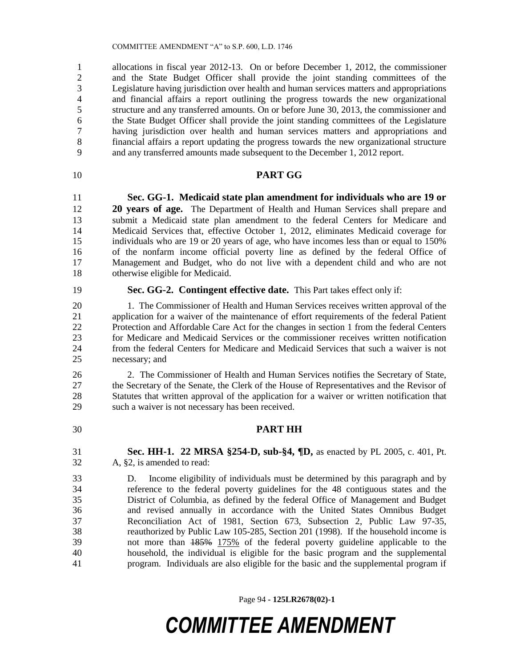COMMITTEE AMENDMENT "A" to S.P. 600, L.D. 1746

 allocations in fiscal year 2012-13. On or before December 1, 2012, the commissioner and the State Budget Officer shall provide the joint standing committees of the Legislature having jurisdiction over health and human services matters and appropriations and financial affairs a report outlining the progress towards the new organizational structure and any transferred amounts. On or before June 30, 2013, the commissioner and the State Budget Officer shall provide the joint standing committees of the Legislature having jurisdiction over health and human services matters and appropriations and financial affairs a report updating the progress towards the new organizational structure and any transferred amounts made subsequent to the December 1, 2012 report.

### **PART GG**

 **Sec. GG-1. Medicaid state plan amendment for individuals who are 19 or 20 years of age.** The Department of Health and Human Services shall prepare and submit a Medicaid state plan amendment to the federal Centers for Medicare and Medicaid Services that, effective October 1, 2012, eliminates Medicaid coverage for individuals who are 19 or 20 years of age, who have incomes less than or equal to 150% of the nonfarm income official poverty line as defined by the federal Office of Management and Budget, who do not live with a dependent child and who are not otherwise eligible for Medicaid.

**Sec. GG-2. Contingent effective date.** This Part takes effect only if:

 1. The Commissioner of Health and Human Services receives written approval of the application for a waiver of the maintenance of effort requirements of the federal Patient Protection and Affordable Care Act for the changes in section 1 from the federal Centers for Medicare and Medicaid Services or the commissioner receives written notification from the federal Centers for Medicare and Medicaid Services that such a waiver is not necessary; and

 2. The Commissioner of Health and Human Services notifies the Secretary of State, the Secretary of the Senate, the Clerk of the House of Representatives and the Revisor of Statutes that written approval of the application for a waiver or written notification that such a waiver is not necessary has been received.

**PART HH**

 **Sec. HH-1. 22 MRSA §254-D, sub-§4, ¶D,** as enacted by PL 2005, c. 401, Pt. A, §2, is amended to read:

 D. Income eligibility of individuals must be determined by this paragraph and by reference to the federal poverty guidelines for the 48 contiguous states and the District of Columbia, as defined by the federal Office of Management and Budget and revised annually in accordance with the United States Omnibus Budget Reconciliation Act of 1981, Section 673, Subsection 2, Public Law 97-35, reauthorized by Public Law 105-285, Section 201 (1998). If the household income is not more than 185% 175% of the federal poverty guideline applicable to the household, the individual is eligible for the basic program and the supplemental program. Individuals are also eligible for the basic and the supplemental program if

Page 94 **- 125LR2678(02)-1**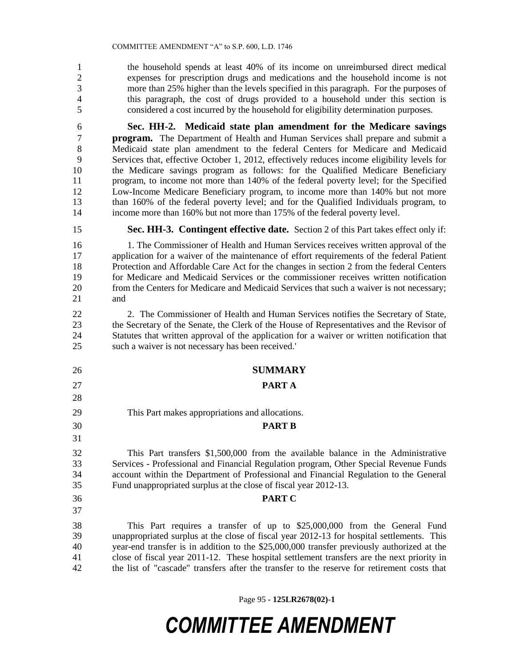the household spends at least 40% of its income on unreimbursed direct medical expenses for prescription drugs and medications and the household income is not more than 25% higher than the levels specified in this paragraph. For the purposes of this paragraph, the cost of drugs provided to a household under this section is considered a cost incurred by the household for eligibility determination purposes.

 **Sec. HH-2. Medicaid state plan amendment for the Medicare savings program.** The Department of Health and Human Services shall prepare and submit a 8 Medicaid state plan amendment to the federal Centers for Medicare and Medicaid Services that, effective October 1, 2012, effectively reduces income eligibility levels for the Medicare savings program as follows: for the Qualified Medicare Beneficiary program, to income not more than 140% of the federal poverty level; for the Specified Low-Income Medicare Beneficiary program, to income more than 140% but not more than 160% of the federal poverty level; and for the Qualified Individuals program, to income more than 160% but not more than 175% of the federal poverty level.

**Sec. HH-3. Contingent effective date.** Section 2 of this Part takes effect only if:

 1. The Commissioner of Health and Human Services receives written approval of the application for a waiver of the maintenance of effort requirements of the federal Patient Protection and Affordable Care Act for the changes in section 2 from the federal Centers for Medicare and Medicaid Services or the commissioner receives written notification from the Centers for Medicare and Medicaid Services that such a waiver is not necessary; and

 2. The Commissioner of Health and Human Services notifies the Secretary of State, the Secretary of the Senate, the Clerk of the House of Representatives and the Revisor of Statutes that written approval of the application for a waiver or written notification that such a waiver is not necessary has been received.'

- **SUMMARY**
- 
- **PART A**
- This Part makes appropriations and allocations.
- **PART B**

 This Part transfers \$1,500,000 from the available balance in the Administrative Services - Professional and Financial Regulation program, Other Special Revenue Funds account within the Department of Professional and Financial Regulation to the General Fund unappropriated surplus at the close of fiscal year 2012-13.

**PART C**

 This Part requires a transfer of up to \$25,000,000 from the General Fund unappropriated surplus at the close of fiscal year 2012-13 for hospital settlements. This year-end transfer is in addition to the \$25,000,000 transfer previously authorized at the close of fiscal year 2011-12. These hospital settlement transfers are the next priority in the list of "cascade" transfers after the transfer to the reserve for retirement costs that

Page 95 **- 125LR2678(02)-1**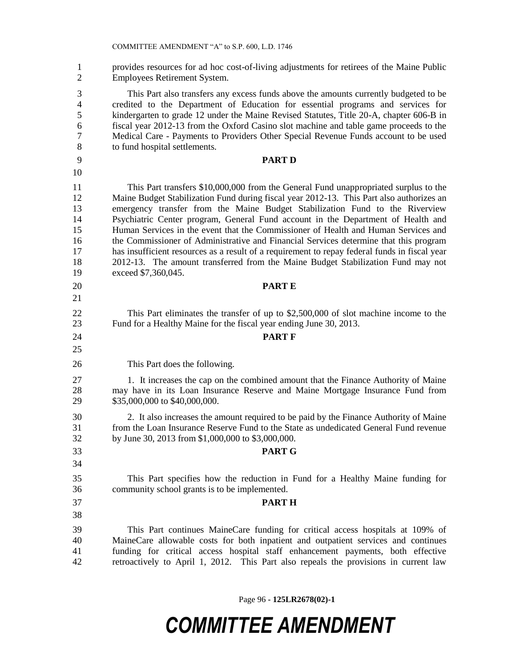provides resources for ad hoc cost-of-living adjustments for retirees of the Maine Public Employees Retirement System.

 This Part also transfers any excess funds above the amounts currently budgeted to be credited to the Department of Education for essential programs and services for kindergarten to grade 12 under the Maine Revised Statutes, Title 20-A, chapter 606-B in fiscal year 2012-13 from the Oxford Casino slot machine and table game proceeds to the Medical Care - Payments to Providers Other Special Revenue Funds account to be used to fund hospital settlements.

- 
- 

**PART D**

 This Part transfers \$10,000,000 from the General Fund unappropriated surplus to the Maine Budget Stabilization Fund during fiscal year 2012-13. This Part also authorizes an emergency transfer from the Maine Budget Stabilization Fund to the Riverview Psychiatric Center program, General Fund account in the Department of Health and Human Services in the event that the Commissioner of Health and Human Services and the Commissioner of Administrative and Financial Services determine that this program has insufficient resources as a result of a requirement to repay federal funds in fiscal year 2012-13. The amount transferred from the Maine Budget Stabilization Fund may not exceed \$7,360,045.

- This Part eliminates the transfer of up to \$2,500,000 of slot machine income to the Fund for a Healthy Maine for the fiscal year ending June 30, 2013.
- **PART F**

This Part does the following.

**PART E**

 1. It increases the cap on the combined amount that the Finance Authority of Maine may have in its Loan Insurance Reserve and Maine Mortgage Insurance Fund from \$35,000,000 to \$40,000,000.

 2. It also increases the amount required to be paid by the Finance Authority of Maine from the Loan Insurance Reserve Fund to the State as undedicated General Fund revenue by June 30, 2013 from \$1,000,000 to \$3,000,000.

### **PART G**

 This Part specifies how the reduction in Fund for a Healthy Maine funding for community school grants is to be implemented.

**PART H**

 This Part continues MaineCare funding for critical access hospitals at 109% of MaineCare allowable costs for both inpatient and outpatient services and continues funding for critical access hospital staff enhancement payments, both effective retroactively to April 1, 2012. This Part also repeals the provisions in current law

Page 96 **- 125LR2678(02)-1**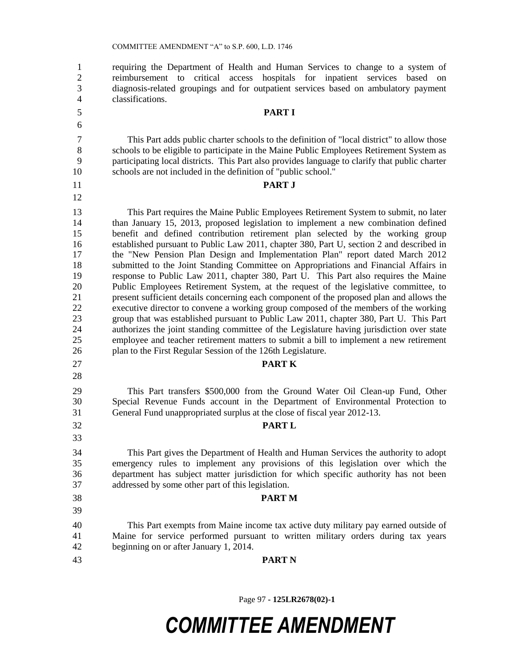requiring the Department of Health and Human Services to change to a system of reimbursement to critical access hospitals for inpatient services based on diagnosis-related groupings and for outpatient services based on ambulatory payment classifications.

### **PART I**

 This Part adds public charter schools to the definition of "local district" to allow those schools to be eligible to participate in the Maine Public Employees Retirement System as participating local districts. This Part also provides language to clarify that public charter schools are not included in the definition of "public school."

#### **PART J**

 This Part requires the Maine Public Employees Retirement System to submit, no later than January 15, 2013, proposed legislation to implement a new combination defined benefit and defined contribution retirement plan selected by the working group established pursuant to Public Law 2011, chapter 380, Part U, section 2 and described in the "New Pension Plan Design and Implementation Plan" report dated March 2012 submitted to the Joint Standing Committee on Appropriations and Financial Affairs in response to Public Law 2011, chapter 380, Part U. This Part also requires the Maine Public Employees Retirement System, at the request of the legislative committee, to present sufficient details concerning each component of the proposed plan and allows the executive director to convene a working group composed of the members of the working group that was established pursuant to Public Law 2011, chapter 380, Part U. This Part authorizes the joint standing committee of the Legislature having jurisdiction over state employee and teacher retirement matters to submit a bill to implement a new retirement plan to the First Regular Session of the 126th Legislature.

#### **PART K**

 This Part transfers \$500,000 from the Ground Water Oil Clean-up Fund, Other Special Revenue Funds account in the Department of Environmental Protection to General Fund unappropriated surplus at the close of fiscal year 2012-13.

#### **PART L**

 This Part gives the Department of Health and Human Services the authority to adopt emergency rules to implement any provisions of this legislation over which the department has subject matter jurisdiction for which specific authority has not been addressed by some other part of this legislation.

**PART M**

 This Part exempts from Maine income tax active duty military pay earned outside of Maine for service performed pursuant to written military orders during tax years beginning on or after January 1, 2014.

**PART N**

Page 97 **- 125LR2678(02)-1**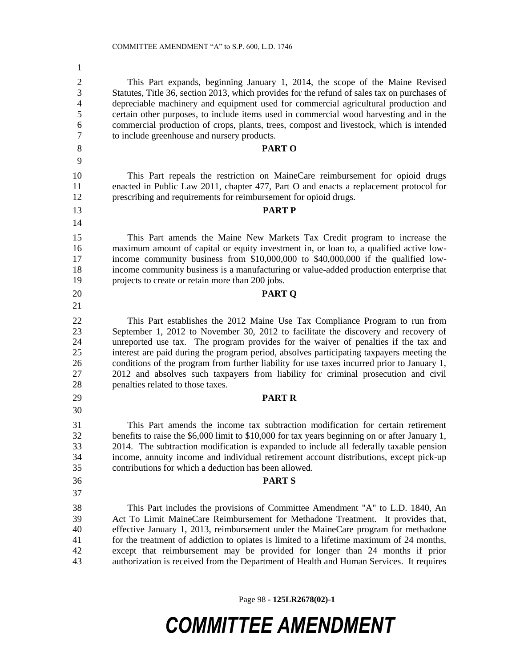This Part expands, beginning January 1, 2014, the scope of the Maine Revised Statutes, Title 36, section 2013, which provides for the refund of sales tax on purchases of depreciable machinery and equipment used for commercial agricultural production and certain other purposes, to include items used in commercial wood harvesting and in the commercial production of crops, plants, trees, compost and livestock, which is intended to include greenhouse and nursery products. **PART O** This Part repeals the restriction on MaineCare reimbursement for opioid drugs enacted in Public Law 2011, chapter 477, Part O and enacts a replacement protocol for prescribing and requirements for reimbursement for opioid drugs. **PART P** This Part amends the Maine New Markets Tax Credit program to increase the maximum amount of capital or equity investment in, or loan to, a qualified active low- income community business from \$10,000,000 to \$40,000,000 if the qualified low- income community business is a manufacturing or value-added production enterprise that projects to create or retain more than 200 jobs. **PART Q** This Part establishes the 2012 Maine Use Tax Compliance Program to run from September 1, 2012 to November 30, 2012 to facilitate the discovery and recovery of unreported use tax. The program provides for the waiver of penalties if the tax and interest are paid during the program period, absolves participating taxpayers meeting the conditions of the program from further liability for use taxes incurred prior to January 1, 2012 and absolves such taxpayers from liability for criminal prosecution and civil penalties related to those taxes. **PART R** This Part amends the income tax subtraction modification for certain retirement benefits to raise the \$6,000 limit to \$10,000 for tax years beginning on or after January 1, 2014. The subtraction modification is expanded to include all federally taxable pension income, annuity income and individual retirement account distributions, except pick-up contributions for which a deduction has been allowed. **PART S** This Part includes the provisions of Committee Amendment "A" to L.D. 1840, An Act To Limit MaineCare Reimbursement for Methadone Treatment. It provides that, effective January 1, 2013, reimbursement under the MaineCare program for methadone for the treatment of addiction to opiates is limited to a lifetime maximum of 24 months, except that reimbursement may be provided for longer than 24 months if prior authorization is received from the Department of Health and Human Services. It requires

Page 98 **- 125LR2678(02)-1**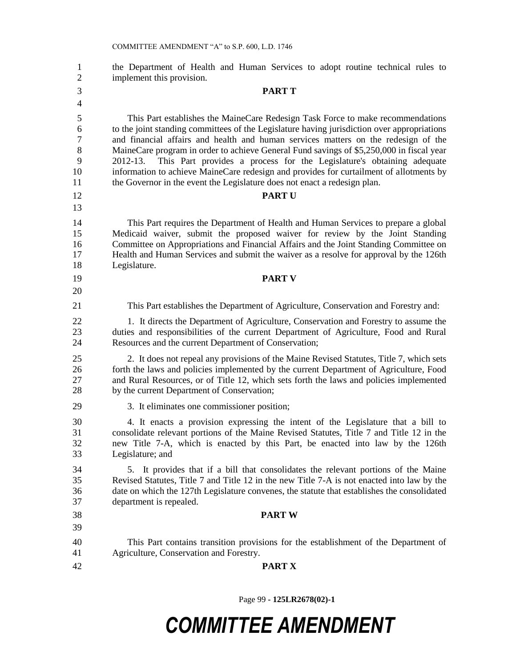| $\mathbf{1}$<br>$\overline{2}$         | the Department of Health and Human Services to adopt routine technical rules to<br>implement this provision.                                                                                                                                                                                                                                                                                                                                                                                                                                                                                                                  |
|----------------------------------------|-------------------------------------------------------------------------------------------------------------------------------------------------------------------------------------------------------------------------------------------------------------------------------------------------------------------------------------------------------------------------------------------------------------------------------------------------------------------------------------------------------------------------------------------------------------------------------------------------------------------------------|
| 3                                      | <b>PART T</b>                                                                                                                                                                                                                                                                                                                                                                                                                                                                                                                                                                                                                 |
| $\overline{4}$                         |                                                                                                                                                                                                                                                                                                                                                                                                                                                                                                                                                                                                                               |
| 5<br>6<br>$\tau$<br>8<br>9<br>10<br>11 | This Part establishes the MaineCare Redesign Task Force to make recommendations<br>to the joint standing committees of the Legislature having jurisdiction over appropriations<br>and financial affairs and health and human services matters on the redesign of the<br>MaineCare program in order to achieve General Fund savings of \$5,250,000 in fiscal year<br>This Part provides a process for the Legislature's obtaining adequate<br>2012-13.<br>information to achieve MaineCare redesign and provides for curtailment of allotments by<br>the Governor in the event the Legislature does not enact a redesign plan. |
| 12                                     | <b>PARTU</b>                                                                                                                                                                                                                                                                                                                                                                                                                                                                                                                                                                                                                  |
| 13<br>14<br>15<br>16<br>17<br>18       | This Part requires the Department of Health and Human Services to prepare a global<br>Medicaid waiver, submit the proposed waiver for review by the Joint Standing<br>Committee on Appropriations and Financial Affairs and the Joint Standing Committee on<br>Health and Human Services and submit the waiver as a resolve for approval by the 126th<br>Legislature.                                                                                                                                                                                                                                                         |
| 19                                     | <b>PART V</b>                                                                                                                                                                                                                                                                                                                                                                                                                                                                                                                                                                                                                 |
| 20                                     |                                                                                                                                                                                                                                                                                                                                                                                                                                                                                                                                                                                                                               |
| 21                                     | This Part establishes the Department of Agriculture, Conservation and Forestry and:                                                                                                                                                                                                                                                                                                                                                                                                                                                                                                                                           |
| 22<br>23<br>24                         | 1. It directs the Department of Agriculture, Conservation and Forestry to assume the<br>duties and responsibilities of the current Department of Agriculture, Food and Rural<br>Resources and the current Department of Conservation;                                                                                                                                                                                                                                                                                                                                                                                         |
| 25<br>26<br>27<br>28                   | 2. It does not repeal any provisions of the Maine Revised Statutes, Title 7, which sets<br>forth the laws and policies implemented by the current Department of Agriculture, Food<br>and Rural Resources, or of Title 12, which sets forth the laws and policies implemented<br>by the current Department of Conservation;                                                                                                                                                                                                                                                                                                    |
| 29                                     | 3. It eliminates one commissioner position;                                                                                                                                                                                                                                                                                                                                                                                                                                                                                                                                                                                   |
| 30<br>31<br>32<br>33                   | 4. It enacts a provision expressing the intent of the Legislature that a bill to<br>consolidate relevant portions of the Maine Revised Statutes, Title 7 and Title 12 in the<br>new Title 7-A, which is enacted by this Part, be enacted into law by the 126th<br>Legislature; and                                                                                                                                                                                                                                                                                                                                            |
| 34<br>35<br>36<br>37                   | 5. It provides that if a bill that consolidates the relevant portions of the Maine<br>Revised Statutes, Title 7 and Title 12 in the new Title 7-A is not enacted into law by the<br>date on which the 127th Legislature convenes, the statute that establishes the consolidated<br>department is repealed.                                                                                                                                                                                                                                                                                                                    |
| 38                                     | <b>PART W</b>                                                                                                                                                                                                                                                                                                                                                                                                                                                                                                                                                                                                                 |
| 39                                     |                                                                                                                                                                                                                                                                                                                                                                                                                                                                                                                                                                                                                               |
| 40<br>41                               | This Part contains transition provisions for the establishment of the Department of<br>Agriculture, Conservation and Forestry.                                                                                                                                                                                                                                                                                                                                                                                                                                                                                                |
| 42                                     | <b>PART X</b>                                                                                                                                                                                                                                                                                                                                                                                                                                                                                                                                                                                                                 |

Page 99 **- 125LR2678(02)-1**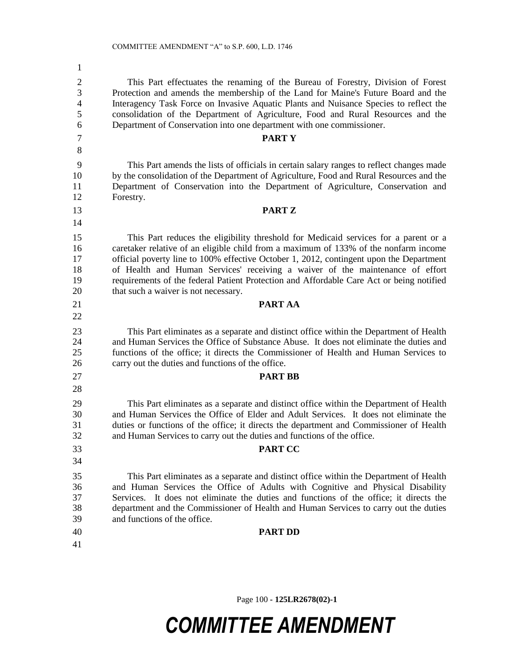| $\mathbf{1}$        |                                                                                                                                                                            |
|---------------------|----------------------------------------------------------------------------------------------------------------------------------------------------------------------------|
| $\mathbf{2}$        | This Part effectuates the renaming of the Bureau of Forestry, Division of Forest                                                                                           |
| 3<br>$\overline{4}$ | Protection and amends the membership of the Land for Maine's Future Board and the<br>Interagency Task Force on Invasive Aquatic Plants and Nuisance Species to reflect the |
| 5                   | consolidation of the Department of Agriculture, Food and Rural Resources and the                                                                                           |
| 6                   | Department of Conservation into one department with one commissioner.                                                                                                      |
| $\overline{7}$      | <b>PARTY</b>                                                                                                                                                               |
| 8                   |                                                                                                                                                                            |
| 9                   | This Part amends the lists of officials in certain salary ranges to reflect changes made                                                                                   |
| 10                  | by the consolidation of the Department of Agriculture, Food and Rural Resources and the                                                                                    |
| 11                  | Department of Conservation into the Department of Agriculture, Conservation and                                                                                            |
| 12                  | Forestry.                                                                                                                                                                  |
| 13                  | <b>PART Z</b>                                                                                                                                                              |
| 14                  |                                                                                                                                                                            |
| 15                  | This Part reduces the eligibility threshold for Medicaid services for a parent or a                                                                                        |
| 16                  | caretaker relative of an eligible child from a maximum of 133% of the nonfarm income                                                                                       |
| 17<br>18            | official poverty line to 100% effective October 1, 2012, contingent upon the Department<br>of Health and Human Services' receiving a waiver of the maintenance of effort   |
| 19                  | requirements of the federal Patient Protection and Affordable Care Act or being notified                                                                                   |
| 20                  | that such a waiver is not necessary.                                                                                                                                       |
| 21                  | PART AA                                                                                                                                                                    |
| 22                  |                                                                                                                                                                            |
| 23                  | This Part eliminates as a separate and distinct office within the Department of Health                                                                                     |
| 24                  | and Human Services the Office of Substance Abuse. It does not eliminate the duties and                                                                                     |
| 25                  | functions of the office; it directs the Commissioner of Health and Human Services to                                                                                       |
| 26                  | carry out the duties and functions of the office.                                                                                                                          |
| 27                  | <b>PART BB</b>                                                                                                                                                             |
| 28                  |                                                                                                                                                                            |
| 29                  | This Part eliminates as a separate and distinct office within the Department of Health                                                                                     |
| 30                  | and Human Services the Office of Elder and Adult Services. It does not eliminate the                                                                                       |
| 31<br>32            | duties or functions of the office; it directs the department and Commissioner of Health<br>and Human Services to carry out the duties and functions of the office.         |
| 33                  | <b>PART CC</b>                                                                                                                                                             |
| 34                  |                                                                                                                                                                            |
|                     |                                                                                                                                                                            |
| 35<br>36            | This Part eliminates as a separate and distinct office within the Department of Health                                                                                     |
| 37                  | and Human Services the Office of Adults with Cognitive and Physical Disability<br>Services. It does not eliminate the duties and functions of the office; it directs the   |
| 38                  | department and the Commissioner of Health and Human Services to carry out the duties                                                                                       |
| 39                  | and functions of the office.                                                                                                                                               |
| 40                  | <b>PART DD</b>                                                                                                                                                             |
| 41                  |                                                                                                                                                                            |
|                     |                                                                                                                                                                            |

Page 100 **- 125LR2678(02)-1**